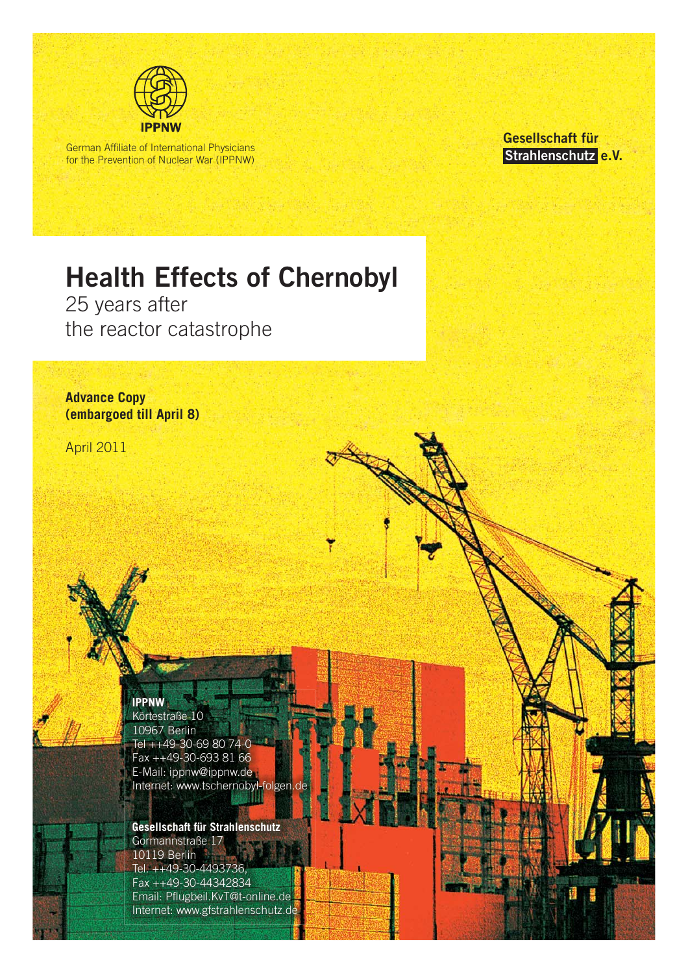

German Affiliate of International Physicians for the Prevention of Nuclear War (IPPNW) **Gesellschaft für Strahlenschutz e.V.** 

# **Health Effects of Chernobyl**

25 years after the reactor catastrophe

**Advance Copy (embargoed till April 8)**

April 2011

**IPPNW**

Körtestraße 10 10967 Berlin Tel ++49-30-69 80 74-0 Fax ++49-30-693 81 66 E-Mail: ippnw@ippnw.de Internet: www.tschernobyl-folgen.de

**Gesellschaft für Strahlenschutz** Gormannstraße 17 10119 Berlin Tel. ++49-30-4493736, Fax ++49-30-44342834 Email: Pflugbeil.KvT@t-online.de Internet: www.gfstrahlenschutz.de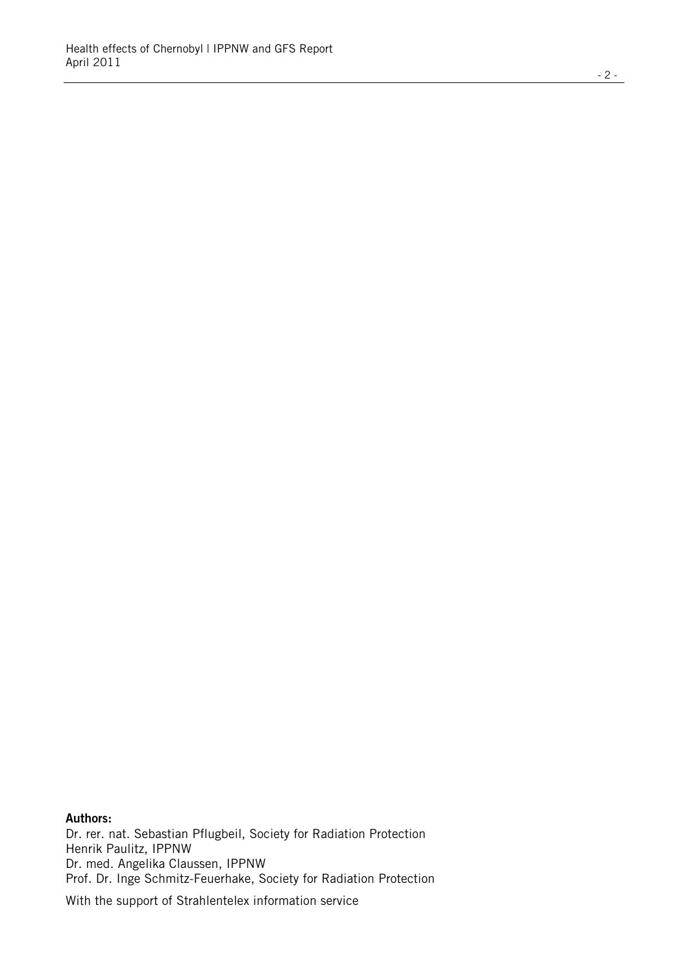Dr. rer. nat. Sebastian Pflugbeil, Society for Radiation Protection Henrik Paulitz, IPPNW Dr. med. Angelika Claussen, IPPNW Prof. Dr. Inge Schmitz-Feuerhake, Society for Radiation Protection

With the support of Strahlentelex information service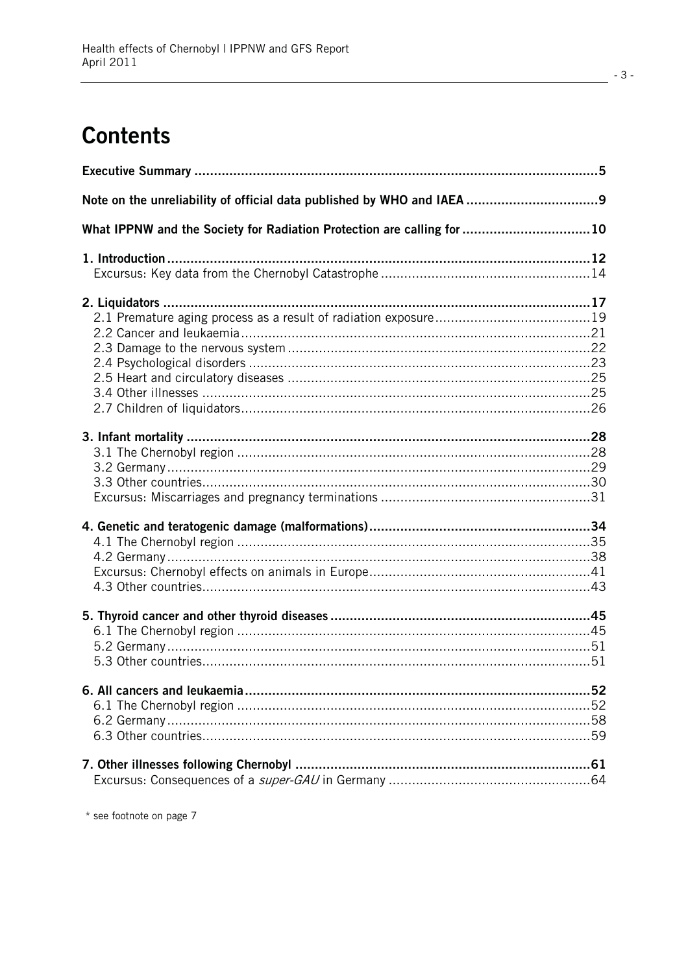# **Contents**

| What IPPNW and the Society for Radiation Protection are calling for 10 |  |
|------------------------------------------------------------------------|--|
|                                                                        |  |
|                                                                        |  |
|                                                                        |  |
|                                                                        |  |
|                                                                        |  |
|                                                                        |  |
|                                                                        |  |
|                                                                        |  |
|                                                                        |  |
|                                                                        |  |
|                                                                        |  |
|                                                                        |  |
|                                                                        |  |
|                                                                        |  |
|                                                                        |  |
|                                                                        |  |
|                                                                        |  |
|                                                                        |  |
|                                                                        |  |
|                                                                        |  |
|                                                                        |  |
|                                                                        |  |
|                                                                        |  |
|                                                                        |  |
|                                                                        |  |
|                                                                        |  |
|                                                                        |  |
|                                                                        |  |
|                                                                        |  |
|                                                                        |  |
|                                                                        |  |

\* see footnote on page 7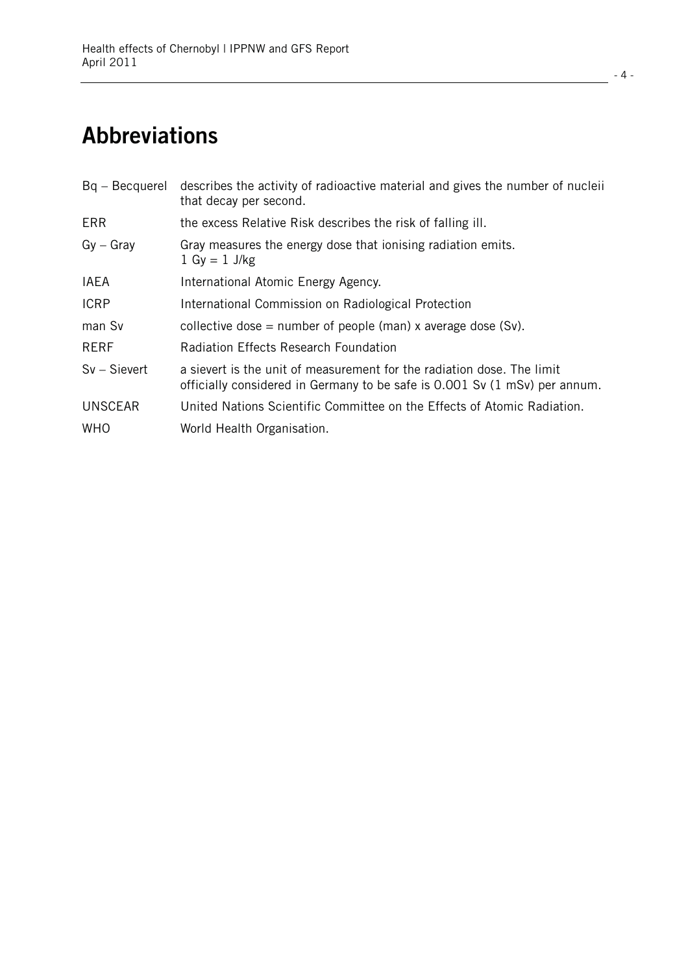# **Abbreviations**

| that decay per second.                                                                                                                                                 |  |
|------------------------------------------------------------------------------------------------------------------------------------------------------------------------|--|
| <b>ERR</b><br>the excess Relative Risk describes the risk of falling ill.                                                                                              |  |
| $Gy - Gray$<br>Gray measures the energy dose that ionising radiation emits.<br>$1 Gy = 1 J/kg$                                                                         |  |
| <b>IAEA</b><br>International Atomic Energy Agency.                                                                                                                     |  |
| <b>ICRP</b><br>International Commission on Radiological Protection                                                                                                     |  |
| man Sv<br>collective dose = number of people (man) x average dose (Sv).                                                                                                |  |
| <b>RERF</b><br><b>Radiation Effects Research Foundation</b>                                                                                                            |  |
| $Sv - Sievert$<br>a sievert is the unit of measurement for the radiation dose. The limit<br>officially considered in Germany to be safe is 0.001 Sv (1 mSv) per annum. |  |
| <b>UNSCEAR</b><br>United Nations Scientific Committee on the Effects of Atomic Radiation.                                                                              |  |
| <b>WHO</b><br>World Health Organisation.                                                                                                                               |  |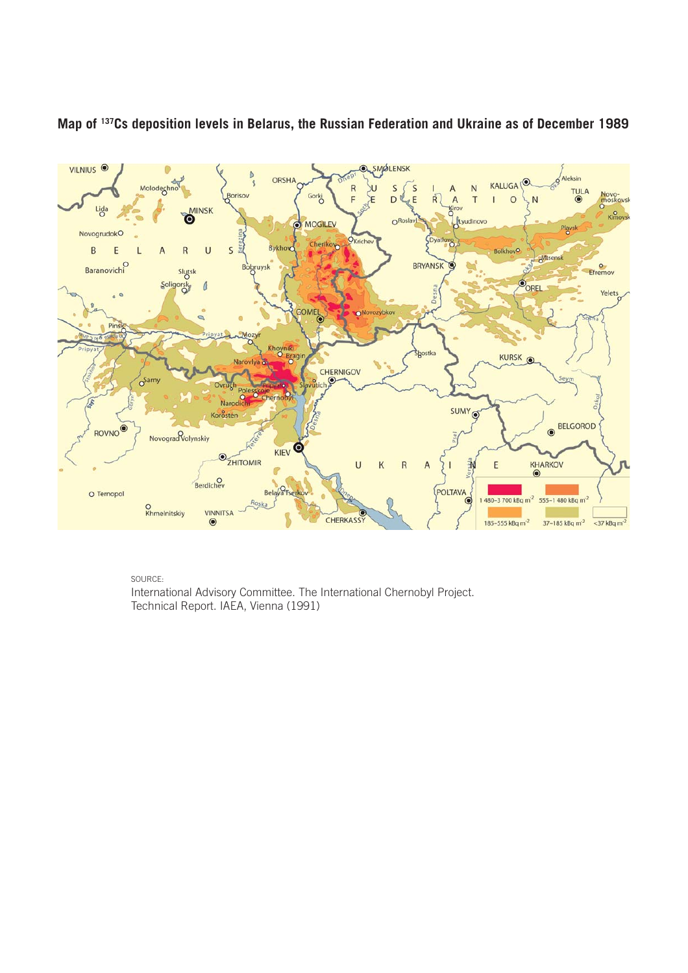

## **Map of 137Cs deposition levels in Belarus, the Russian Federation and Ukraine as of December 1989**

SOURCE:

International Advisory Committee. The International Chernobyl Project. Technical Report. IAEA, Vienna (1991)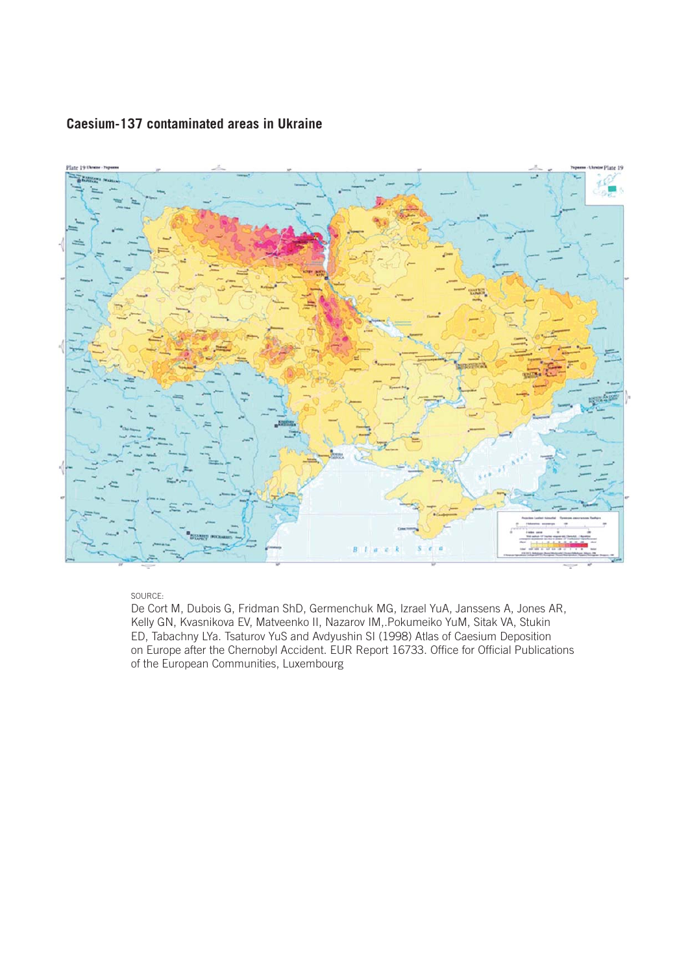

#### **Caesium-137 contaminated areas in Ukraine**

SOURCE:

De Cort M, Dubois G, Fridman ShD, Germenchuk MG, Izrael YuA, Janssens A, Jones AR, Kelly GN, Kvasnikova EV, Matveenko II, Nazarov IM,.Pokumeiko YuM, Sitak VA, Stukin ED, Tabachny LYa. Tsaturov YuS and Avdyushin SI (1998) Atlas of Caesium Deposition on Europe after the Chernobyl Accident. EUR Report 16733. Office for Official Publications of the European Communities, Luxembourg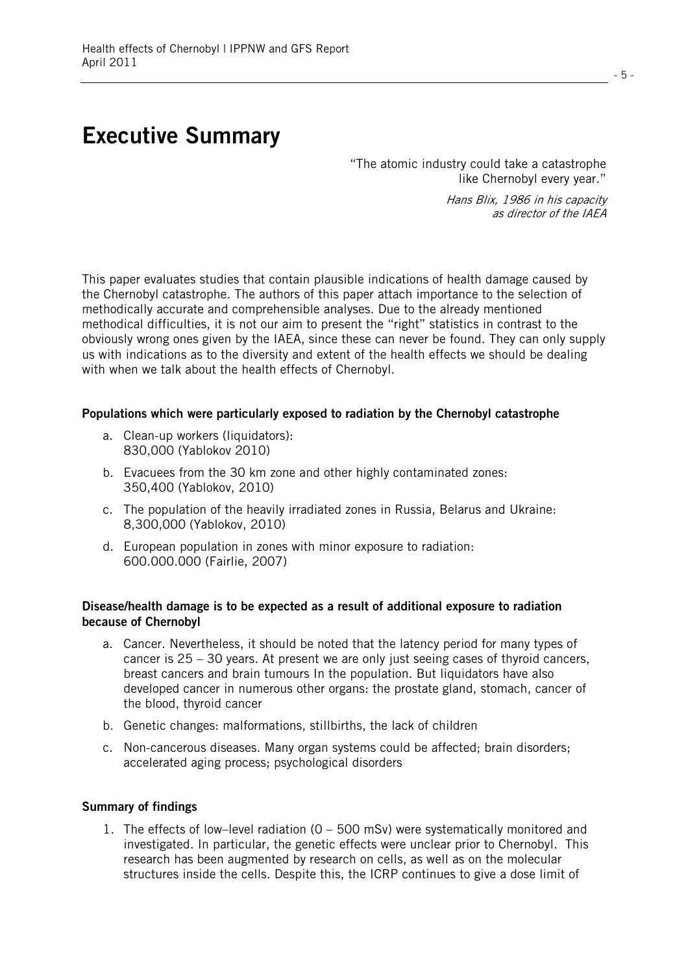## **Executive Summary**

"The atomic industry could take a catastrophe like Chernobyl every year."

> Hans Blix, 1986 in his capacity as director of the IAEA

This paper evaluates studies that contain plausible indications of health damage caused by the Chernobyl catastrophe. The authors of this paper attach importance to the selection of methodically accurate and comprehensible analyses. Due to the already mentioned methodical difficulties, it is not our aim to present the "right" statistics in contrast to the obviously wrong ones given by the IAEA, since these can never be found. They can only supply us with indications as to the diversity and extent of the health effects we should be dealing with when we talk about the health effects of Chernobyl.

#### **Populations which were particularly exposed to radiation by the Chernobyl catastrophe**

- a. Clean-up workers (liquidators): 830,000 (Yablokov 2010)
- b. Evacuees from the 30 km zone and other highly contaminated zones: 350,400 (Yablokov, 2010)
- c. The population of the heavily irradiated zones in Russia, Belarus and Ukraine: 8,300,000 (Yablokov, 2010)
- d. European population in zones with minor exposure to radiation: 600.000.000 (Fairlie, 2007)

#### **Disease/health damage is to be expected as a result of additional exposure to radiation because of Chernobyl**

- a. Cancer. Nevertheless, it should be noted that the latency period for many types of cancer is 25 – 30 years. At present we are only just seeing cases of thyroid cancers, breast cancers and brain tumours In the population. But liquidators have also developed cancer in numerous other organs: the prostate gland, stomach, cancer of the blood, thyroid cancer
- b. Genetic changes: malformations, stillbirths, the lack of children
- c. Non-cancerous diseases. Many organ systems could be affected; brain disorders; accelerated aging process; psychological disorders

#### **Summary of findings**

1. The effects of low–level radiation (0 – 500 mSv) were systematically monitored and investigated. In particular, the genetic effects were unclear prior to Chernobyl. This research has been augmented by research on cells, as well as on the molecular structures inside the cells. Despite this, the ICRP continues to give a dose limit of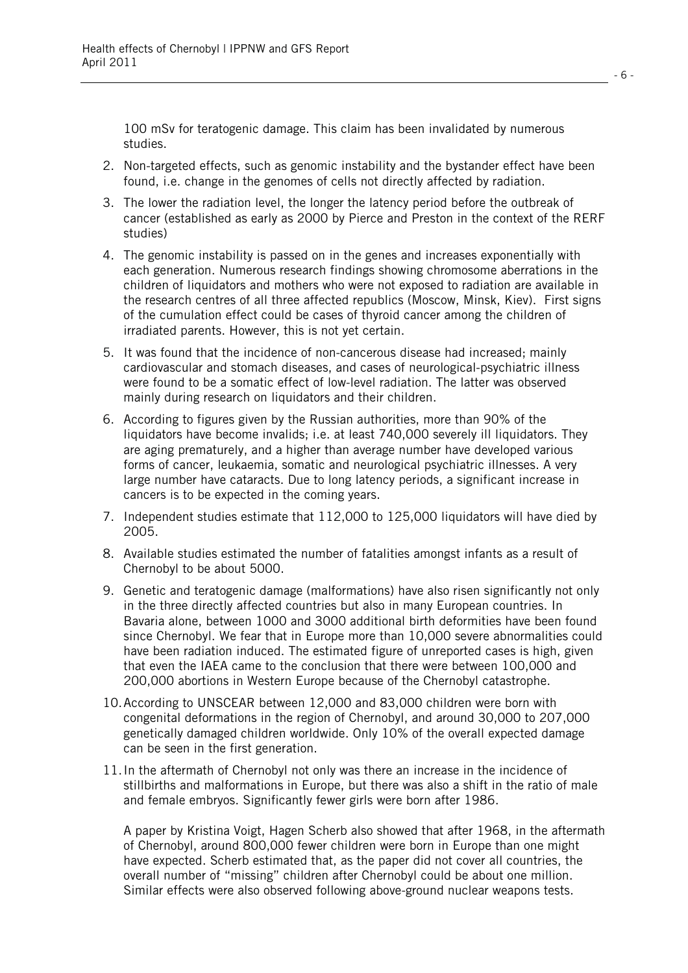100 mSv for teratogenic damage. This claim has been invalidated by numerous studies.

- 2. Non-targeted effects, such as genomic instability and the bystander effect have been found, i.e. change in the genomes of cells not directly affected by radiation.
- 3. The lower the radiation level, the longer the latency period before the outbreak of cancer (established as early as 2000 by Pierce and Preston in the context of the RERF studies)
- 4. The genomic instability is passed on in the genes and increases exponentially with each generation. Numerous research findings showing chromosome aberrations in the children of liquidators and mothers who were not exposed to radiation are available in the research centres of all three affected republics (Moscow, Minsk, Kiev). First signs of the cumulation effect could be cases of thyroid cancer among the children of irradiated parents. However, this is not yet certain.
- 5. It was found that the incidence of non-cancerous disease had increased; mainly cardiovascular and stomach diseases, and cases of neurological-psychiatric illness were found to be a somatic effect of low-level radiation. The latter was observed mainly during research on liquidators and their children.
- 6. According to figures given by the Russian authorities, more than 90% of the liquidators have become invalids; i.e. at least 740,000 severely ill liquidators. They are aging prematurely, and a higher than average number have developed various forms of cancer, leukaemia, somatic and neurological psychiatric illnesses. A very large number have cataracts. Due to long latency periods, a significant increase in cancers is to be expected in the coming years.
- 7. Independent studies estimate that 112,000 to 125,000 liquidators will have died by 2005.
- 8. Available studies estimated the number of fatalities amongst infants as a result of Chernobyl to be about 5000.
- 9. Genetic and teratogenic damage (malformations) have also risen significantly not only in the three directly affected countries but also in many European countries. In Bavaria alone, between 1000 and 3000 additional birth deformities have been found since Chernobyl. We fear that in Europe more than 10,000 severe abnormalities could have been radiation induced. The estimated figure of unreported cases is high, given that even the IAEA came to the conclusion that there were between 100,000 and 200,000 abortions in Western Europe because of the Chernobyl catastrophe.
- 10. According to UNSCEAR between 12,000 and 83,000 children were born with congenital deformations in the region of Chernobyl, and around 30,000 to 207,000 genetically damaged children worldwide. Only 10% of the overall expected damage can be seen in the first generation.
- 11. In the aftermath of Chernobyl not only was there an increase in the incidence of stillbirths and malformations in Europe, but there was also a shift in the ratio of male and female embryos. Significantly fewer girls were born after 1986.

A paper by Kristina Voigt, Hagen Scherb also showed that after 1968, in the aftermath of Chernobyl, around 800,000 fewer children were born in Europe than one might have expected. Scherb estimated that, as the paper did not cover all countries, the overall number of "missing" children after Chernobyl could be about one million. Similar effects were also observed following above-ground nuclear weapons tests.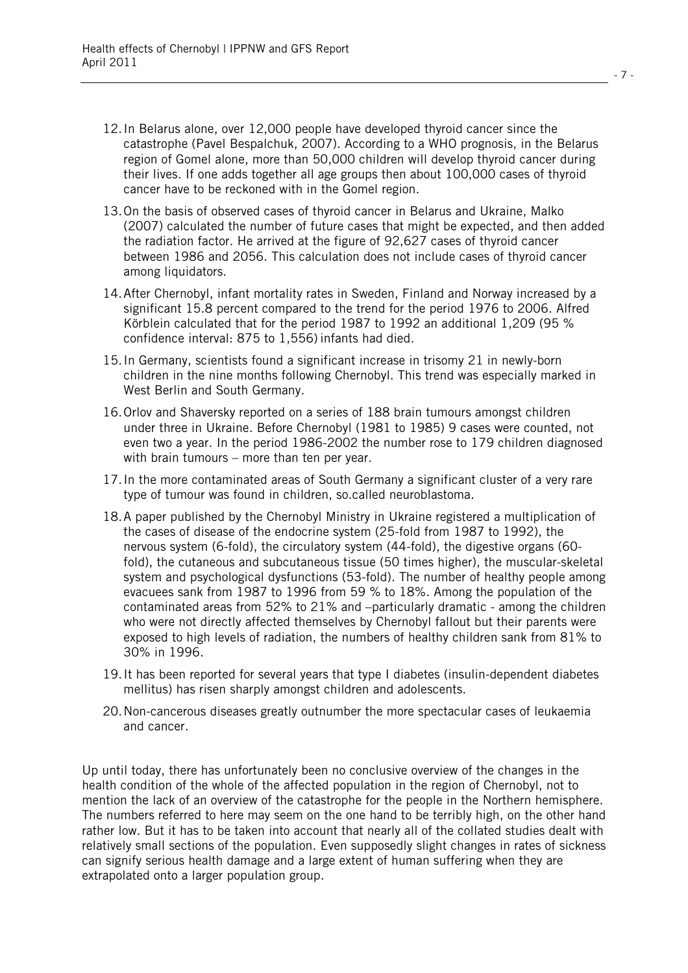- 12. In Belarus alone, over 12,000 people have developed thyroid cancer since the catastrophe (Pavel Bespalchuk, 2007). According to a WHO prognosis, in the Belarus region of Gomel alone, more than 50,000 children will develop thyroid cancer during their lives. If one adds together all age groups then about 100,000 cases of thyroid cancer have to be reckoned with in the Gomel region.
- 13. On the basis of observed cases of thyroid cancer in Belarus and Ukraine, Malko (2007) calculated the number of future cases that might be expected, and then added the radiation factor. He arrived at the figure of 92,627 cases of thyroid cancer between 1986 and 2056. This calculation does not include cases of thyroid cancer among liquidators.
- 14. After Chernobyl, infant mortality rates in Sweden, Finland and Norway increased by a significant 15.8 percent compared to the trend for the period 1976 to 2006. Alfred Körblein calculated that for the period 1987 to 1992 an additional 1,209 (95 % confidence interval: 875 to 1,556) infants had died.
- 15. In Germany, scientists found a significant increase in trisomy 21 in newly-born children in the nine months following Chernobyl. This trend was especially marked in West Berlin and South Germany.
- 16. Orlov and Shaversky reported on a series of 188 brain tumours amongst children under three in Ukraine. Before Chernobyl (1981 to 1985) 9 cases were counted, not even two a year. In the period 1986-2002 the number rose to 179 children diagnosed with brain tumours – more than ten per year.
- 17. In the more contaminated areas of South Germany a significant cluster of a very rare type of tumour was found in children, so.called neuroblastoma.
- 18. A paper published by the Chernobyl Ministry in Ukraine registered a multiplication of the cases of disease of the endocrine system (25-fold from 1987 to 1992), the nervous system (6-fold), the circulatory system (44-fold), the digestive organs (60 fold), the cutaneous and subcutaneous tissue (50 times higher), the muscular-skeletal system and psychological dysfunctions (53-fold). The number of healthy people among evacuees sank from 1987 to 1996 from 59 % to 18%. Among the population of the contaminated areas from 52% to 21% and –particularly dramatic - among the children who were not directly affected themselves by Chernobyl fallout but their parents were exposed to high levels of radiation, the numbers of healthy children sank from 81% to 30% in 1996.
- 19. It has been reported for several years that type I diabetes (insulin-dependent diabetes mellitus) has risen sharply amongst children and adolescents.
- 20. Non-cancerous diseases greatly outnumber the more spectacular cases of leukaemia and cancer.

Up until today, there has unfortunately been no conclusive overview of the changes in the health condition of the whole of the affected population in the region of Chernobyl, not to mention the lack of an overview of the catastrophe for the people in the Northern hemisphere. The numbers referred to here may seem on the one hand to be terribly high, on the other hand rather low. But it has to be taken into account that nearly all of the collated studies dealt with relatively small sections of the population. Even supposedly slight changes in rates of sickness can signify serious health damage and a large extent of human suffering when they are extrapolated onto a larger population group.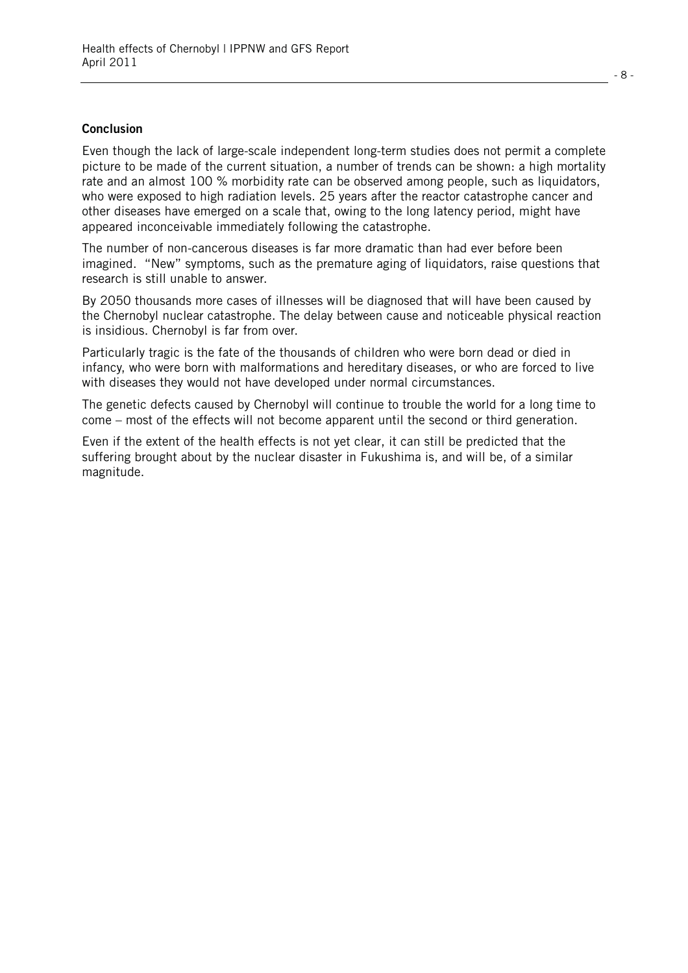#### **Conclusion**

Even though the lack of large-scale independent long-term studies does not permit a complete picture to be made of the current situation, a number of trends can be shown: a high mortality rate and an almost 100 % morbidity rate can be observed among people, such as liquidators, who were exposed to high radiation levels. 25 years after the reactor catastrophe cancer and other diseases have emerged on a scale that, owing to the long latency period, might have appeared inconceivable immediately following the catastrophe.

The number of non-cancerous diseases is far more dramatic than had ever before been imagined. "New" symptoms, such as the premature aging of liquidators, raise questions that research is still unable to answer.

By 2050 thousands more cases of illnesses will be diagnosed that will have been caused by the Chernobyl nuclear catastrophe. The delay between cause and noticeable physical reaction is insidious. Chernobyl is far from over.

Particularly tragic is the fate of the thousands of children who were born dead or died in infancy, who were born with malformations and hereditary diseases, or who are forced to live with diseases they would not have developed under normal circumstances.

The genetic defects caused by Chernobyl will continue to trouble the world for a long time to come – most of the effects will not become apparent until the second or third generation.

Even if the extent of the health effects is not yet clear, it can still be predicted that the suffering brought about by the nuclear disaster in Fukushima is, and will be, of a similar magnitude.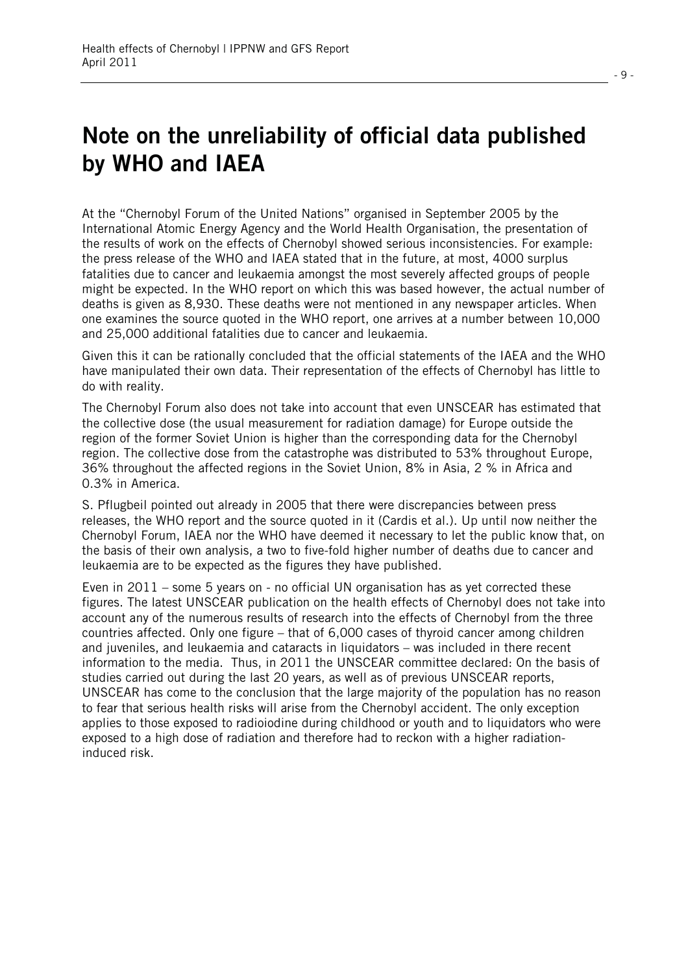# **Note on the unreliability of official data published by WHO and IAEA**

At the "Chernobyl Forum of the United Nations" organised in September 2005 by the International Atomic Energy Agency and the World Health Organisation, the presentation of the results of work on the effects of Chernobyl showed serious inconsistencies. For example: the press release of the WHO and IAEA stated that in the future, at most, 4000 surplus fatalities due to cancer and leukaemia amongst the most severely affected groups of people might be expected. In the WHO report on which this was based however, the actual number of deaths is given as 8,930. These deaths were not mentioned in any newspaper articles. When one examines the source quoted in the WHO report, one arrives at a number between 10,000 and 25,000 additional fatalities due to cancer and leukaemia.

Given this it can be rationally concluded that the official statements of the IAEA and the WHO have manipulated their own data. Their representation of the effects of Chernobyl has little to do with reality.

The Chernobyl Forum also does not take into account that even UNSCEAR has estimated that the collective dose (the usual measurement for radiation damage) for Europe outside the region of the former Soviet Union is higher than the corresponding data for the Chernobyl region. The collective dose from the catastrophe was distributed to 53% throughout Europe, 36% throughout the affected regions in the Soviet Union, 8% in Asia, 2 % in Africa and 0.3% in America.

S. Pflugbeil pointed out already in 2005 that there were discrepancies between press releases, the WHO report and the source quoted in it (Cardis et al.). Up until now neither the Chernobyl Forum, IAEA nor the WHO have deemed it necessary to let the public know that, on the basis of their own analysis, a two to five-fold higher number of deaths due to cancer and leukaemia are to be expected as the figures they have published.

Even in 2011 – some 5 years on - no official UN organisation has as yet corrected these figures. The latest UNSCEAR publication on the health effects of Chernobyl does not take into account any of the numerous results of research into the effects of Chernobyl from the three countries affected. Only one figure – that of 6,000 cases of thyroid cancer among children and juveniles, and leukaemia and cataracts in liquidators – was included in there recent information to the media. Thus, in 2011 the UNSCEAR committee declared: On the basis of studies carried out during the last 20 years, as well as of previous UNSCEAR reports, UNSCEAR has come to the conclusion that the large majority of the population has no reason to fear that serious health risks will arise from the Chernobyl accident. The only exception applies to those exposed to radioiodine during childhood or youth and to liquidators who were exposed to a high dose of radiation and therefore had to reckon with a higher radiationinduced risk.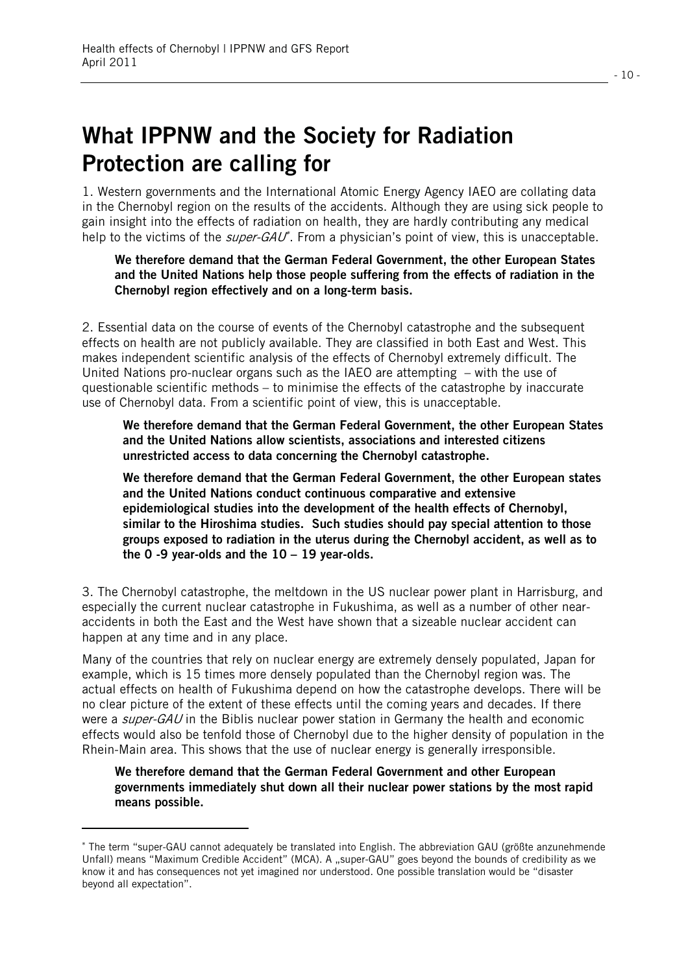## **What IPPNW and the Society for Radiation Protection are calling for**

1. Western governments and the International Atomic Energy Agency IAEO are collating data in the Chernobyl region on the results of the accidents. Although they are using sick people to gain insight into the effects of radiation on health, they are hardly contributing any medical help to the victims of the *super-GAU*<sup>\*</sup>. From a physician's point of view, this is unacceptable.

**We therefore demand that the German Federal Government, the other European States and the United Nations help those people suffering from the effects of radiation in the Chernobyl region effectively and on a long-term basis.** 

2. Essential data on the course of events of the Chernobyl catastrophe and the subsequent effects on health are not publicly available. They are classified in both East and West. This makes independent scientific analysis of the effects of Chernobyl extremely difficult. The United Nations pro-nuclear organs such as the IAEO are attempting – with the use of questionable scientific methods  $-$  to minimise the effects of the catastrophe by inaccurate use of Chernobyl data. From a scientific point of view, this is unacceptable.

**We therefore demand that the German Federal Government, the other European States and the United Nations allow scientists, associations and interested citizens unrestricted access to data concerning the Chernobyl catastrophe.** 

**We therefore demand that the German Federal Government, the other European states and the United Nations conduct continuous comparative and extensive epidemiological studies into the development of the health effects of Chernobyl, similar to the Hiroshima studies. Such studies should pay special attention to those groups exposed to radiation in the uterus during the Chernobyl accident, as well as to the 0 -9 year-olds and the 10 – 19 year-olds.** 

3. The Chernobyl catastrophe, the meltdown in the US nuclear power plant in Harrisburg, and especially the current nuclear catastrophe in Fukushima, as well as a number of other nearaccidents in both the East and the West have shown that a sizeable nuclear accident can happen at any time and in any place.

Many of the countries that rely on nuclear energy are extremely densely populated, Japan for example, which is 15 times more densely populated than the Chernobyl region was. The actual effects on health of Fukushima depend on how the catastrophe develops. There will be no clear picture of the extent of these effects until the coming years and decades. If there were a *super-GAU* in the Biblis nuclear power station in Germany the health and economic effects would also be tenfold those of Chernobyl due to the higher density of population in the Rhein-Main area. This shows that the use of nuclear energy is generally irresponsible.

**We therefore demand that the German Federal Government and other European governments immediately shut down all their nuclear power stations by the most rapid means possible.** 

l

 The term "super-GAU cannot adequately be translated into English. The abbreviation GAU (größte anzunehmende Unfall) means "Maximum Credible Accident" (MCA). A "super-GAU" goes beyond the bounds of credibility as we know it and has consequences not yet imagined nor understood. One possible translation would be "disaster beyond all expectation".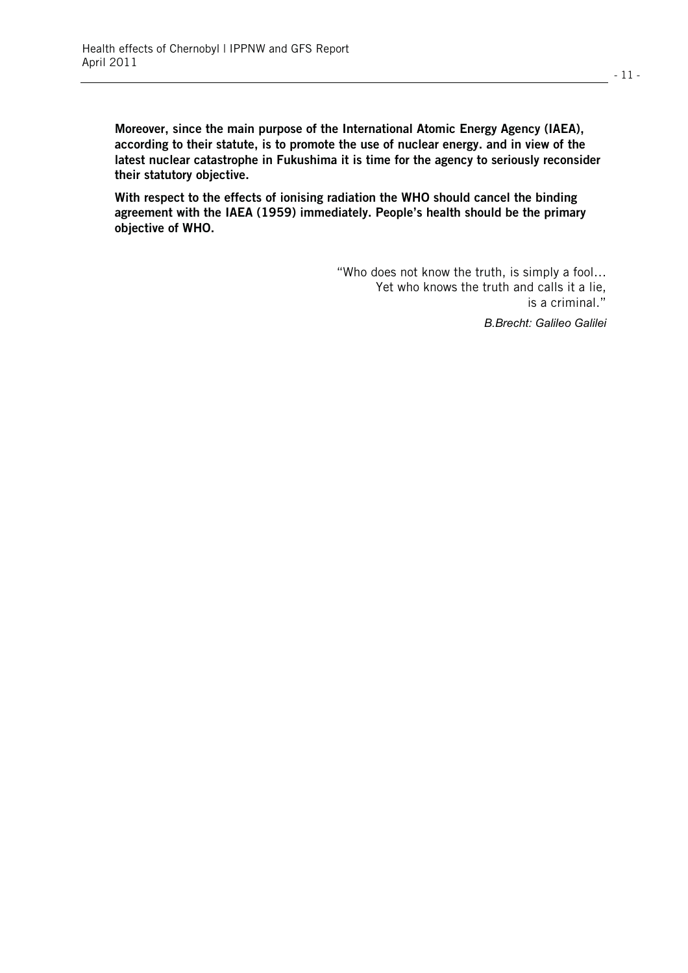**Moreover, since the main purpose of the International Atomic Energy Agency (IAEA), according to their statute, is to promote the use of nuclear energy. and in view of the latest nuclear catastrophe in Fukushima it is time for the agency to seriously reconsider their statutory objective.** 

**With respect to the effects of ionising radiation the WHO should cancel the binding agreement with the IAEA (1959) immediately. People's health should be the primary objective of WHO.** 

> "Who does not know the truth, is simply a fool… Yet who knows the truth and calls it a lie, is a criminal."

> > *B.Brecht: Galileo Galilei*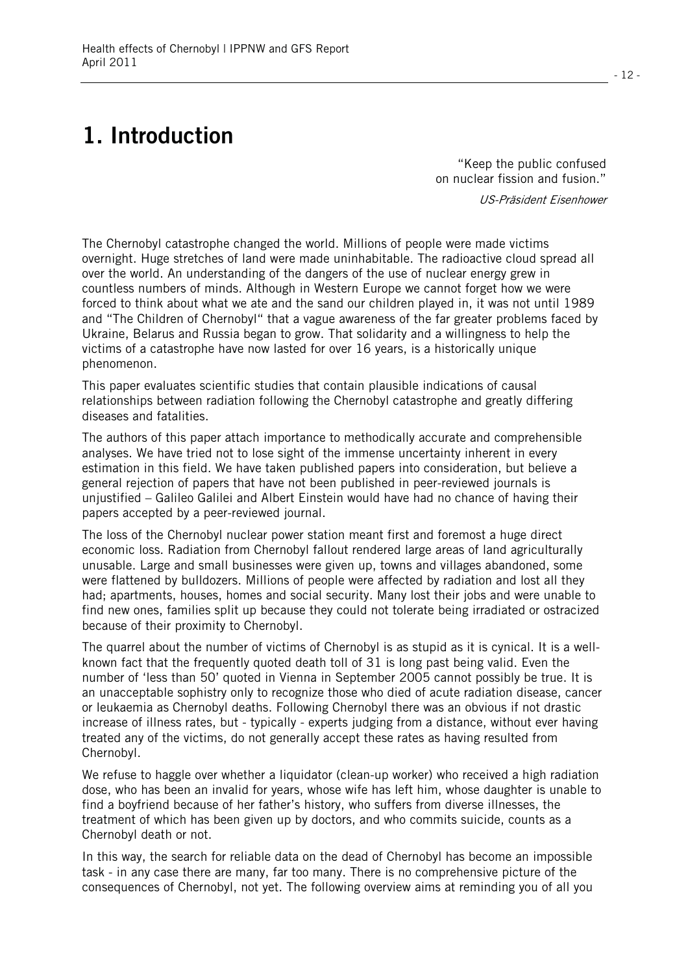# **1. Introduction**

"Keep the public confused on nuclear fission and fusion."

US-Präsident Eisenhower

The Chernobyl catastrophe changed the world. Millions of people were made victims overnight. Huge stretches of land were made uninhabitable. The radioactive cloud spread all over the world. An understanding of the dangers of the use of nuclear energy grew in countless numbers of minds. Although in Western Europe we cannot forget how we were forced to think about what we ate and the sand our children played in, it was not until 1989 and "The Children of Chernobyl" that a vague awareness of the far greater problems faced by Ukraine, Belarus and Russia began to grow. That solidarity and a willingness to help the victims of a catastrophe have now lasted for over 16 years, is a historically unique phenomenon.

This paper evaluates scientific studies that contain plausible indications of causal relationships between radiation following the Chernobyl catastrophe and greatly differing diseases and fatalities.

The authors of this paper attach importance to methodically accurate and comprehensible analyses. We have tried not to lose sight of the immense uncertainty inherent in every estimation in this field. We have taken published papers into consideration, but believe a general rejection of papers that have not been published in peer-reviewed journals is unjustified – Galileo Galilei and Albert Einstein would have had no chance of having their papers accepted by a peer-reviewed journal.

The loss of the Chernobyl nuclear power station meant first and foremost a huge direct economic loss. Radiation from Chernobyl fallout rendered large areas of land agriculturally unusable. Large and small businesses were given up, towns and villages abandoned, some were flattened by bulldozers. Millions of people were affected by radiation and lost all they had; apartments, houses, homes and social security. Many lost their jobs and were unable to find new ones, families split up because they could not tolerate being irradiated or ostracized because of their proximity to Chernobyl.

The quarrel about the number of victims of Chernobyl is as stupid as it is cynical. It is a wellknown fact that the frequently quoted death toll of 31 is long past being valid. Even the number of 'less than 50' quoted in Vienna in September 2005 cannot possibly be true. It is an unacceptable sophistry only to recognize those who died of acute radiation disease, cancer or leukaemia as Chernobyl deaths. Following Chernobyl there was an obvious if not drastic increase of illness rates, but - typically - experts judging from a distance, without ever having treated any of the victims, do not generally accept these rates as having resulted from Chernobyl.

We refuse to haggle over whether a liquidator (clean-up worker) who received a high radiation dose, who has been an invalid for years, whose wife has left him, whose daughter is unable to find a boyfriend because of her father's history, who suffers from diverse illnesses, the treatment of which has been given up by doctors, and who commits suicide, counts as a Chernobyl death or not.

In this way, the search for reliable data on the dead of Chernobyl has become an impossible task - in any case there are many, far too many. There is no comprehensive picture of the consequences of Chernobyl, not yet. The following overview aims at reminding you of all you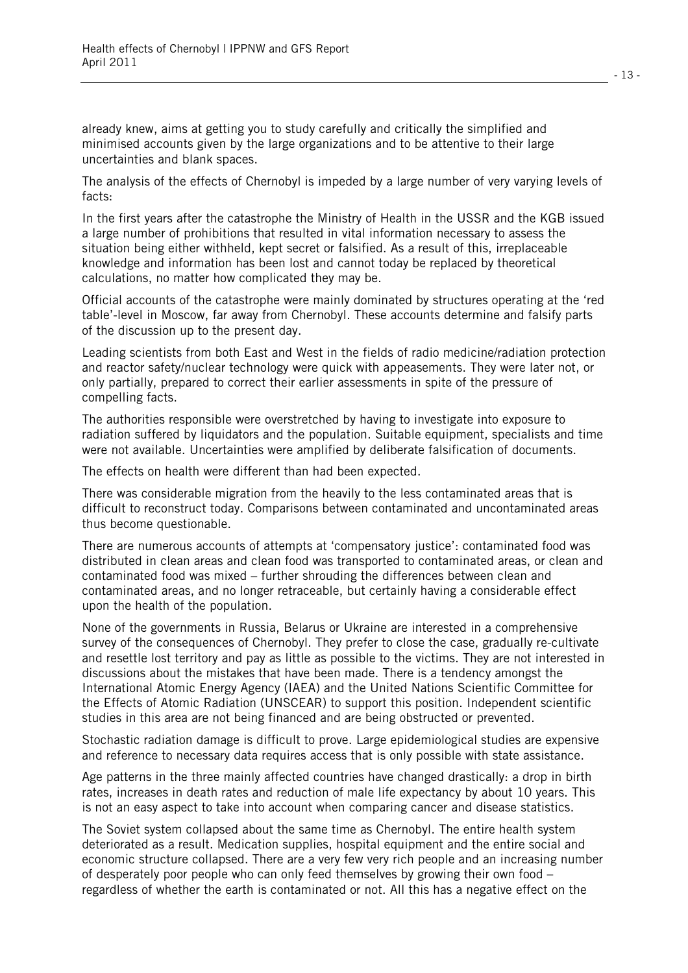already knew, aims at getting you to study carefully and critically the simplified and minimised accounts given by the large organizations and to be attentive to their large uncertainties and blank spaces.

The analysis of the effects of Chernobyl is impeded by a large number of very varying levels of facts:

In the first years after the catastrophe the Ministry of Health in the USSR and the KGB issued a large number of prohibitions that resulted in vital information necessary to assess the situation being either withheld, kept secret or falsified. As a result of this, irreplaceable knowledge and information has been lost and cannot today be replaced by theoretical calculations, no matter how complicated they may be.

Official accounts of the catastrophe were mainly dominated by structures operating at the 'red table'-level in Moscow, far away from Chernobyl. These accounts determine and falsify parts of the discussion up to the present day.

Leading scientists from both East and West in the fields of radio medicine/radiation protection and reactor safety/nuclear technology were quick with appeasements. They were later not, or only partially, prepared to correct their earlier assessments in spite of the pressure of compelling facts.

The authorities responsible were overstretched by having to investigate into exposure to radiation suffered by liquidators and the population. Suitable equipment, specialists and time were not available. Uncertainties were amplified by deliberate falsification of documents.

The effects on health were different than had been expected.

There was considerable migration from the heavily to the less contaminated areas that is difficult to reconstruct today. Comparisons between contaminated and uncontaminated areas thus become questionable.

There are numerous accounts of attempts at 'compensatory justice': contaminated food was distributed in clean areas and clean food was transported to contaminated areas, or clean and contaminated food was mixed – further shrouding the differences between clean and contaminated areas, and no longer retraceable, but certainly having a considerable effect upon the health of the population.

None of the governments in Russia, Belarus or Ukraine are interested in a comprehensive survey of the consequences of Chernobyl. They prefer to close the case, gradually re-cultivate and resettle lost territory and pay as little as possible to the victims. They are not interested in discussions about the mistakes that have been made. There is a tendency amongst the International Atomic Energy Agency (IAEA) and the United Nations Scientific Committee for the Effects of Atomic Radiation (UNSCEAR) to support this position. Independent scientific studies in this area are not being financed and are being obstructed or prevented.

Stochastic radiation damage is difficult to prove. Large epidemiological studies are expensive and reference to necessary data requires access that is only possible with state assistance.

Age patterns in the three mainly affected countries have changed drastically: a drop in birth rates, increases in death rates and reduction of male life expectancy by about 10 years. This is not an easy aspect to take into account when comparing cancer and disease statistics.

The Soviet system collapsed about the same time as Chernobyl. The entire health system deteriorated as a result. Medication supplies, hospital equipment and the entire social and economic structure collapsed. There are a very few very rich people and an increasing number of desperately poor people who can only feed themselves by growing their own food – regardless of whether the earth is contaminated or not. All this has a negative effect on the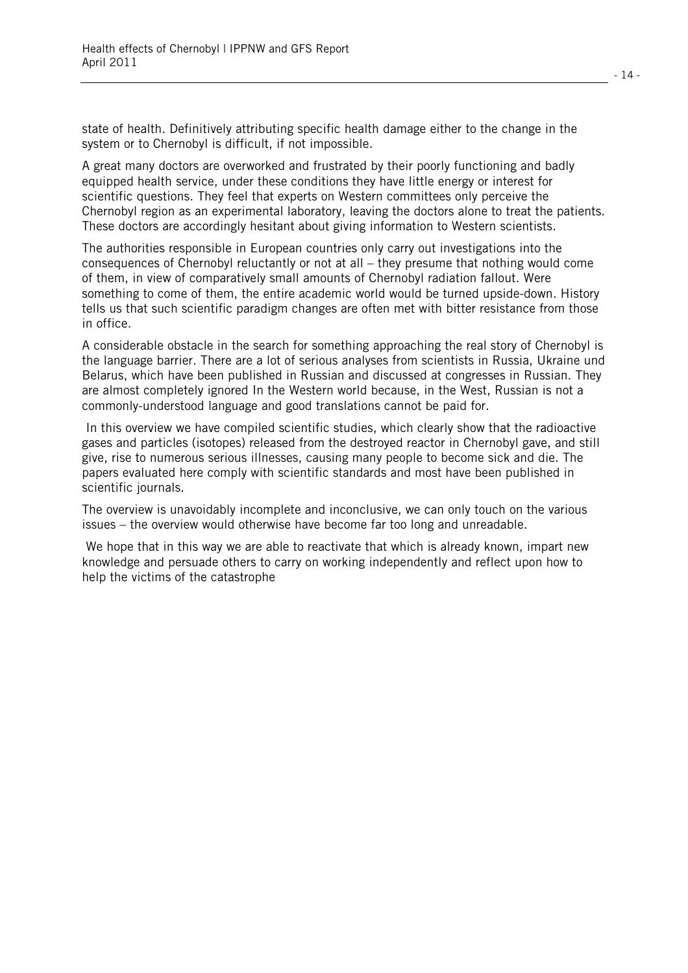state of health. Definitively attributing specific health damage either to the change in the system or to Chernobyl is difficult, if not impossible.

A great many doctors are overworked and frustrated by their poorly functioning and badly equipped health service, under these conditions they have little energy or interest for scientific questions. They feel that experts on Western committees only perceive the Chernobyl region as an experimental laboratory, leaving the doctors alone to treat the patients. These doctors are accordingly hesitant about giving information to Western scientists.

The authorities responsible in European countries only carry out investigations into the consequences of Chernobyl reluctantly or not at all – they presume that nothing would come of them, in view of comparatively small amounts of Chernobyl radiation fallout. Were something to come of them, the entire academic world would be turned upside-down. History tells us that such scientific paradigm changes are often met with bitter resistance from those in office.

A considerable obstacle in the search for something approaching the real story of Chernobyl is the language barrier. There are a lot of serious analyses from scientists in Russia, Ukraine und Belarus, which have been published in Russian and discussed at congresses in Russian. They are almost completely ignored In the Western world because, in the West, Russian is not a commonly-understood language and good translations cannot be paid for.

 In this overview we have compiled scientific studies, which clearly show that the radioactive gases and particles (isotopes) released from the destroyed reactor in Chernobyl gave, and still give, rise to numerous serious illnesses, causing many people to become sick and die. The papers evaluated here comply with scientific standards and most have been published in scientific journals.

The overview is unavoidably incomplete and inconclusive, we can only touch on the various issues – the overview would otherwise have become far too long and unreadable.

 We hope that in this way we are able to reactivate that which is already known, impart new knowledge and persuade others to carry on working independently and reflect upon how to help the victims of the catastrophe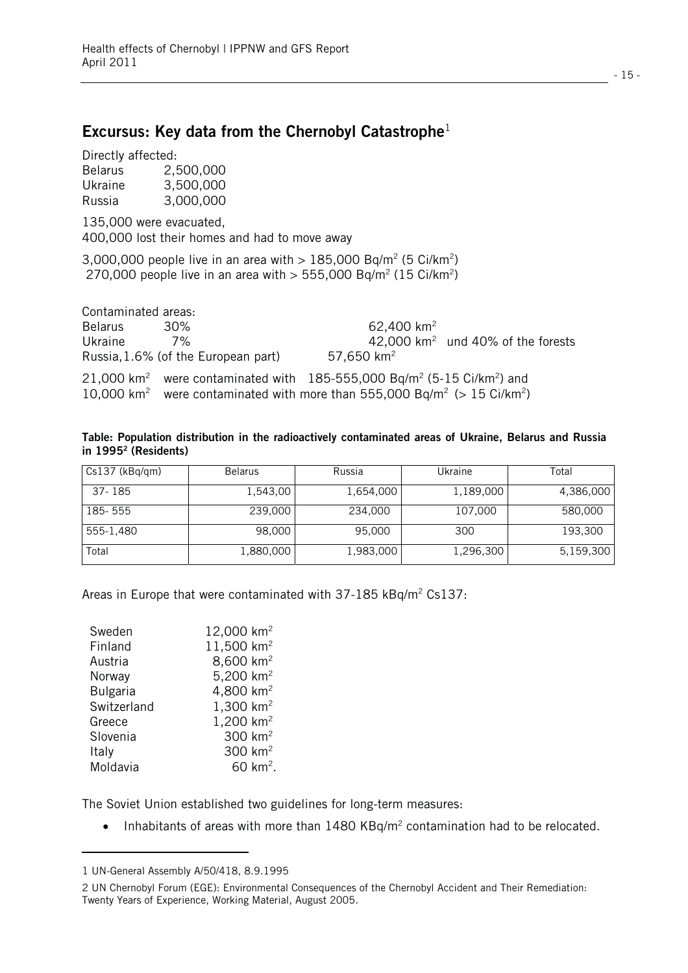#### **Excursus: Key data from the Chernobyl Catastrophe**<sup>1</sup>

Directly affected:

| <b>Belarus</b> | 2,500,000 |
|----------------|-----------|
| Ukraine        | 3,500,000 |
| Russia         | 3,000,000 |

135,000 were evacuated, 400,000 lost their homes and had to move away

3,000,000 people live in an area with  $> 185,000$  Bq/m<sup>2</sup> (5 Ci/km<sup>2</sup>) 270,000 people live in an area with  $> 555,000$  Bq/m<sup>2</sup> (15 Ci/km<sup>2</sup>)

| Contaminated areas: |                                                                                                              |                        |                                      |
|---------------------|--------------------------------------------------------------------------------------------------------------|------------------------|--------------------------------------|
| Belarus             | 30%                                                                                                          | 62,400 km <sup>2</sup> |                                      |
| Ukraine             | 7%                                                                                                           |                        | 42,000 $km^2$ und 40% of the forests |
|                     | Russia, 1.6% (of the European part)                                                                          | 57,650 $km^2$          |                                      |
|                     | 21,000 km <sup>2</sup> were contaminated with 185-555,000 Bq/m <sup>2</sup> (5-15 Ci/km <sup>2</sup> ) and   |                        |                                      |
|                     | 10,000 km <sup>2</sup> were contaminated with more than 555,000 Bq/m <sup>2</sup> (> 15 Ci/km <sup>2</sup> ) |                        |                                      |

| Table: Population distribution in the radioactively contaminated areas of Ukraine, Belarus and Russia |  |  |  |  |
|-------------------------------------------------------------------------------------------------------|--|--|--|--|
| in 1995 <sup>2</sup> (Residents)                                                                      |  |  |  |  |

| $Cs137$ ( $kBq/qm$ ) | <b>Belarus</b> | Russia    | Ukraine   | Total     |
|----------------------|----------------|-----------|-----------|-----------|
| 37-185               | 1,543,00       | 1,654,000 | 1,189,000 | 4,386,000 |
| 185-555              | 239,000        | 234,000   | 107,000   | 580,000   |
| 555-1,480            | 98,000         | 95,000    | 300       | 193,300   |
| Total                | 1,880,000      | 1,983,000 | 1,296,300 | 5,159,300 |

Areas in Europe that were contaminated with 37-185 kBq/m<sup>2</sup> Cs137:

| Sweden          | 12,000 km <sup>2</sup> |
|-----------------|------------------------|
| Finland         | 11,500 km <sup>2</sup> |
| Austria         | 8,600 km <sup>2</sup>  |
| Norway          | 5,200 $km^2$           |
| <b>Bulgaria</b> | 4,800 km <sup>2</sup>  |
| Switzerland     | 1,300 km <sup>2</sup>  |
| Greece          | 1,200 km <sup>2</sup>  |
| Slovenia        | 300 km <sup>2</sup>    |
| Italy           | 300 $km2$              |
| Moldavia        | $60 \; \text{km}^2$ .  |

The Soviet Union established two guidelines for long-term measures:

• Inhabitants of areas with more than  $1480$  KBq/m<sup>2</sup> contamination had to be relocated.

l.

<sup>1</sup> UN-General Assembly A/50/418, 8.9.1995

<sup>2</sup> UN Chernobyl Forum (EGE): Environmental Consequences of the Chernobyl Accident and Their Remediation: Twenty Years of Experience, Working Material, August 2005.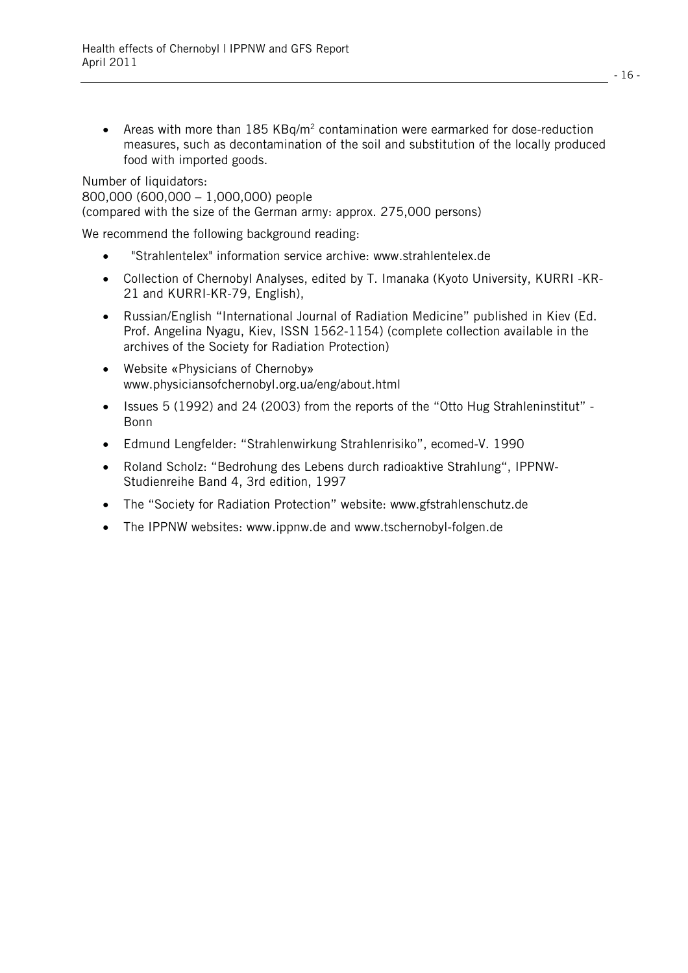• Areas with more than  $185$  KBq/m<sup>2</sup> contamination were earmarked for dose-reduction measures, such as decontamination of the soil and substitution of the locally produced food with imported goods.

Number of liquidators: 800,000 (600,000 – 1,000,000) people (compared with the size of the German army: approx. 275,000 persons)

We recommend the following background reading:

- $\bullet$ "Strahlentelex" information service archive: www.strahlentelex.de
- Collection of Chernobyl Analyses, edited by T. Imanaka (Kyoto University, KURRI -KR-21 and KURRI-KR-79, English),
- Russian/English "International Journal of Radiation Medicine" published in Kiev (Ed. Prof. Angelina Nyagu, Kiev, ISSN 1562-1154) (complete collection available in the archives of the Society for Radiation Protection)
- Website «Physicians of Chernoby» www.physiciansofchernobyl.org.ua/eng/about.html
- Issues 5 (1992) and 24 (2003) from the reports of the "Otto Hug Strahleninstitut" Bonn
- $\bullet$ Edmund Lengfelder: "Strahlenwirkung Strahlenrisiko", ecomed-V. 1990
- $\bullet$  Roland Scholz: "Bedrohung des Lebens durch radioaktive Strahlung", IPPNW-Studienreihe Band 4, 3rd edition, 1997
- The "Society for Radiation Protection" website: www.gfstrahlenschutz.de
- The IPPNW websites: www.ippnw.de and www.tschernobyl-folgen.de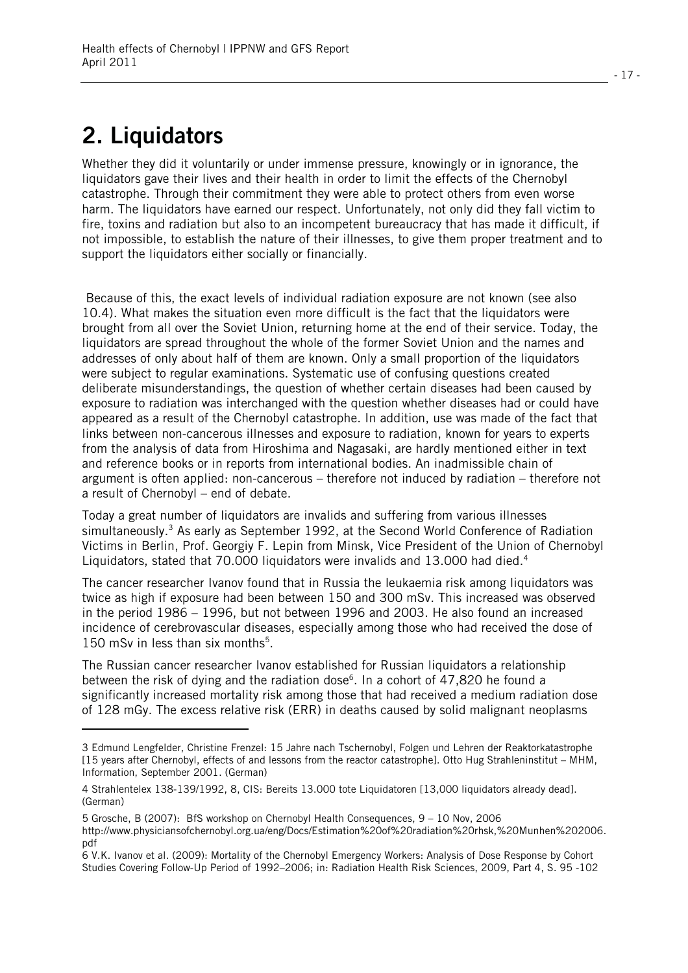# **2. Liquidators**

l

Whether they did it voluntarily or under immense pressure, knowingly or in ignorance, the liquidators gave their lives and their health in order to limit the effects of the Chernobyl catastrophe. Through their commitment they were able to protect others from even worse harm. The liquidators have earned our respect. Unfortunately, not only did they fall victim to fire, toxins and radiation but also to an incompetent bureaucracy that has made it difficult, if not impossible, to establish the nature of their illnesses, to give them proper treatment and to support the liquidators either socially or financially.

 Because of this, the exact levels of individual radiation exposure are not known (see also 10.4). What makes the situation even more difficult is the fact that the liquidators were brought from all over the Soviet Union, returning home at the end of their service. Today, the liquidators are spread throughout the whole of the former Soviet Union and the names and addresses of only about half of them are known. Only a small proportion of the liquidators were subject to regular examinations. Systematic use of confusing questions created deliberate misunderstandings, the question of whether certain diseases had been caused by exposure to radiation was interchanged with the question whether diseases had or could have appeared as a result of the Chernobyl catastrophe. In addition, use was made of the fact that links between non-cancerous illnesses and exposure to radiation, known for years to experts from the analysis of data from Hiroshima and Nagasaki, are hardly mentioned either in text and reference books or in reports from international bodies. An inadmissible chain of argument is often applied: non-cancerous – therefore not induced by radiation – therefore not a result of Chernobyl – end of debate.

Today a great number of liquidators are invalids and suffering from various illnesses simultaneously.<sup>3</sup> As early as September 1992, at the Second World Conference of Radiation Victims in Berlin, Prof. Georgiy F. Lepin from Minsk, Vice President of the Union of Chernobyl Liquidators, stated that 70.000 liquidators were invalids and 13.000 had died.<sup>4</sup>

The cancer researcher Ivanov found that in Russia the leukaemia risk among liquidators was twice as high if exposure had been between 150 and 300 mSv. This increased was observed in the period 1986 – 1996, but not between 1996 and 2003. He also found an increased incidence of cerebrovascular diseases, especially among those who had received the dose of 150 mSv in less than six months<sup>5</sup>.

The Russian cancer researcher Ivanov established for Russian liquidators a relationship between the risk of dying and the radiation dose<sup>6</sup>. In a cohort of 47,820 he found a significantly increased mortality risk among those that had received a medium radiation dose of 128 mGy. The excess relative risk (ERR) in deaths caused by solid malignant neoplasms

<sup>3</sup> Edmund Lengfelder, Christine Frenzel: 15 Jahre nach Tschernobyl, Folgen und Lehren der Reaktorkatastrophe [15 years after Chernobyl, effects of and lessons from the reactor catastrophe]. Otto Hug Strahleninstitut – MHM, Information, September 2001. (German)

<sup>4</sup> Strahlentelex 138-139/1992, 8, CIS: Bereits 13.000 tote Liquidatoren [13,000 liquidators already dead]. (German)

<sup>5</sup> Grosche, B (2007): BfS workshop on Chernobyl Health Consequences, 9 – 10 Nov, 2006

http://www.physiciansofchernobyl.org.ua/eng/Docs/Estimation%20of%20radiation%20rhsk,%20Munhen%202006. pdf

<sup>6</sup> V.K. Ivanov et al. (2009): Mortality of the Chernobyl Emergency Workers: Analysis of Dose Response by Cohort Studies Covering Follow-Up Period of 1992–2006; in: Radiation Health Risk Sciences, 2009, Part 4, S. 95 -102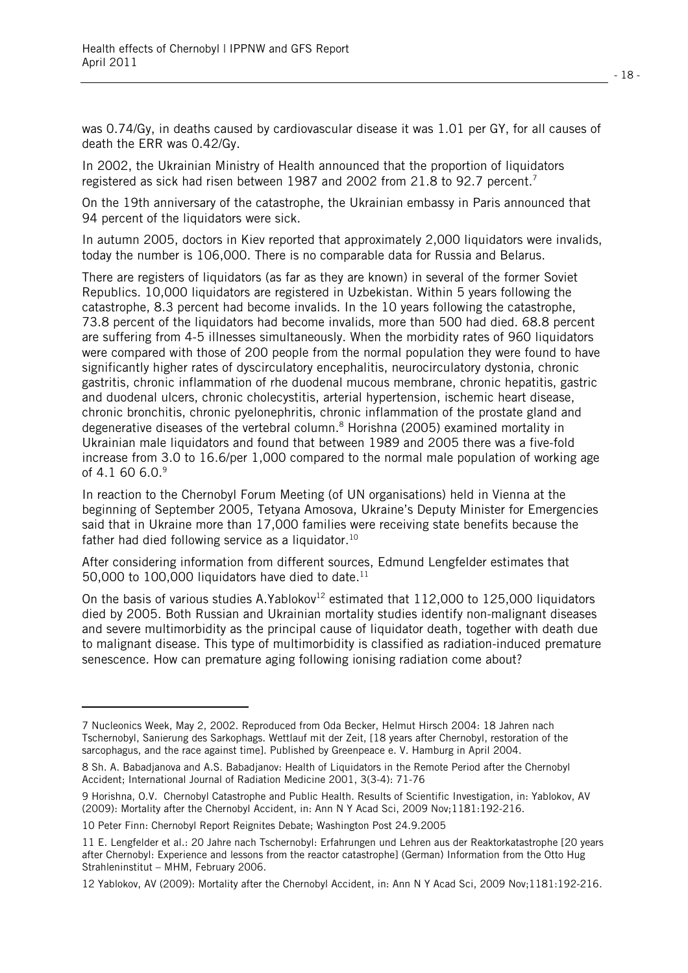was 0.74/Gy, in deaths caused by cardiovascular disease it was 1.01 per GY, for all causes of death the ERR was 0.42/Gy.

In 2002, the Ukrainian Ministry of Health announced that the proportion of liquidators registered as sick had risen between 1987 and 2002 from 21.8 to 92.7 percent.<sup>7</sup>

On the 19th anniversary of the catastrophe, the Ukrainian embassy in Paris announced that 94 percent of the liquidators were sick.

In autumn 2005, doctors in Kiev reported that approximately 2,000 liquidators were invalids, today the number is 106,000. There is no comparable data for Russia and Belarus.

There are registers of liquidators (as far as they are known) in several of the former Soviet Republics. 10,000 liquidators are registered in Uzbekistan. Within 5 years following the catastrophe, 8.3 percent had become invalids. In the 10 years following the catastrophe, 73.8 percent of the liquidators had become invalids, more than 500 had died. 68.8 percent are suffering from 4-5 illnesses simultaneously. When the morbidity rates of 960 liquidators were compared with those of 200 people from the normal population they were found to have significantly higher rates of dyscirculatory encephalitis, neurocirculatory dystonia, chronic gastritis, chronic inflammation of rhe duodenal mucous membrane, chronic hepatitis, gastric and duodenal ulcers, chronic cholecystitis, arterial hypertension, ischemic heart disease, chronic bronchitis, chronic pyelonephritis, chronic inflammation of the prostate gland and degenerative diseases of the vertebral column.<sup>8</sup> Horishna (2005) examined mortality in Ukrainian male liquidators and found that between 1989 and 2005 there was a five-fold increase from 3.0 to 16.6/per 1,000 compared to the normal male population of working age of 4.1 60 6.0.<sup>9</sup>

In reaction to the Chernobyl Forum Meeting (of UN organisations) held in Vienna at the beginning of September 2005, Tetyana Amosova, Ukraine's Deputy Minister for Emergencies said that in Ukraine more than 17,000 families were receiving state benefits because the father had died following service as a liquidator.<sup>10</sup>

After considering information from different sources, Edmund Lengfelder estimates that 50,000 to 100,000 liquidators have died to date.<sup>11</sup>

On the basis of various studies A.Yablokov<sup>12</sup> estimated that  $112,000$  to  $125,000$  liquidators died by 2005. Both Russian and Ukrainian mortality studies identify non-malignant diseases and severe multimorbidity as the principal cause of liquidator death, together with death due to malignant disease. This type of multimorbidity is classified as radiation-induced premature senescence. How can premature aging following ionising radiation come about?

l

<sup>7</sup> Nucleonics Week, May 2, 2002. Reproduced from Oda Becker, Helmut Hirsch 2004: 18 Jahren nach Tschernobyl, Sanierung des Sarkophags. Wettlauf mit der Zeit, [18 years after Chernobyl, restoration of the sarcophagus, and the race against time]. Published by Greenpeace e. V. Hamburg in April 2004.

<sup>8</sup> Sh. A. Babadjanova and A.S. Babadjanov: Health of Liquidators in the Remote Period after the Chernobyl Accident; International Journal of Radiation Medicine 2001, 3(3-4): 71-76

<sup>9</sup> Horishna, O.V. Chernobyl Catastrophe and Public Health. Results of Scientific Investigation, in: Yablokov, AV (2009): Mortality after the Chernobyl Accident, in: Ann N Y Acad Sci, 2009 Nov;1181:192-216.

<sup>10</sup> Peter Finn: Chernobyl Report Reignites Debate; Washington Post 24.9.2005

<sup>11</sup> E. Lengfelder et al.: 20 Jahre nach Tschernobyl: Erfahrungen und Lehren aus der Reaktorkatastrophe [20 years after Chernobyl: Experience and lessons from the reactor catastrophe] (German) Information from the Otto Hug Strahleninstitut – MHM, February 2006.

<sup>12</sup> Yablokov, AV (2009): Mortality after the Chernobyl Accident, in: Ann N Y Acad Sci, 2009 Nov;1181:192-216.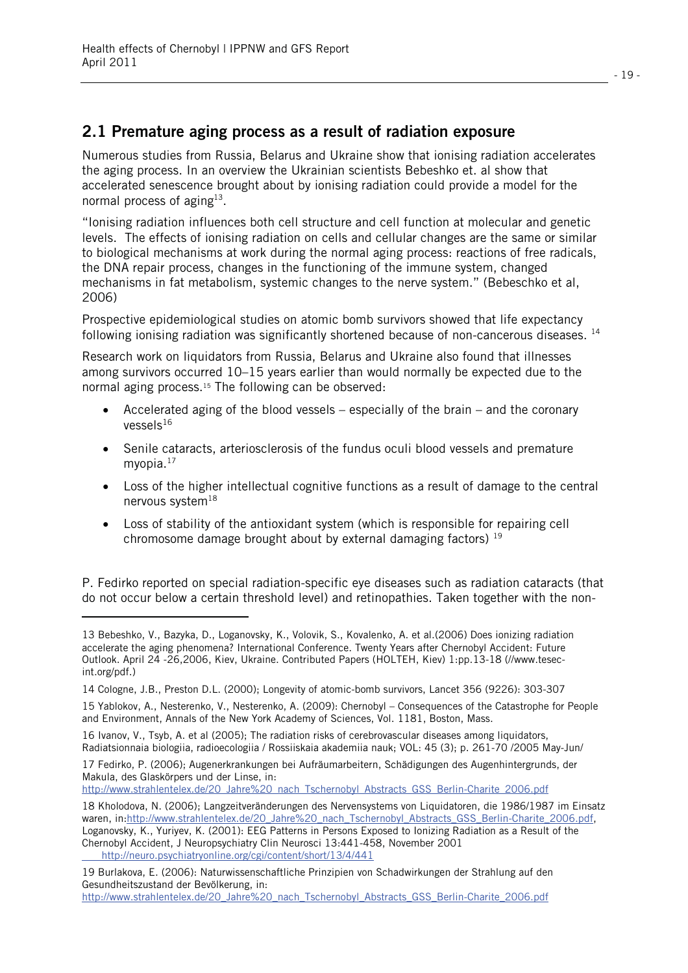l.

### **2.1 Premature aging process as a result of radiation exposure**

Numerous studies from Russia, Belarus and Ukraine show that ionising radiation accelerates the aging process. In an overview the Ukrainian scientists Bebeshko et. al show that accelerated senescence brought about by ionising radiation could provide a model for the normal process of aging $13$ .

"Ionising radiation influences both cell structure and cell function at molecular and genetic levels. The effects of ionising radiation on cells and cellular changes are the same or similar to biological mechanisms at work during the normal aging process: reactions of free radicals, the DNA repair process, changes in the functioning of the immune system, changed mechanisms in fat metabolism, systemic changes to the nerve system." (Bebeschko et al, 2006)

Prospective epidemiological studies on atomic bomb survivors showed that life expectancy following ionising radiation was significantly shortened because of non-cancerous diseases. <sup>14</sup>

Research work on liquidators from Russia, Belarus and Ukraine also found that illnesses among survivors occurred 10–15 years earlier than would normally be expected due to the normal aging process.15 The following can be observed:

- Accelerated aging of the blood vessels especially of the brain and the coronary  $V$ essels $^{16}$
- $\bullet$  Senile cataracts, arteriosclerosis of the fundus oculi blood vessels and premature myopia. $17$
- Loss of the higher intellectual cognitive functions as a result of damage to the central nervous system<sup>18</sup>
- Loss of stability of the antioxidant system (which is responsible for repairing cell chromosome damage brought about by external damaging factors)  $19$

P. Fedirko reported on special radiation-specific eye diseases such as radiation cataracts (that do not occur below a certain threshold level) and retinopathies. Taken together with the non-

<sup>13</sup> Bebeshko, V., Bazyka, D., Loganovsky, K., Volovik, S., Kovalenko, A. et al.(2006) Does ionizing radiation accelerate the aging phenomena? International Conference. Twenty Years after Chernobyl Accident: Future Outlook. April 24 -26,2006, Kiev, Ukraine. Contributed Papers (HOLTEH, Kiev) 1:pp.13-18 (//www.tesecint.org/pdf.)

<sup>14</sup> Cologne, J.B., Preston D.L. (2000); Longevity of atomic-bomb survivors, Lancet 356 (9226): 303-307

<sup>15</sup> Yablokov, A., Nesterenko, V., Nesterenko, A. (2009): Chernobyl – Consequences of the Catastrophe for People and Environment, Annals of the New York Academy of Sciences, Vol. 1181, Boston, Mass.

<sup>16</sup> Ivanov, V., Tsyb, A. et al (2005); The radiation risks of cerebrovascular diseases among liquidators, Radiatsionnaia biologiia, radioecologiia / Rossiiskaia akademiia nauk; VOL: 45 (3); p. 261-70 /2005 May-Jun/

<sup>17</sup> Fedirko, P. (2006); Augenerkrankungen bei Aufräumarbeitern, Schädigungen des Augenhintergrunds, der Makula, des Glaskörpers und der Linse, in:

http://www.strahlentelex.de/20\_Jahre%20\_nach\_Tschernobyl\_Abstracts\_GSS\_Berlin-Charite\_2006.pdf

<sup>18</sup> Kholodova, N. (2006); Langzeitveränderungen des Nervensystems von Liquidatoren, die 1986/1987 im Einsatz waren, in:http://www.strahlentelex.de/20\_Jahre%20\_nach\_Tschernobyl\_Abstracts\_GSS\_Berlin-Charite\_2006.pdf, Loganovsky, K., Yuriyev, K. (2001): EEG Patterns in Persons Exposed to Ionizing Radiation as a Result of the Chernobyl Accident, J Neuropsychiatry Clin Neurosci 13:441-458, November 2001 http://neuro.psychiatryonline.org/cgi/content/short/13/4/441

<sup>19</sup> Burlakova, E. (2006): Naturwissenschaftliche Prinzipien von Schadwirkungen der Strahlung auf den Gesundheitszustand der Bevölkerung, in:

http://www.strahlentelex.de/20\_Jahre%20\_nach\_Tschernobyl\_Abstracts\_GSS\_Berlin-Charite\_2006.pdf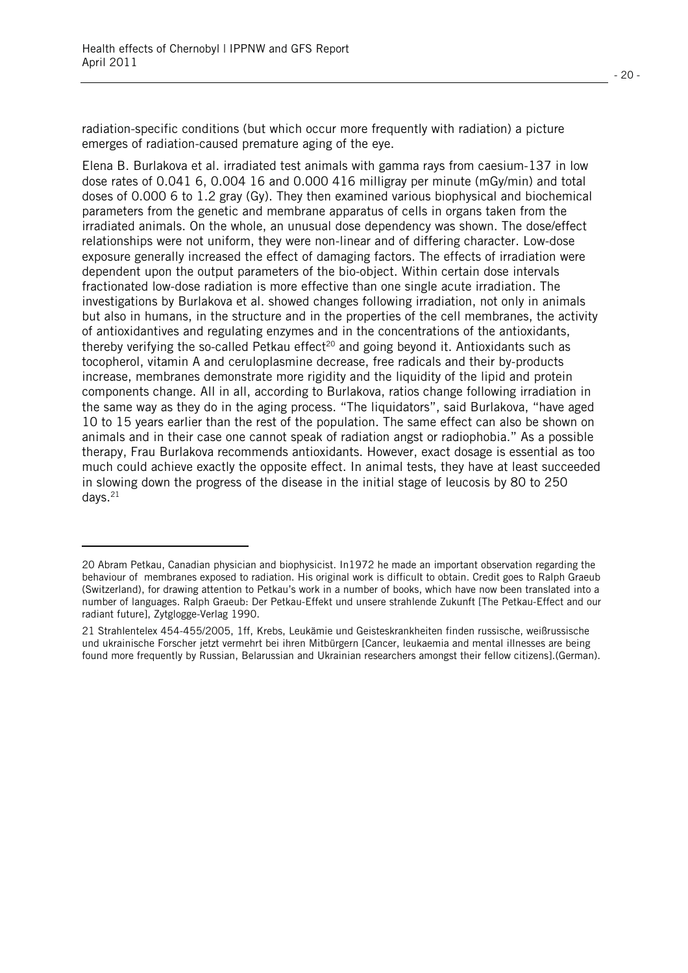l

radiation-specific conditions (but which occur more frequently with radiation) a picture emerges of radiation-caused premature aging of the eye.

Elena B. Burlakova et al. irradiated test animals with gamma rays from caesium-137 in low dose rates of 0.041 6, 0.004 16 and 0.000 416 milligray per minute (mGy/min) and total doses of 0.000 6 to 1.2 gray (Gy). They then examined various biophysical and biochemical parameters from the genetic and membrane apparatus of cells in organs taken from the irradiated animals. On the whole, an unusual dose dependency was shown. The dose/effect relationships were not uniform, they were non-linear and of differing character. Low-dose exposure generally increased the effect of damaging factors. The effects of irradiation were dependent upon the output parameters of the bio-object. Within certain dose intervals fractionated low-dose radiation is more effective than one single acute irradiation. The investigations by Burlakova et al. showed changes following irradiation, not only in animals but also in humans, in the structure and in the properties of the cell membranes, the activity of antioxidantives and regulating enzymes and in the concentrations of the antioxidants, thereby verifying the so-called Petkau effect<sup>20</sup> and going beyond it. Antioxidants such as tocopherol, vitamin A and ceruloplasmine decrease, free radicals and their by-products increase, membranes demonstrate more rigidity and the liquidity of the lipid and protein components change. All in all, according to Burlakova, ratios change following irradiation in the same way as they do in the aging process. "The liquidators", said Burlakova, "have aged 10 to 15 years earlier than the rest of the population. The same effect can also be shown on animals and in their case one cannot speak of radiation angst or radiophobia." As a possible therapy, Frau Burlakova recommends antioxidants. However, exact dosage is essential as too much could achieve exactly the opposite effect. In animal tests, they have at least succeeded in slowing down the progress of the disease in the initial stage of leucosis by 80 to 250 days. $21$ 

<sup>20</sup> Abram Petkau, Canadian physician and biophysicist. In1972 he made an important observation regarding the behaviour of membranes exposed to radiation. His original work is difficult to obtain. Credit goes to Ralph Graeub (Switzerland), for drawing attention to Petkau's work in a number of books, which have now been translated into a number of languages. Ralph Graeub: Der Petkau-Effekt und unsere strahlende Zukunft [The Petkau-Effect and our radiant future], Zytglogge-Verlag 1990.

<sup>21</sup> Strahlentelex 454-455/2005, 1ff, Krebs, Leukämie und Geisteskrankheiten finden russische, weißrussische und ukrainische Forscher jetzt vermehrt bei ihren Mitbürgern [Cancer, leukaemia and mental illnesses are being found more frequently by Russian, Belarussian and Ukrainian researchers amongst their fellow citizens].(German).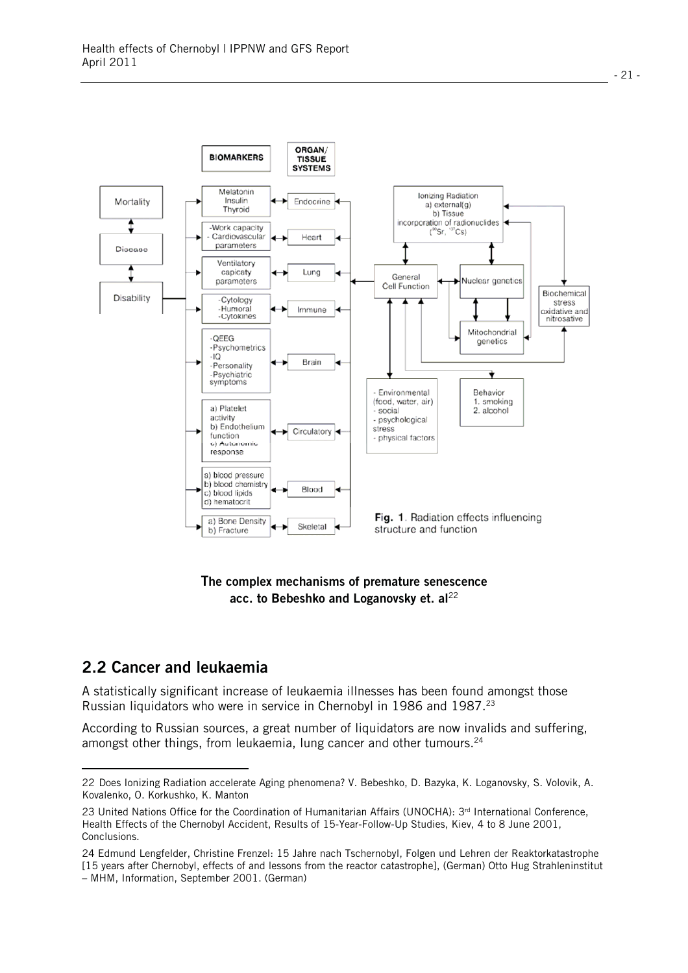

#### **The complex mechanisms of premature senescence**  acc. to Bebeshko and Loganovsky et. al<sup>22</sup>

#### **2.2 Cancer and leukaemia**

l

A statistically significant increase of leukaemia illnesses has been found amongst those Russian liquidators who were in service in Chernobyl in 1986 and 1987.<sup>23</sup>

According to Russian sources, a great number of liquidators are now invalids and suffering. amongst other things, from leukaemia, lung cancer and other tumours. $24$ 

<sup>22</sup> Does Ionizing Radiation accelerate Aging phenomena? V. Bebeshko, D. Bazyka, K. Loganovsky, S. Volovik, A. Kovalenko, O. Korkushko, K. Manton

<sup>23</sup> United Nations Office for the Coordination of Humanitarian Affairs (UNOCHA): 3<sup>rd</sup> International Conference, Health Effects of the Chernobyl Accident, Results of 15-Year-Follow-Up Studies, Kiev, 4 to 8 June 2001, Conclusions.

<sup>24</sup> Edmund Lengfelder, Christine Frenzel: 15 Jahre nach Tschernobyl, Folgen und Lehren der Reaktorkatastrophe [15 years after Chernobyl, effects of and lessons from the reactor catastrophe], (German) Otto Hug Strahleninstitut – MHM, Information, September 2001. (German)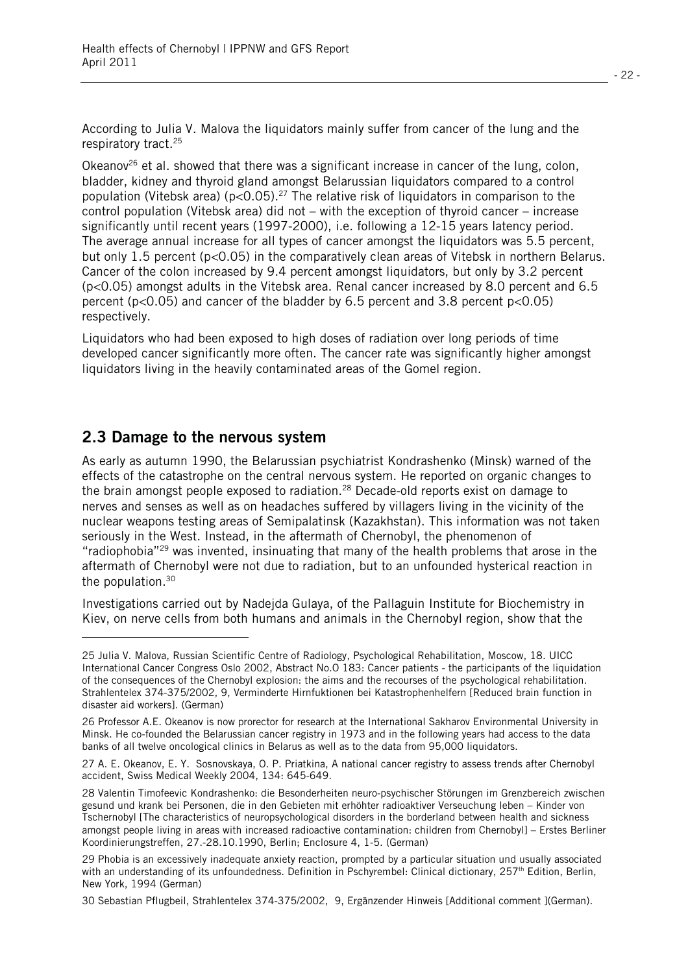According to Julia V. Malova the liquidators mainly suffer from cancer of the lung and the respiratory tract.25

Okeanov<sup>26</sup> et al. showed that there was a significant increase in cancer of the lung, colon, bladder, kidney and thyroid gland amongst Belarussian liquidators compared to a control population (Vitebsk area) ( $p < 0.05$ ).<sup>27</sup> The relative risk of liquidators in comparison to the control population (Vitebsk area) did not – with the exception of thyroid cancer – increase significantly until recent years (1997-2000), i.e. following a 12-15 years latency period. The average annual increase for all types of cancer amongst the liquidators was 5.5 percent, but only 1.5 percent (p<0.05) in the comparatively clean areas of Vitebsk in northern Belarus. Cancer of the colon increased by 9.4 percent amongst liquidators, but only by 3.2 percent (p<0.05) amongst adults in the Vitebsk area. Renal cancer increased by 8.0 percent and 6.5 percent (p<0.05) and cancer of the bladder by 6.5 percent and 3.8 percent p<0.05) respectively.

Liquidators who had been exposed to high doses of radiation over long periods of time developed cancer significantly more often. The cancer rate was significantly higher amongst liquidators living in the heavily contaminated areas of the Gomel region.

#### **2.3 Damage to the nervous system**

l.

As early as autumn 1990, the Belarussian psychiatrist Kondrashenko (Minsk) warned of the effects of the catastrophe on the central nervous system. He reported on organic changes to the brain amongst people exposed to radiation.<sup>28</sup> Decade-old reports exist on damage to nerves and senses as well as on headaches suffered by villagers living in the vicinity of the nuclear weapons testing areas of Semipalatinsk (Kazakhstan). This information was not taken seriously in the West. Instead, in the aftermath of Chernobyl, the phenomenon of "radiophobia"<sup>29</sup> was invented, insinuating that many of the health problems that arose in the aftermath of Chernobyl were not due to radiation, but to an unfounded hysterical reaction in the population.30

Investigations carried out by Nadejda Gulaya, of the Pallaguin Institute for Biochemistry in Kiev, on nerve cells from both humans and animals in the Chernobyl region, show that the

30 Sebastian Pflugbeil, Strahlentelex 374-375/2002, 9, Ergänzender Hinweis [Additional comment ](German).

<sup>25</sup> Julia V. Malova, Russian Scientific Centre of Radiology, Psychological Rehabilitation, Moscow, 18. UICC International Cancer Congress Oslo 2002, Abstract No.O 183: Cancer patients - the participants of the liquidation of the consequences of the Chernobyl explosion: the aims and the recourses of the psychological rehabilitation. Strahlentelex 374-375/2002, 9, Verminderte Hirnfuktionen bei Katastrophenhelfern [Reduced brain function in disaster aid workers]. (German)

<sup>26</sup> Professor A.E. Okeanov is now prorector for research at the International Sakharov Environmental University in Minsk. He co-founded the Belarussian cancer registry in 1973 and in the following years had access to the data banks of all twelve oncological clinics in Belarus as well as to the data from 95,000 liquidators.

<sup>27</sup> A. E. Okeanov, E. Y. Sosnovskaya, O. P. Priatkina, A national cancer registry to assess trends after Chernobyl accident, Swiss Medical Weekly 2004, 134: 645-649.

<sup>28</sup> Valentin Timofeevic Kondrashenko: die Besonderheiten neuro-psychischer Störungen im Grenzbereich zwischen gesund und krank bei Personen, die in den Gebieten mit erhöhter radioaktiver Verseuchung leben – Kinder von Tschernobyl [The characteristics of neuropsychological disorders in the borderland between health and sickness amongst people living in areas with increased radioactive contamination: children from Chernobyl] – Erstes Berliner Koordinierungstreffen, 27.-28.10.1990, Berlin; Enclosure 4, 1-5. (German)

<sup>29</sup> Phobia is an excessively inadequate anxiety reaction, prompted by a particular situation und usually associated with an understanding of its unfoundedness. Definition in Pschyrembel: Clinical dictionary, 257<sup>th</sup> Edition, Berlin, New York, 1994 (German)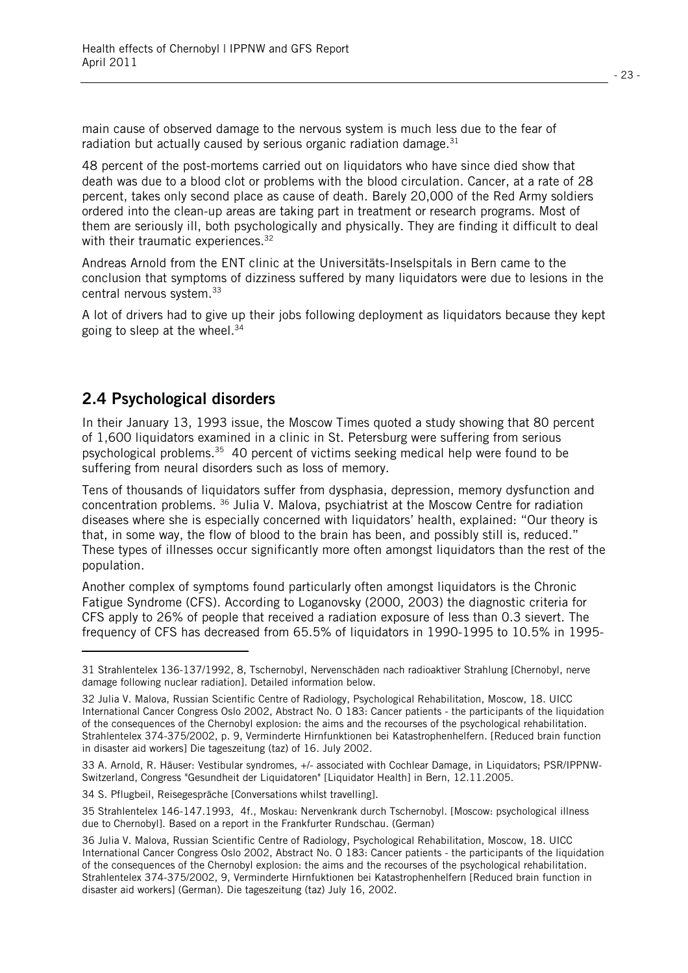main cause of observed damage to the nervous system is much less due to the fear of radiation but actually caused by serious organic radiation damage. $31$ 

48 percent of the post-mortems carried out on liquidators who have since died show that death was due to a blood clot or problems with the blood circulation. Cancer, at a rate of 28 percent, takes only second place as cause of death. Barely 20,000 of the Red Army soldiers ordered into the clean-up areas are taking part in treatment or research programs. Most of them are seriously ill, both psychologically and physically. They are finding it difficult to deal with their traumatic experiences.<sup>32</sup>

Andreas Arnold from the ENT clinic at the Universitäts-Inselspitals in Bern came to the conclusion that symptoms of dizziness suffered by many liquidators were due to lesions in the central nervous system.33

A lot of drivers had to give up their jobs following deployment as liquidators because they kept going to sleep at the wheel.34

#### **2.4 Psychological disorders**

l.

In their January 13, 1993 issue, the Moscow Times quoted a study showing that 80 percent of 1,600 liquidators examined in a clinic in St. Petersburg were suffering from serious psychological problems.35 40 percent of victims seeking medical help were found to be suffering from neural disorders such as loss of memory.

Tens of thousands of liquidators suffer from dysphasia, depression, memory dysfunction and concentration problems. 36 Julia V. Malova, psychiatrist at the Moscow Centre for radiation diseases where she is especially concerned with liquidators' health, explained: "Our theory is that, in some way, the flow of blood to the brain has been, and possibly still is, reduced." These types of illnesses occur significantly more often amongst liquidators than the rest of the population.

Another complex of symptoms found particularly often amongst liquidators is the Chronic Fatigue Syndrome (CFS). According to Loganovsky (2000, 2003) the diagnostic criteria for CFS apply to 26% of people that received a radiation exposure of less than 0.3 sievert. The frequency of CFS has decreased from 65.5% of liquidators in 1990-1995 to 10.5% in 1995-

34 S. Pflugbeil, Reisegespräche [Conversations whilst travelling].

<sup>31</sup> Strahlentelex 136-137/1992, 8, Tschernobyl, Nervenschäden nach radioaktiver Strahlung [Chernobyl, nerve damage following nuclear radiation]. Detailed information below.

<sup>32</sup> Julia V. Malova, Russian Scientific Centre of Radiology, Psychological Rehabilitation, Moscow, 18. UICC International Cancer Congress Oslo 2002, Abstract No. O 183: Cancer patients - the participants of the liquidation of the consequences of the Chernobyl explosion: the aims and the recourses of the psychological rehabilitation. Strahlentelex 374-375/2002, p. 9, Verminderte Hirnfunktionen bei Katastrophenhelfern. [Reduced brain function in disaster aid workers] Die tageszeitung (taz) of 16. July 2002.

<sup>33</sup> A. Arnold, R. Häuser: Vestibular syndromes, +/- associated with Cochlear Damage, in Liquidators; PSR/IPPNW-Switzerland, Congress "Gesundheit der Liquidatoren" [Liquidator Health] in Bern, 12.11.2005.

<sup>35</sup> Strahlentelex 146-147.1993, 4f., Moskau: Nervenkrank durch Tschernobyl. [Moscow: psychological illness due to Chernobyl]. Based on a report in the Frankfurter Rundschau. (German)

<sup>36</sup> Julia V. Malova, Russian Scientific Centre of Radiology, Psychological Rehabilitation, Moscow, 18. UICC International Cancer Congress Oslo 2002, Abstract No. O 183: Cancer patients - the participants of the liquidation of the consequences of the Chernobyl explosion: the aims and the recourses of the psychological rehabilitation. Strahlentelex 374-375/2002, 9, Verminderte Hirnfuktionen bei Katastrophenhelfern [Reduced brain function in disaster aid workers] (German). Die tageszeitung (taz) July 16, 2002.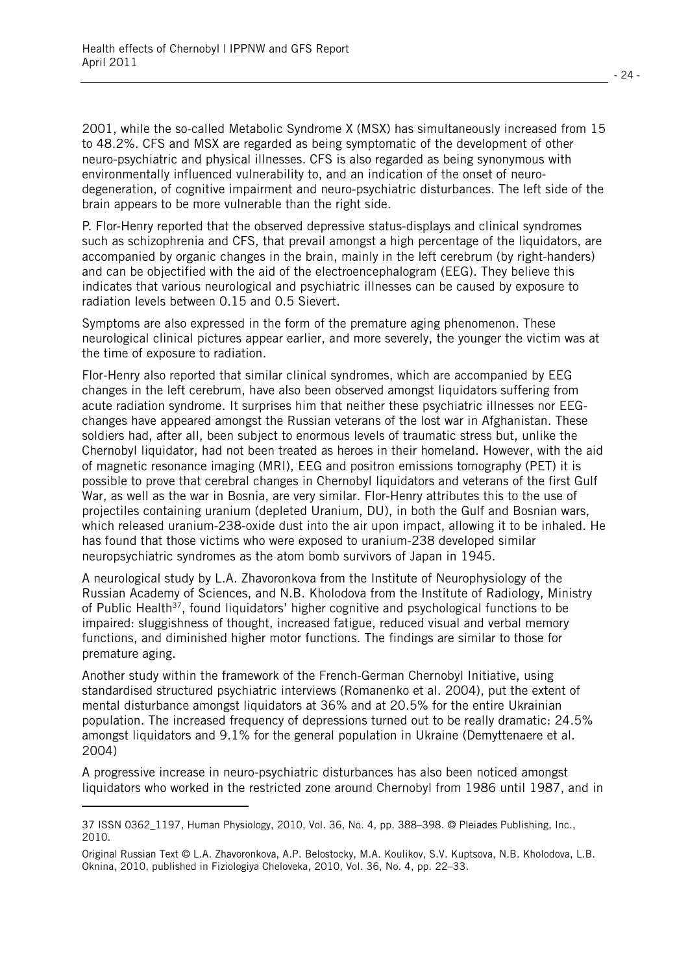2001, while the so-called Metabolic Syndrome X (MSX) has simultaneously increased from 15 to 48.2%. CFS and MSX are regarded as being symptomatic of the development of other neuro-psychiatric and physical illnesses. CFS is also regarded as being synonymous with environmentally influenced vulnerability to, and an indication of the onset of neurodegeneration, of cognitive impairment and neuro-psychiatric disturbances. The left side of the brain appears to be more vulnerable than the right side.

P. Flor-Henry reported that the observed depressive status-displays and clinical syndromes such as schizophrenia and CFS, that prevail amongst a high percentage of the liquidators, are accompanied by organic changes in the brain, mainly in the left cerebrum (by right-handers) and can be objectified with the aid of the electroencephalogram (EEG). They believe this indicates that various neurological and psychiatric illnesses can be caused by exposure to radiation levels between 0.15 and 0.5 Sievert.

Symptoms are also expressed in the form of the premature aging phenomenon. These neurological clinical pictures appear earlier, and more severely, the younger the victim was at the time of exposure to radiation.

Flor-Henry also reported that similar clinical syndromes, which are accompanied by EEG changes in the left cerebrum, have also been observed amongst liquidators suffering from acute radiation syndrome. It surprises him that neither these psychiatric illnesses nor EEGchanges have appeared amongst the Russian veterans of the lost war in Afghanistan. These soldiers had, after all, been subject to enormous levels of traumatic stress but, unlike the Chernobyl liquidator, had not been treated as heroes in their homeland. However, with the aid of magnetic resonance imaging (MRI), EEG and positron emissions tomography (PET) it is possible to prove that cerebral changes in Chernobyl liquidators and veterans of the first Gulf War, as well as the war in Bosnia, are very similar. Flor-Henry attributes this to the use of projectiles containing uranium (depleted Uranium, DU), in both the Gulf and Bosnian wars, which released uranium-238-oxide dust into the air upon impact, allowing it to be inhaled. He has found that those victims who were exposed to uranium-238 developed similar neuropsychiatric syndromes as the atom bomb survivors of Japan in 1945.

A neurological study by L.A. Zhavoronkova from the Institute of Neurophysiology of the Russian Academy of Sciences, and N.B. Kholodova from the Institute of Radiology, Ministry of Public Health<sup>37</sup>, found liquidators' higher cognitive and psychological functions to be impaired: sluggishness of thought, increased fatigue, reduced visual and verbal memory functions, and diminished higher motor functions. The findings are similar to those for premature aging.

Another study within the framework of the French-German Chernobyl Initiative, using standardised structured psychiatric interviews (Romanenko et al. 2004), put the extent of mental disturbance amongst liquidators at 36% and at 20.5% for the entire Ukrainian population. The increased frequency of depressions turned out to be really dramatic: 24.5% amongst liquidators and 9.1% for the general population in Ukraine (Demyttenaere et al. 2004)

A progressive increase in neuro-psychiatric disturbances has also been noticed amongst liquidators who worked in the restricted zone around Chernobyl from 1986 until 1987, and in

l

<sup>37</sup> ISSN 0362\_1197, Human Physiology, 2010, Vol. 36, No. 4, pp. 388–398. © Pleiades Publishing, Inc., 2010.

Original Russian Text © L.A. Zhavoronkova, A.P. Belostocky, M.A. Koulikov, S.V. Kuptsova, N.B. Kholodova, L.B. Oknina, 2010, published in Fiziologiya Cheloveka, 2010, Vol. 36, No. 4, pp. 22–33.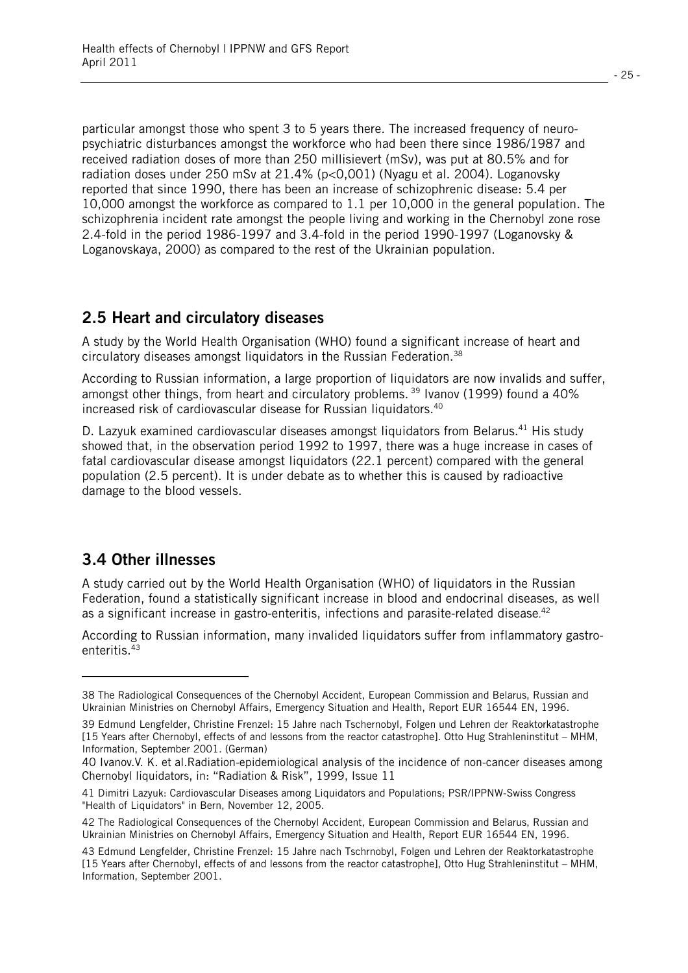particular amongst those who spent 3 to 5 years there. The increased frequency of neuropsychiatric disturbances amongst the workforce who had been there since 1986/1987 and received radiation doses of more than 250 millisievert (mSv), was put at 80.5% and for radiation doses under 250 mSv at 21.4% (p<0,001) (Nyagu et al. 2004). Loganovsky reported that since 1990, there has been an increase of schizophrenic disease: 5.4 per 10,000 amongst the workforce as compared to 1.1 per 10,000 in the general population. The schizophrenia incident rate amongst the people living and working in the Chernobyl zone rose 2.4-fold in the period 1986-1997 and 3.4-fold in the period 1990-1997 (Loganovsky & Loganovskaya, 2000) as compared to the rest of the Ukrainian population.

#### **2.5 Heart and circulatory diseases**

A study by the World Health Organisation (WHO) found a significant increase of heart and circulatory diseases amongst liquidators in the Russian Federation.38

According to Russian information, a large proportion of liquidators are now invalids and suffer, amongst other things, from heart and circulatory problems.<sup>39</sup> Ivanov (1999) found a 40% increased risk of cardiovascular disease for Russian liquidators.<sup>40</sup>

D. Lazyuk examined cardiovascular diseases amongst liquidators from Belarus.<sup>41</sup> His study showed that, in the observation period 1992 to 1997, there was a huge increase in cases of fatal cardiovascular disease amongst liquidators (22.1 percent) compared with the general population (2.5 percent). It is under debate as to whether this is caused by radioactive damage to the blood vessels.

## **3.4 Other illnesses**

l.

A study carried out by the World Health Organisation (WHO) of liquidators in the Russian Federation, found a statistically significant increase in blood and endocrinal diseases, as well as a significant increase in gastro-enteritis, infections and parasite-related disease. 42

According to Russian information, many invalided liquidators suffer from inflammatory gastroenteritis.43

<sup>38</sup> The Radiological Consequences of the Chernobyl Accident, European Commission and Belarus, Russian and Ukrainian Ministries on Chernobyl Affairs, Emergency Situation and Health, Report EUR 16544 EN, 1996.

<sup>39</sup> Edmund Lengfelder, Christine Frenzel: 15 Jahre nach Tschernobyl, Folgen und Lehren der Reaktorkatastrophe [15 Years after Chernobyl, effects of and lessons from the reactor catastrophe]. Otto Hug Strahleninstitut – MHM, Information, September 2001. (German)

<sup>40</sup> Ivanov.V. K. et al.Radiation-epidemiological analysis of the incidence of non-cancer diseases among Chernobyl liquidators, in: "Radiation & Risk", 1999, Issue 11

<sup>41</sup> Dimitri Lazyuk: Cardiovascular Diseases among Liquidators and Populations; PSR/IPPNW-Swiss Congress "Health of Liquidators" in Bern, November 12, 2005.

<sup>42</sup> The Radiological Consequences of the Chernobyl Accident, European Commission and Belarus, Russian and Ukrainian Ministries on Chernobyl Affairs, Emergency Situation and Health, Report EUR 16544 EN, 1996.

<sup>43</sup> Edmund Lengfelder, Christine Frenzel: 15 Jahre nach Tschrnobyl, Folgen und Lehren der Reaktorkatastrophe [15 Years after Chernobyl, effects of and lessons from the reactor catastrophe], Otto Hug Strahleninstitut – MHM, Information, September 2001.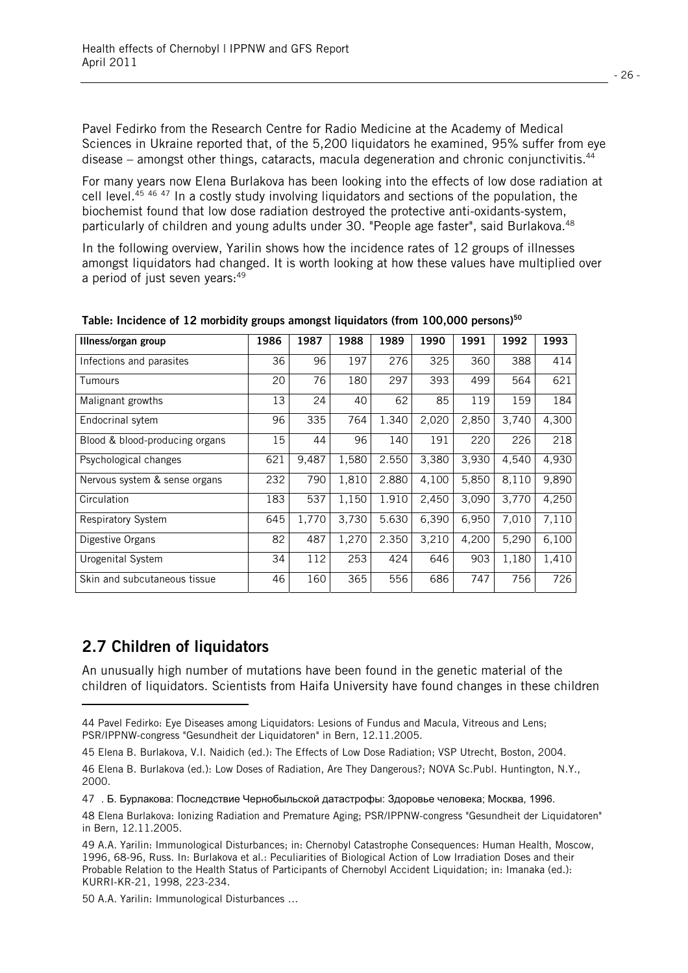Pavel Fedirko from the Research Centre for Radio Medicine at the Academy of Medical Sciences in Ukraine reported that, of the 5,200 liquidators he examined, 95% suffer from eye disease – amongst other things, cataracts, macula degeneration and chronic conjunctivitis.<sup>44</sup>

For many years now Elena Burlakova has been looking into the effects of low dose radiation at cell level.45 <sup>46</sup> 47 In a costly study involving liquidators and sections of the population, the biochemist found that low dose radiation destroyed the protective anti-oxidants-system, particularly of children and young adults under 30. "People age faster", said Burlakova.<sup>48</sup>

In the following overview, Yarilin shows how the incidence rates of 12 groups of illnesses amongst liquidators had changed. It is worth looking at how these values have multiplied over a period of just seven years:<sup>49</sup>

| Illness/organ group            | 1986 | 1987  | 1988  | 1989  | 1990  | 1991  | 1992  | 1993  |
|--------------------------------|------|-------|-------|-------|-------|-------|-------|-------|
| Infections and parasites       | 36   | 96    | 197   | 276   | 325   | 360   | 388   | 414   |
| <b>Tumours</b>                 | 20   | 76    | 180   | 297   | 393   | 499   | 564   | 621   |
| Malignant growths              | 13   | 24    | 40    | 62    | 85    | 119   | 159   | 184   |
| Endocrinal sytem               | 96   | 335   | 764   | 1.340 | 2,020 | 2,850 | 3,740 | 4,300 |
| Blood & blood-producing organs | 15   | 44    | 96    | 140   | 191   | 220   | 226   | 218   |
| Psychological changes          | 621  | 9,487 | 1,580 | 2.550 | 3,380 | 3,930 | 4,540 | 4,930 |
| Nervous system & sense organs  | 232  | 790   | 1,810 | 2.880 | 4,100 | 5,850 | 8,110 | 9,890 |
| Circulation                    | 183  | 537   | 1,150 | 1.910 | 2,450 | 3,090 | 3,770 | 4,250 |
| <b>Respiratory System</b>      | 645  | 1.770 | 3,730 | 5.630 | 6.390 | 6,950 | 7,010 | 7,110 |
| Digestive Organs               | 82   | 487   | 1,270 | 2.350 | 3,210 | 4,200 | 5,290 | 6,100 |
| Urogenital System              | 34   | 112   | 253   | 424   | 646   | 903   | 1,180 | 1,410 |
| Skin and subcutaneous tissue   | 46   | 160   | 365   | 556   | 686   | 747   | 756   | 726   |

**Table: Incidence of 12 morbidity groups amongst liquidators (from 100,000 persons)50**

## **2.7 Children of liquidators**

l

An unusually high number of mutations have been found in the genetic material of the children of liquidators. Scientists from Haifa University have found changes in these children

50 A.A. Yarilin: Immunological Disturbances …

<sup>44</sup> Pavel Fedirko: Eye Diseases among Liquidators: Lesions of Fundus and Macula, Vitreous and Lens; PSR/IPPNW-congress "Gesundheit der Liquidatoren" in Bern, 12.11.2005.

<sup>45</sup> Elena B. Burlakova, V.I. Naidich (ed.): The Effects of Low Dose Radiation; VSP Utrecht, Boston, 2004.

<sup>46</sup> Elena B. Burlakova (ed.): Low Doses of Radiation, Are They Dangerous?; NOVA Sc.Publ. Huntington, N.Y., 2000.

<sup>47 .</sup> Б. Бурлакова: Последствие Чернобыльской датастрофы: Здоровье человека; Москва, 1996.

<sup>48</sup> Elena Burlakova: Ionizing Radiation and Premature Aging; PSR/IPPNW-congress "Gesundheit der Liquidatoren" in Bern, 12.11.2005.

<sup>49</sup> A.A. Yarilin: Immunological Disturbances; in: Chernobyl Catastrophe Consequences: Human Health, Moscow, 1996, 68-96, Russ. In: Burlakova et al.: Peculiarities of Biological Action of Low Irradiation Doses and their Probable Relation to the Health Status of Participants of Chernobyl Accident Liquidation; in: Imanaka (ed.): KURRI-KR-21, 1998, 223-234.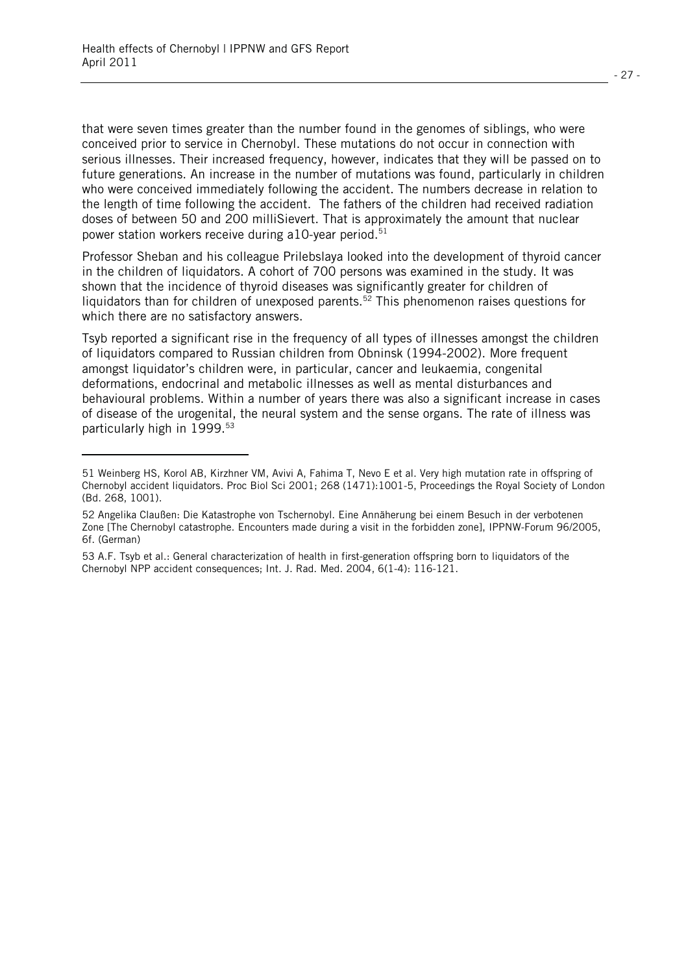l.

that were seven times greater than the number found in the genomes of siblings, who were conceived prior to service in Chernobyl. These mutations do not occur in connection with serious illnesses. Their increased frequency, however, indicates that they will be passed on to future generations. An increase in the number of mutations was found, particularly in children who were conceived immediately following the accident. The numbers decrease in relation to the length of time following the accident. The fathers of the children had received radiation doses of between 50 and 200 milliSievert. That is approximately the amount that nuclear power station workers receive during a10-year period.<sup>51</sup>

Professor Sheban and his colleague Prilebslaya looked into the development of thyroid cancer in the children of liquidators. A cohort of 700 persons was examined in the study. It was shown that the incidence of thyroid diseases was significantly greater for children of liquidators than for children of unexposed parents.<sup>52</sup> This phenomenon raises questions for which there are no satisfactory answers.

Tsyb reported a significant rise in the frequency of all types of illnesses amongst the children of liquidators compared to Russian children from Obninsk (1994-2002). More frequent amongst liquidator's children were, in particular, cancer and leukaemia, congenital deformations, endocrinal and metabolic illnesses as well as mental disturbances and behavioural problems. Within a number of years there was also a significant increase in cases of disease of the urogenital, the neural system and the sense organs. The rate of illness was particularly high in 1999.<sup>53</sup>

<sup>51</sup> Weinberg HS, Korol AB, Kirzhner VM, Avivi A, Fahima T, Nevo E et al. Very high mutation rate in offspring of Chernobyl accident liquidators. Proc Biol Sci 2001; 268 (1471):1001-5, Proceedings the Royal Society of London (Bd. 268, 1001).

<sup>52</sup> Angelika Claußen: Die Katastrophe von Tschernobyl. Eine Annäherung bei einem Besuch in der verbotenen Zone [The Chernobyl catastrophe. Encounters made during a visit in the forbidden zone], IPPNW-Forum 96/2005, 6f. (German)

<sup>53</sup> A.F. Tsyb et al.: General characterization of health in first-generation offspring born to liquidators of the Chernobyl NPP accident consequences; Int. J. Rad. Med. 2004, 6(1-4): 116-121.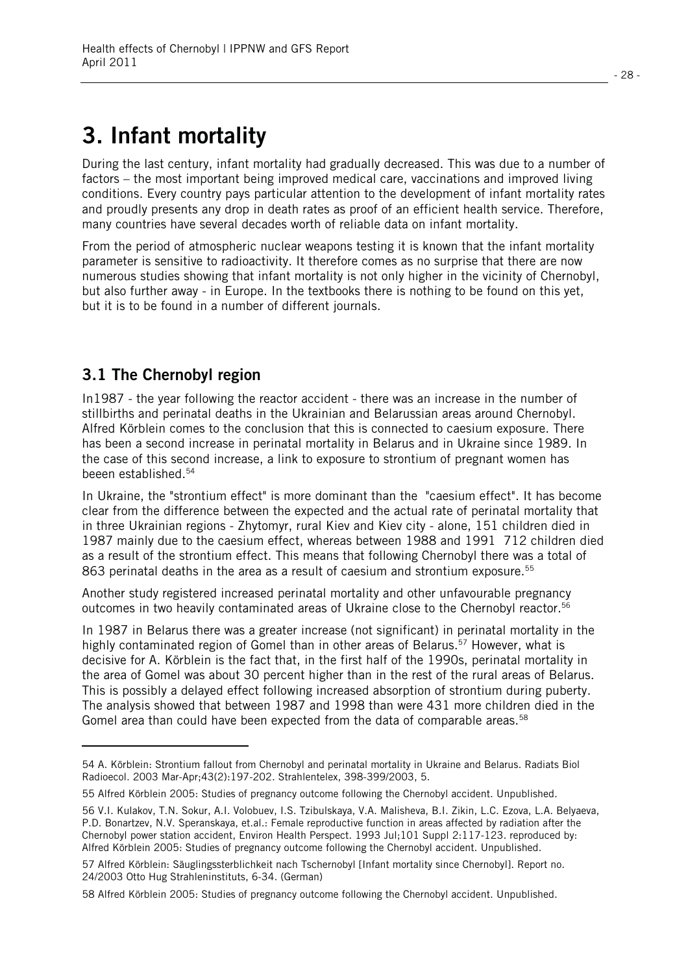# **3. Infant mortality**

During the last century, infant mortality had gradually decreased. This was due to a number of factors – the most important being improved medical care, vaccinations and improved living conditions. Every country pays particular attention to the development of infant mortality rates and proudly presents any drop in death rates as proof of an efficient health service. Therefore, many countries have several decades worth of reliable data on infant mortality.

From the period of atmospheric nuclear weapons testing it is known that the infant mortality parameter is sensitive to radioactivity. It therefore comes as no surprise that there are now numerous studies showing that infant mortality is not only higher in the vicinity of Chernobyl, but also further away - in Europe. In the textbooks there is nothing to be found on this yet, but it is to be found in a number of different journals.

## **3.1 The Chernobyl region**

l.

In1987 - the year following the reactor accident - there was an increase in the number of stillbirths and perinatal deaths in the Ukrainian and Belarussian areas around Chernobyl. Alfred Körblein comes to the conclusion that this is connected to caesium exposure. There has been a second increase in perinatal mortality in Belarus and in Ukraine since 1989. In the case of this second increase, a link to exposure to strontium of pregnant women has beeen established.54

In Ukraine, the "strontium effect" is more dominant than the "caesium effect". It has become clear from the difference between the expected and the actual rate of perinatal mortality that in three Ukrainian regions - Zhytomyr, rural Kiev and Kiev city - alone, 151 children died in 1987 mainly due to the caesium effect, whereas between 1988 and 1991 712 children died as a result of the strontium effect. This means that following Chernobyl there was a total of 863 perinatal deaths in the area as a result of caesium and strontium exposure.<sup>55</sup>

Another study registered increased perinatal mortality and other unfavourable pregnancy outcomes in two heavily contaminated areas of Ukraine close to the Chernobyl reactor.56

In 1987 in Belarus there was a greater increase (not significant) in perinatal mortality in the highly contaminated region of Gomel than in other areas of Belarus.<sup>57</sup> However, what is decisive for A. Körblein is the fact that, in the first half of the 1990s, perinatal mortality in the area of Gomel was about 30 percent higher than in the rest of the rural areas of Belarus. This is possibly a delayed effect following increased absorption of strontium during puberty. The analysis showed that between 1987 and 1998 than were 431 more children died in the Gomel area than could have been expected from the data of comparable areas.<sup>58</sup>

<sup>54</sup> A. Körblein: Strontium fallout from Chernobyl and perinatal mortality in Ukraine and Belarus. Radiats Biol Radioecol. 2003 Mar-Apr;43(2):197-202. Strahlentelex, 398-399/2003, 5.

<sup>55</sup> Alfred Körblein 2005: Studies of pregnancy outcome following the Chernobyl accident. Unpublished.

<sup>56</sup> V.I. Kulakov, T.N. Sokur, A.I. Volobuev, I.S. Tzibulskaya, V.A. Malisheva, B.I. Zikin, L.C. Ezova, L.A. Belyaeva, P.D. Bonartzev, N.V. Speranskaya, et.al.: Female reproductive function in areas affected by radiation after the Chernobyl power station accident, Environ Health Perspect. 1993 Jul;101 Suppl 2:117-123. reproduced by: Alfred Körblein 2005: Studies of pregnancy outcome following the Chernobyl accident. Unpublished.

<sup>57</sup> Alfred Körblein: Säuglingssterblichkeit nach Tschernobyl [Infant mortality since Chernobyl]. Report no. 24/2003 Otto Hug Strahleninstituts, 6-34. (German)

<sup>58</sup> Alfred Körblein 2005: Studies of pregnancy outcome following the Chernobyl accident. Unpublished.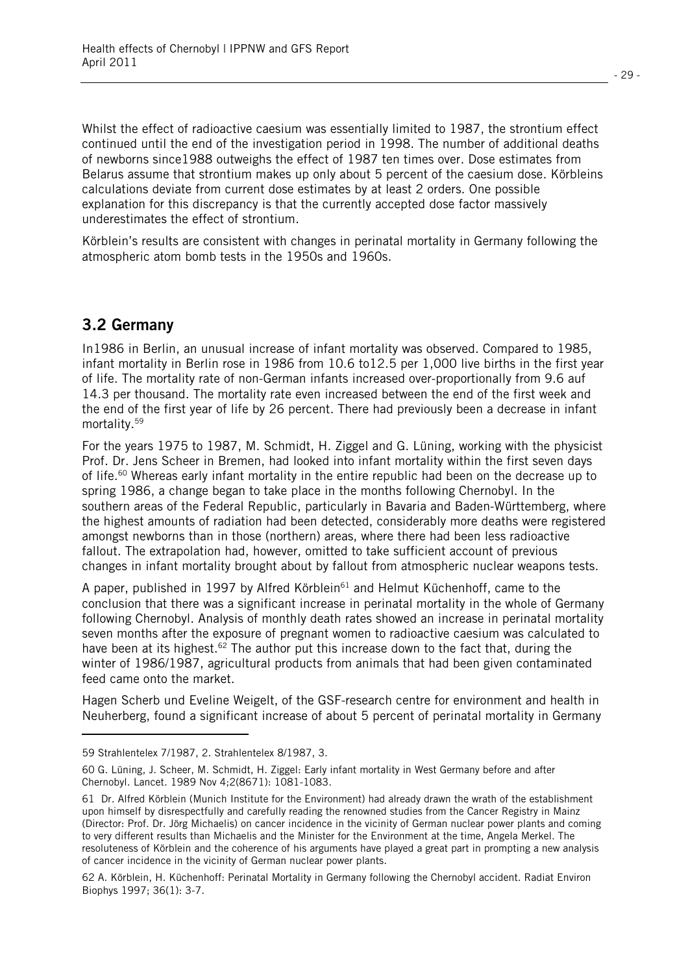Whilst the effect of radioactive caesium was essentially limited to 1987, the strontium effect continued until the end of the investigation period in 1998. The number of additional deaths of newborns since1988 outweighs the effect of 1987 ten times over. Dose estimates from Belarus assume that strontium makes up only about 5 percent of the caesium dose. Körbleins calculations deviate from current dose estimates by at least 2 orders. One possible explanation for this discrepancy is that the currently accepted dose factor massively underestimates the effect of strontium.

Körblein's results are consistent with changes in perinatal mortality in Germany following the atmospheric atom bomb tests in the 1950s and 1960s.

### **3.2 Germany**

l

In1986 in Berlin, an unusual increase of infant mortality was observed. Compared to 1985, infant mortality in Berlin rose in 1986 from 10.6 to12.5 per 1,000 live births in the first year of life. The mortality rate of non-German infants increased over-proportionally from 9.6 auf 14.3 per thousand. The mortality rate even increased between the end of the first week and the end of the first year of life by 26 percent. There had previously been a decrease in infant mortality.59

For the years 1975 to 1987, M. Schmidt, H. Ziggel and G. Lüning, working with the physicist Prof. Dr. Jens Scheer in Bremen, had looked into infant mortality within the first seven days of life.<sup>60</sup> Whereas early infant mortality in the entire republic had been on the decrease up to spring 1986, a change began to take place in the months following Chernobyl. In the southern areas of the Federal Republic, particularly in Bavaria and Baden-Württemberg, where the highest amounts of radiation had been detected, considerably more deaths were registered amongst newborns than in those (northern) areas, where there had been less radioactive fallout. The extrapolation had, however, omitted to take sufficient account of previous changes in infant mortality brought about by fallout from atmospheric nuclear weapons tests.

A paper, published in 1997 by Alfred Körblein $61$  and Helmut Küchenhoff, came to the conclusion that there was a significant increase in perinatal mortality in the whole of Germany following Chernobyl. Analysis of monthly death rates showed an increase in perinatal mortality seven months after the exposure of pregnant women to radioactive caesium was calculated to have been at its highest.<sup>62</sup> The author put this increase down to the fact that, during the winter of 1986/1987, agricultural products from animals that had been given contaminated feed came onto the market.

Hagen Scherb und Eveline Weigelt, of the GSF-research centre for environment and health in Neuherberg, found a significant increase of about 5 percent of perinatal mortality in Germany

<sup>59</sup> Strahlentelex 7/1987, 2. Strahlentelex 8/1987, 3.

<sup>60</sup> G. Lüning, J. Scheer, M. Schmidt, H. Ziggel: Early infant mortality in West Germany before and after Chernobyl. Lancet. 1989 Nov 4;2(8671): 1081-1083.

<sup>61</sup> Dr. Alfred Körblein (Munich Institute for the Environment) had already drawn the wrath of the establishment upon himself by disrespectfully and carefully reading the renowned studies from the Cancer Registry in Mainz (Director: Prof. Dr. Jörg Michaelis) on cancer incidence in the vicinity of German nuclear power plants and coming to very different results than Michaelis and the Minister for the Environment at the time, Angela Merkel. The resoluteness of Körblein and the coherence of his arguments have played a great part in prompting a new analysis of cancer incidence in the vicinity of German nuclear power plants.

<sup>62</sup> A. Körblein, H. Küchenhoff: Perinatal Mortality in Germany following the Chernobyl accident. Radiat Environ Biophys 1997; 36(1): 3-7.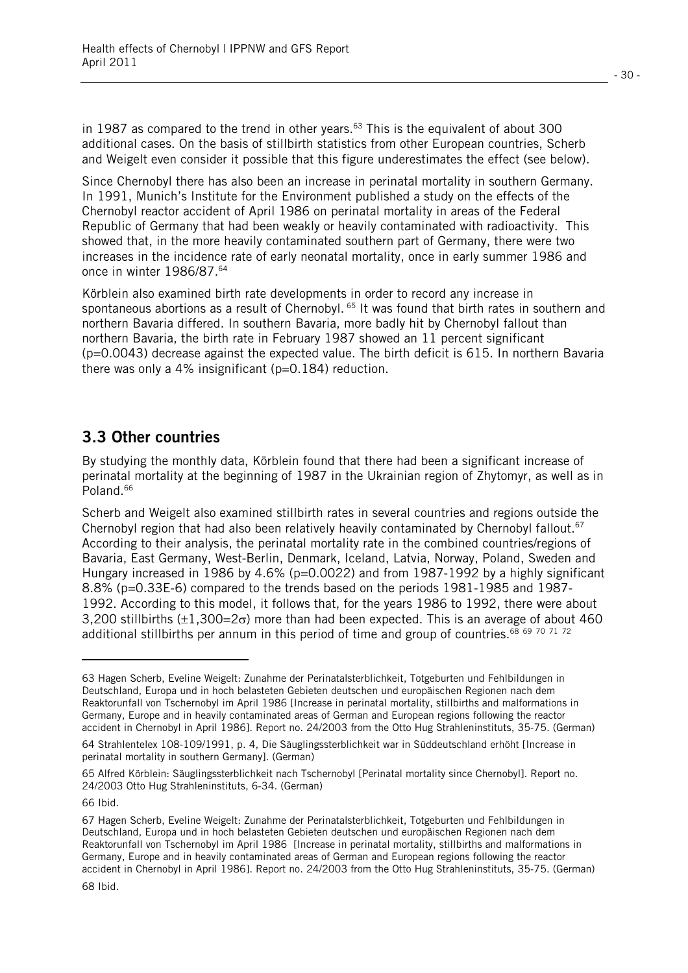in 1987 as compared to the trend in other years. $63$  This is the equivalent of about 300 additional cases. On the basis of stillbirth statistics from other European countries, Scherb and Weigelt even consider it possible that this figure underestimates the effect (see below).

Since Chernobyl there has also been an increase in perinatal mortality in southern Germany. In 1991, Munich's Institute for the Environment published a study on the effects of the Chernobyl reactor accident of April 1986 on perinatal mortality in areas of the Federal Republic of Germany that had been weakly or heavily contaminated with radioactivity. This showed that, in the more heavily contaminated southern part of Germany, there were two increases in the incidence rate of early neonatal mortality, once in early summer 1986 and once in winter 1986/87.<sup>64</sup>

Körblein also examined birth rate developments in order to record any increase in spontaneous abortions as a result of Chernobyl. <sup>65</sup> It was found that birth rates in southern and northern Bavaria differed. In southern Bavaria, more badly hit by Chernobyl fallout than northern Bavaria, the birth rate in February 1987 showed an 11 percent significant (p=0.0043) decrease against the expected value. The birth deficit is 615. In northern Bavaria there was only a 4% insignificant ( $p=0.184$ ) reduction.

## **3.3 Other countries**

By studying the monthly data, Körblein found that there had been a significant increase of perinatal mortality at the beginning of 1987 in the Ukrainian region of Zhytomyr, as well as in Poland.<sup>66</sup>

Scherb and Weigelt also examined stillbirth rates in several countries and regions outside the Chernobyl region that had also been relatively heavily contaminated by Chernobyl fallout.<sup>67</sup> According to their analysis, the perinatal mortality rate in the combined countries/regions of Bavaria, East Germany, West-Berlin, Denmark, Iceland, Latvia, Norway, Poland, Sweden and Hungary increased in 1986 by 4.6% (p=0.0022) and from 1987-1992 by a highly significant 8.8% (p=0.33E-6) compared to the trends based on the periods 1981-1985 and 1987- 1992. According to this model, it follows that, for the years 1986 to 1992, there were about 3,200 stillbirths ( $\pm 1.300 = 2\sigma$ ) more than had been expected. This is an average of about 460 additional stillbirths per annum in this period of time and group of countries.<sup>68 69 70 71 72</sup>

l.

<sup>63</sup> Hagen Scherb, Eveline Weigelt: Zunahme der Perinatalsterblichkeit, Totgeburten und Fehlbildungen in Deutschland, Europa und in hoch belasteten Gebieten deutschen und europäischen Regionen nach dem Reaktorunfall von Tschernobyl im April 1986 [Increase in perinatal mortality, stillbirths and malformations in Germany, Europe and in heavily contaminated areas of German and European regions following the reactor accident in Chernobyl in April 1986]. Report no. 24/2003 from the Otto Hug Strahleninstituts, 35-75. (German)

<sup>64</sup> Strahlentelex 108-109/1991, p. 4, Die Säuglingssterblichkeit war in Süddeutschland erhöht [Increase in perinatal mortality in southern Germany]. (German)

<sup>65</sup> Alfred Körblein: Säuglingssterblichkeit nach Tschernobyl [Perinatal mortality since Chernobyl]. Report no. 24/2003 Otto Hug Strahleninstituts, 6-34. (German)

<sup>66</sup> Ibid.

<sup>67</sup> Hagen Scherb, Eveline Weigelt: Zunahme der Perinatalsterblichkeit, Totgeburten und Fehlbildungen in Deutschland, Europa und in hoch belasteten Gebieten deutschen und europäischen Regionen nach dem Reaktorunfall von Tschernobyl im April 1986 [Increase in perinatal mortality, stillbirths and malformations in Germany, Europe and in heavily contaminated areas of German and European regions following the reactor accident in Chernobyl in April 1986]. Report no. 24/2003 from the Otto Hug Strahleninstituts, 35-75. (German) 68 Ibid.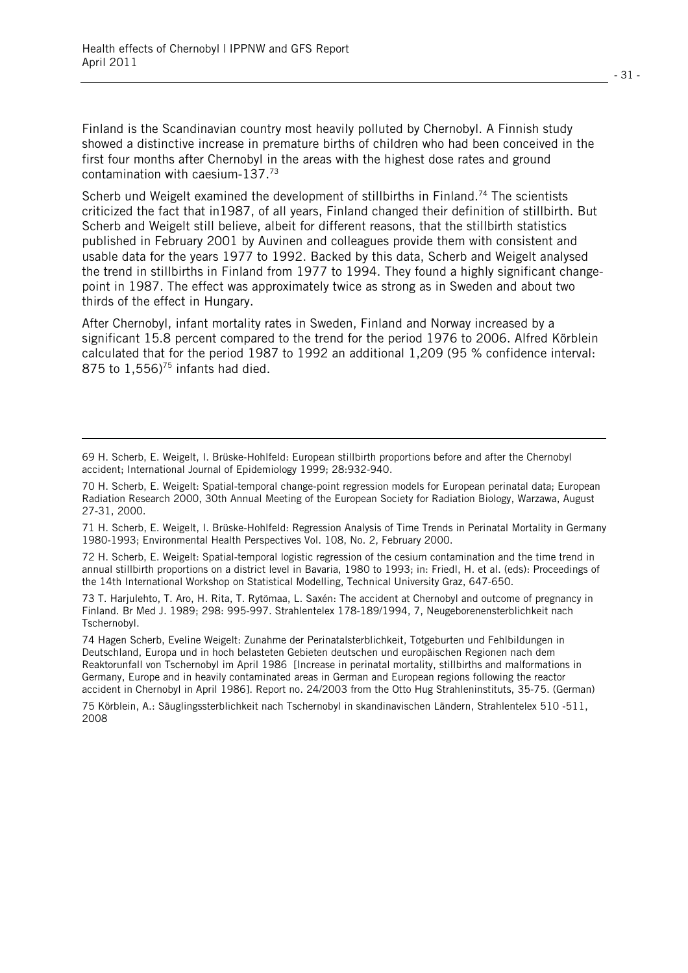l

Finland is the Scandinavian country most heavily polluted by Chernobyl. A Finnish study showed a distinctive increase in premature births of children who had been conceived in the first four months after Chernobyl in the areas with the highest dose rates and ground contamination with caesium-137.73

Scherb und Weigelt examined the development of stillbirths in Finland.<sup>74</sup> The scientists criticized the fact that in1987, of all years, Finland changed their definition of stillbirth. But Scherb and Weigelt still believe, albeit for different reasons, that the stillbirth statistics published in February 2001 by Auvinen and colleagues provide them with consistent and usable data for the years 1977 to 1992. Backed by this data, Scherb and Weigelt analysed the trend in stillbirths in Finland from 1977 to 1994. They found a highly significant changepoint in 1987. The effect was approximately twice as strong as in Sweden and about two thirds of the effect in Hungary.

After Chernobyl, infant mortality rates in Sweden, Finland and Norway increased by a significant 15.8 percent compared to the trend for the period 1976 to 2006. Alfred Körblein calculated that for the period 1987 to 1992 an additional 1,209 (95 % confidence interval: 875 to  $1,556$ <sup>75</sup> infants had died.

71 H. Scherb, E. Weigelt, I. Brüske-Hohlfeld: Regression Analysis of Time Trends in Perinatal Mortality in Germany 1980-1993; Environmental Health Perspectives Vol. 108, No. 2, February 2000.

72 H. Scherb, E. Weigelt: Spatial-temporal logistic regression of the cesium contamination and the time trend in annual stillbirth proportions on a district level in Bavaria, 1980 to 1993; in: Friedl, H. et al. (eds): Proceedings of the 14th International Workshop on Statistical Modelling, Technical University Graz, 647-650.

73 T. Harjulehto, T. Aro, H. Rita, T. Rytömaa, L. Saxén: The accident at Chernobyl and outcome of pregnancy in Finland. Br Med J. 1989; 298: 995-997. Strahlentelex 178-189/1994, 7, Neugeborenensterblichkeit nach Tschernobyl.

74 Hagen Scherb, Eveline Weigelt: Zunahme der Perinatalsterblichkeit, Totgeburten und Fehlbildungen in Deutschland, Europa und in hoch belasteten Gebieten deutschen und europäischen Regionen nach dem Reaktorunfall von Tschernobyl im April 1986 [Increase in perinatal mortality, stillbirths and malformations in Germany, Europe and in heavily contaminated areas in German and European regions following the reactor accident in Chernobyl in April 1986]. Report no. 24/2003 from the Otto Hug Strahleninstituts, 35-75. (German)

75 Körblein, A.: Säuglingssterblichkeit nach Tschernobyl in skandinavischen Ländern, Strahlentelex 510 -511, 2008

<sup>69</sup> H. Scherb, E. Weigelt, I. Brüske-Hohlfeld: European stillbirth proportions before and after the Chernobyl accident; International Journal of Epidemiology 1999; 28:932-940.

<sup>70</sup> H. Scherb, E. Weigelt: Spatial-temporal change-point regression models for European perinatal data; European Radiation Research 2000, 30th Annual Meeting of the European Society for Radiation Biology, Warzawa, August 27-31, 2000.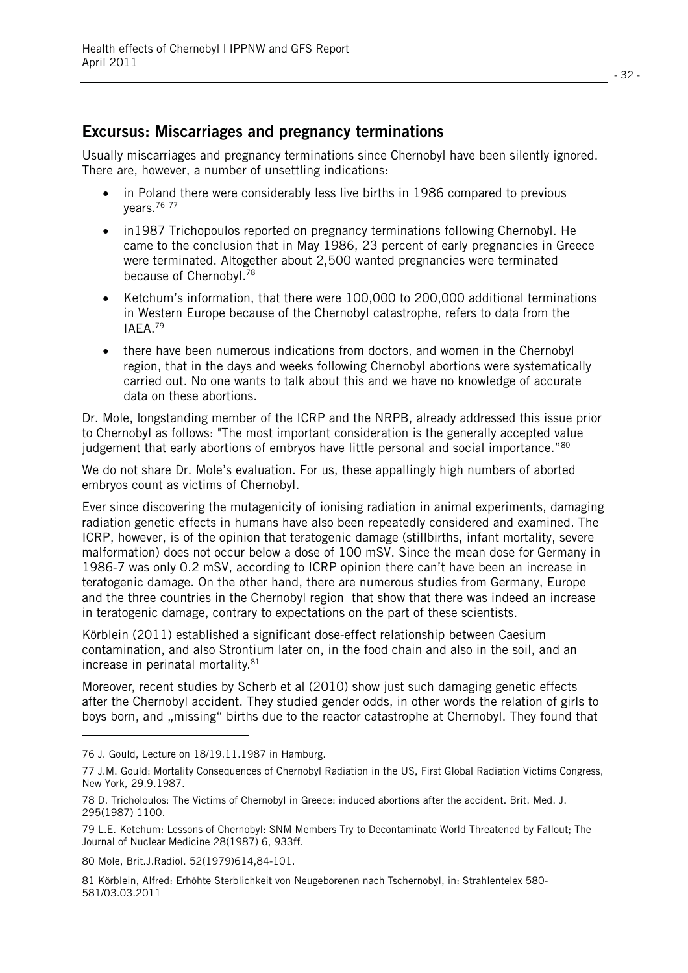### **Excursus: Miscarriages and pregnancy terminations**

Usually miscarriages and pregnancy terminations since Chernobyl have been silently ignored. There are, however, a number of unsettling indications:

- in Poland there were considerably less live births in 1986 compared to previous years.76 77
- in1987 Trichopoulos reported on pregnancy terminations following Chernobyl. He came to the conclusion that in May 1986, 23 percent of early pregnancies in Greece were terminated. Altogether about 2,500 wanted pregnancies were terminated because of Chernobyl.<sup>78</sup>
- Ketchum's information, that there were 100,000 to 200,000 additional terminations in Western Europe because of the Chernobyl catastrophe, refers to data from the IAEA.79
- $\bullet$  there have been numerous indications from doctors, and women in the Chernobyl region, that in the days and weeks following Chernobyl abortions were systematically carried out. No one wants to talk about this and we have no knowledge of accurate data on these abortions.

Dr. Mole, longstanding member of the ICRP and the NRPB, already addressed this issue prior to Chernobyl as follows: "The most important consideration is the generally accepted value judgement that early abortions of embryos have little personal and social importance."<sup>80</sup>

We do not share Dr. Mole's evaluation. For us, these appallingly high numbers of aborted embryos count as victims of Chernobyl.

Ever since discovering the mutagenicity of ionising radiation in animal experiments, damaging radiation genetic effects in humans have also been repeatedly considered and examined. The ICRP, however, is of the opinion that teratogenic damage (stillbirths, infant mortality, severe malformation) does not occur below a dose of 100 mSV. Since the mean dose for Germany in 1986-7 was only 0.2 mSV, according to ICRP opinion there can't have been an increase in teratogenic damage. On the other hand, there are numerous studies from Germany, Europe and the three countries in the Chernobyl region that show that there was indeed an increase in teratogenic damage, contrary to expectations on the part of these scientists.

Körblein (2011) established a significant dose-effect relationship between Caesium contamination, and also Strontium later on, in the food chain and also in the soil, and an increase in perinatal mortality.<sup>81</sup>

Moreover, recent studies by Scherb et al (2010) show just such damaging genetic effects after the Chernobyl accident. They studied gender odds, in other words the relation of girls to boys born, and ..missing" births due to the reactor catastrophe at Chernobyl. They found that

l.

81 Körblein, Alfred: Erhöhte Sterblichkeit von Neugeborenen nach Tschernobyl, in: Strahlentelex 580- 581/03.03.2011

<sup>76</sup> J. Gould, Lecture on 18/19.11.1987 in Hamburg.

<sup>77</sup> J.M. Gould: Mortality Consequences of Chernobyl Radiation in the US, First Global Radiation Victims Congress, New York, 29.9.1987.

<sup>78</sup> D. Tricholoulos: The Victims of Chernobyl in Greece: induced abortions after the accident. Brit. Med. J. 295(1987) 1100.

<sup>79</sup> L.E. Ketchum: Lessons of Chernobyl: SNM Members Try to Decontaminate World Threatened by Fallout; The Journal of Nuclear Medicine 28(1987) 6, 933ff.

<sup>80</sup> Mole, Brit.J.Radiol. 52(1979)614,84-101.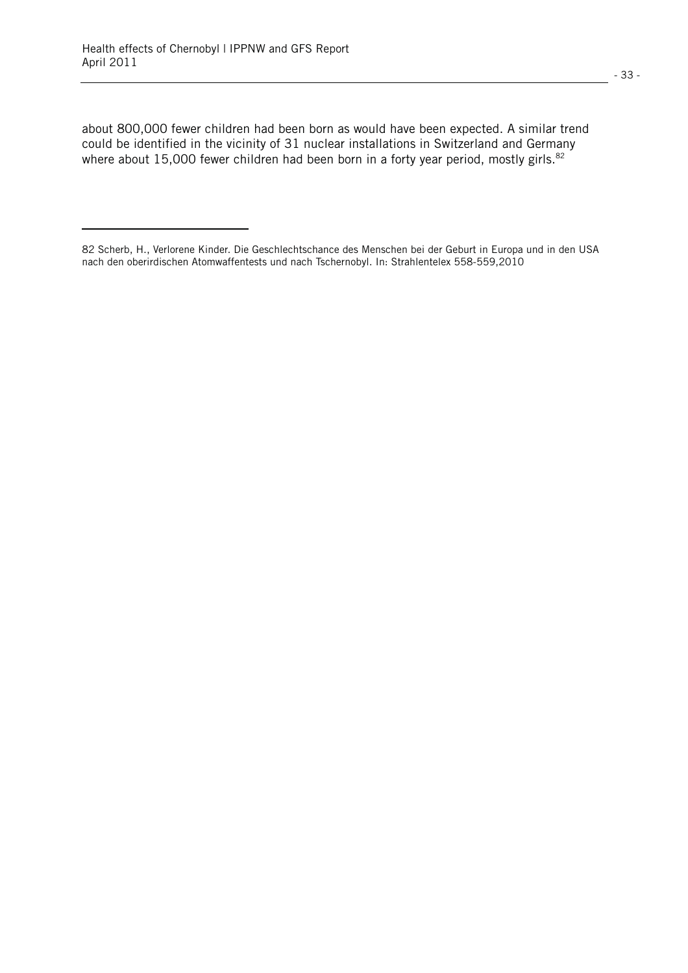l.

about 800,000 fewer children had been born as would have been expected. A similar trend could be identified in the vicinity of 31 nuclear installations in Switzerland and Germany where about 15,000 fewer children had been born in a forty year period, mostly girls.<sup>82</sup>

<sup>82</sup> Scherb, H., Verlorene Kinder. Die Geschlechtschance des Menschen bei der Geburt in Europa und in den USA nach den oberirdischen Atomwaffentests und nach Tschernobyl. In: Strahlentelex 558-559,2010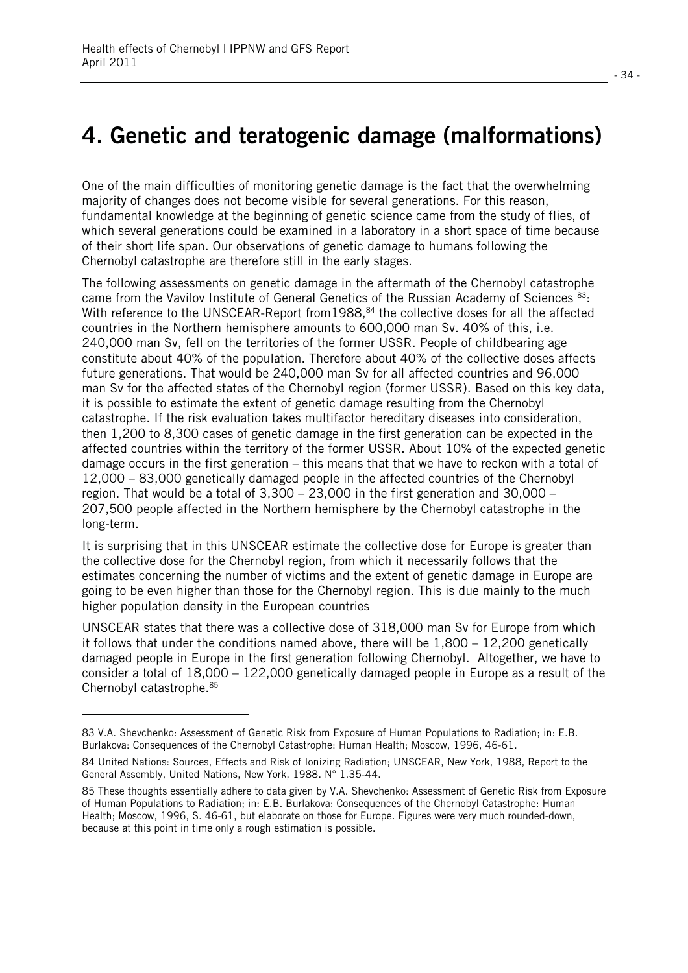## **4. Genetic and teratogenic damage (malformations)**

One of the main difficulties of monitoring genetic damage is the fact that the overwhelming majority of changes does not become visible for several generations. For this reason, fundamental knowledge at the beginning of genetic science came from the study of flies, of which several generations could be examined in a laboratory in a short space of time because of their short life span. Our observations of genetic damage to humans following the Chernobyl catastrophe are therefore still in the early stages.

The following assessments on genetic damage in the aftermath of the Chernobyl catastrophe came from the Vavilov Institute of General Genetics of the Russian Academy of Sciences 83: With reference to the UNSCEAR-Report from1988,<sup>84</sup> the collective doses for all the affected countries in the Northern hemisphere amounts to 600,000 man Sv. 40% of this, i.e. 240,000 man Sv, fell on the territories of the former USSR. People of childbearing age constitute about 40% of the population. Therefore about 40% of the collective doses affects future generations. That would be 240,000 man Sv for all affected countries and 96,000 man Sv for the affected states of the Chernobyl region (former USSR). Based on this key data, it is possible to estimate the extent of genetic damage resulting from the Chernobyl catastrophe. If the risk evaluation takes multifactor hereditary diseases into consideration, then 1,200 to 8,300 cases of genetic damage in the first generation can be expected in the affected countries within the territory of the former USSR. About 10% of the expected genetic damage occurs in the first generation – this means that that we have to reckon with a total of 12,000 – 83,000 genetically damaged people in the affected countries of the Chernobyl region. That would be a total of 3,300 – 23,000 in the first generation and 30,000 – 207,500 people affected in the Northern hemisphere by the Chernobyl catastrophe in the long-term.

It is surprising that in this UNSCEAR estimate the collective dose for Europe is greater than the collective dose for the Chernobyl region, from which it necessarily follows that the estimates concerning the number of victims and the extent of genetic damage in Europe are going to be even higher than those for the Chernobyl region. This is due mainly to the much higher population density in the European countries

UNSCEAR states that there was a collective dose of 318,000 man Sv for Europe from which it follows that under the conditions named above, there will be  $1.800 - 12.200$  genetically damaged people in Europe in the first generation following Chernobyl. Altogether, we have to consider a total of 18,000 – 122,000 genetically damaged people in Europe as a result of the Chernobyl catastrophe.85

l.

<sup>83</sup> V.A. Shevchenko: Assessment of Genetic Risk from Exposure of Human Populations to Radiation; in: E.B. Burlakova: Consequences of the Chernobyl Catastrophe: Human Health; Moscow, 1996, 46-61.

<sup>84</sup> United Nations: Sources, Effects and Risk of Ionizing Radiation; UNSCEAR, New York, 1988, Report to the General Assembly, United Nations, New York, 1988. N° 1.35-44.

<sup>85</sup> These thoughts essentially adhere to data given by V.A. Shevchenko: Assessment of Genetic Risk from Exposure of Human Populations to Radiation; in: E.B. Burlakova: Consequences of the Chernobyl Catastrophe: Human Health; Moscow, 1996, S. 46-61, but elaborate on those for Europe. Figures were very much rounded-down, because at this point in time only a rough estimation is possible.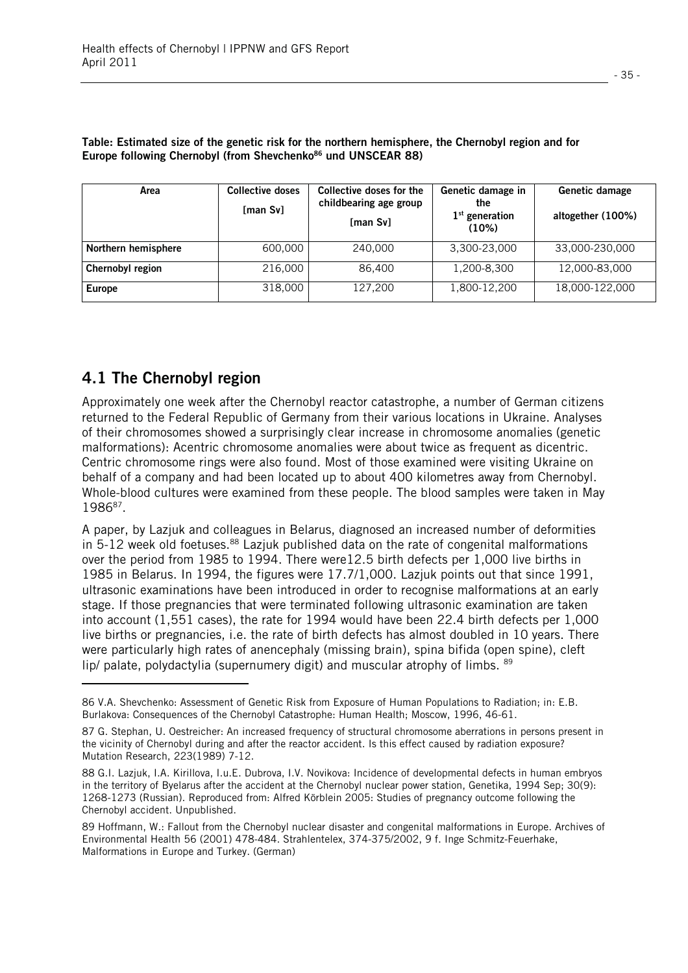| Area                    | <b>Collective doses</b><br>[man $Sv$ ] | Collective doses for the<br>childbearing age group<br>[man Sv] | Genetic damage in<br><b>the</b><br>$1st$ generation<br>(10%) | Genetic damage<br>altogether (100%) |
|-------------------------|----------------------------------------|----------------------------------------------------------------|--------------------------------------------------------------|-------------------------------------|
| Northern hemisphere     | 600,000                                | 240,000                                                        | 3,300-23,000                                                 | 33,000-230,000                      |
| <b>Chernobyl region</b> | 216,000                                | 86.400                                                         | 1,200-8,300                                                  | 12,000-83,000                       |
| <b>Europe</b>           | 318,000                                | 127,200                                                        | 1,800-12,200                                                 | 18,000-122,000                      |

**Table: Estimated size of the genetic risk for the northern hemisphere, the Chernobyl region and for**  Europe following Chernobyl (from Shevchenko<sup>86</sup> und UNSCEAR 88)

## **4.1 The Chernobyl region**

l

Approximately one week after the Chernobyl reactor catastrophe, a number of German citizens returned to the Federal Republic of Germany from their various locations in Ukraine. Analyses of their chromosomes showed a surprisingly clear increase in chromosome anomalies (genetic malformations): Acentric chromosome anomalies were about twice as frequent as dicentric. Centric chromosome rings were also found. Most of those examined were visiting Ukraine on behalf of a company and had been located up to about 400 kilometres away from Chernobyl. Whole-blood cultures were examined from these people. The blood samples were taken in May 1986<sup>87</sup>.

A paper, by Lazjuk and colleagues in Belarus, diagnosed an increased number of deformities in 5-12 week old foetuses.<sup>88</sup> Lazjuk published data on the rate of congenital malformations over the period from 1985 to 1994. There were12.5 birth defects per 1,000 live births in 1985 in Belarus. In 1994, the figures were 17.7/1,000. Lazjuk points out that since 1991, ultrasonic examinations have been introduced in order to recognise malformations at an early stage. If those pregnancies that were terminated following ultrasonic examination are taken into account (1,551 cases), the rate for 1994 would have been 22.4 birth defects per 1,000 live births or pregnancies, i.e. the rate of birth defects has almost doubled in 10 years. There were particularly high rates of anencephaly (missing brain), spina bifida (open spine), cleft lip/ palate, polydactylia (supernumery digit) and muscular atrophy of limbs. <sup>89</sup>

<sup>86</sup> V.A. Shevchenko: Assessment of Genetic Risk from Exposure of Human Populations to Radiation; in: E.B. Burlakova: Consequences of the Chernobyl Catastrophe: Human Health; Moscow, 1996, 46-61.

<sup>87</sup> G. Stephan, U. Oestreicher: An increased frequency of structural chromosome aberrations in persons present in the vicinity of Chernobyl during and after the reactor accident. Is this effect caused by radiation exposure? Mutation Research, 223(1989) 7-12.

<sup>88</sup> G.I. Lazjuk, I.A. Kirillova, I.u.E. Dubrova, I.V. Novikova: Incidence of developmental defects in human embryos in the territory of Byelarus after the accident at the Chernobyl nuclear power station, Genetika, 1994 Sep; 30(9): 1268-1273 (Russian). Reproduced from: Alfred Körblein 2005: Studies of pregnancy outcome following the Chernobyl accident. Unpublished.

<sup>89</sup> Hoffmann, W.: Fallout from the Chernobyl nuclear disaster and congenital malformations in Europe. Archives of Environmental Health 56 (2001) 478-484. Strahlentelex, 374-375/2002, 9 f. Inge Schmitz-Feuerhake, Malformations in Europe and Turkey. (German)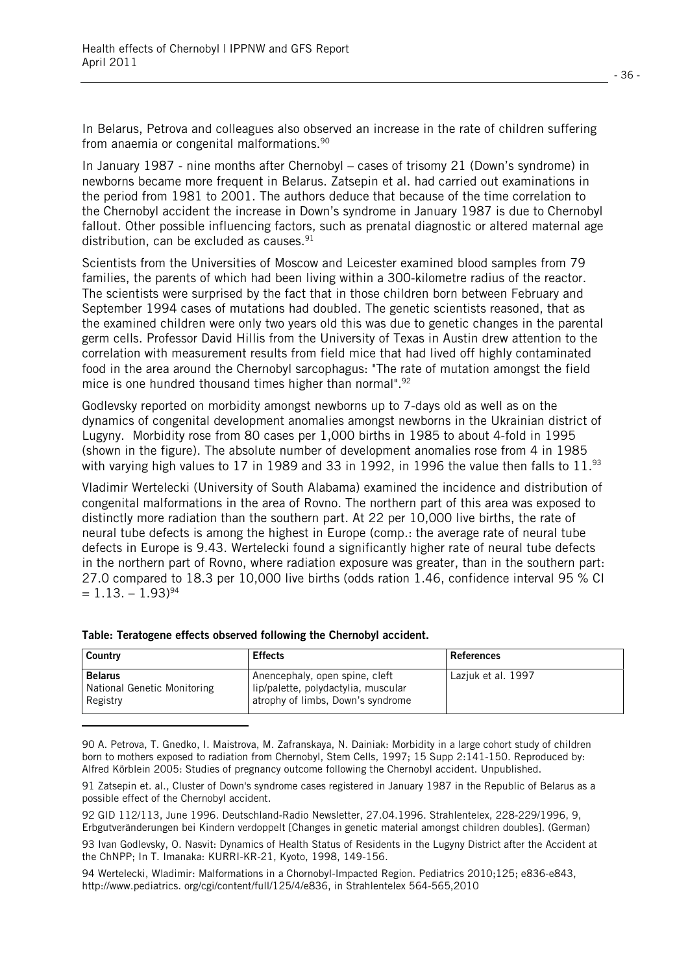In Belarus, Petrova and colleagues also observed an increase in the rate of children suffering from anaemia or congenital malformations.<sup>90</sup>

In January 1987 - nine months after Chernobyl – cases of trisomy 21 (Down's syndrome) in newborns became more frequent in Belarus. Zatsepin et al. had carried out examinations in the period from 1981 to 2001. The authors deduce that because of the time correlation to the Chernobyl accident the increase in Down's syndrome in January 1987 is due to Chernobyl fallout. Other possible influencing factors, such as prenatal diagnostic or altered maternal age distribution, can be excluded as causes. $91$ 

Scientists from the Universities of Moscow and Leicester examined blood samples from 79 families, the parents of which had been living within a 300-kilometre radius of the reactor. The scientists were surprised by the fact that in those children born between February and September 1994 cases of mutations had doubled. The genetic scientists reasoned, that as the examined children were only two years old this was due to genetic changes in the parental germ cells. Professor David Hillis from the University of Texas in Austin drew attention to the correlation with measurement results from field mice that had lived off highly contaminated food in the area around the Chernobyl sarcophagus: "The rate of mutation amongst the field mice is one hundred thousand times higher than normal".<sup>92</sup>

Godlevsky reported on morbidity amongst newborns up to 7-days old as well as on the dynamics of congenital development anomalies amongst newborns in the Ukrainian district of Lugyny. Morbidity rose from 80 cases per 1,000 births in 1985 to about 4-fold in 1995 (shown in the figure). The absolute number of development anomalies rose from 4 in 1985 with varying high values to 17 in 1989 and 33 in 1992, in 1996 the value then falls to 11.93

Vladimir Wertelecki (University of South Alabama) examined the incidence and distribution of congenital malformations in the area of Rovno. The northern part of this area was exposed to distinctly more radiation than the southern part. At 22 per 10,000 live births, the rate of neural tube defects is among the highest in Europe (comp.: the average rate of neural tube defects in Europe is 9.43. Wertelecki found a significantly higher rate of neural tube defects in the northern part of Rovno, where radiation exposure was greater, than in the southern part: 27.0 compared to 18.3 per 10,000 live births (odds ration 1.46, confidence interval 95 % CI  $= 1.13 - 1.93$ <sup>94</sup>

| Country                                                   | <b>Effects</b>                                                                                             | <b>References</b>  |
|-----------------------------------------------------------|------------------------------------------------------------------------------------------------------------|--------------------|
| <b>Belarus</b><br>National Genetic Monitoring<br>Registry | Anencephaly, open spine, cleft<br>lip/palette, polydactylia, muscular<br>atrophy of limbs, Down's syndrome | Lazjuk et al. 1997 |
|                                                           |                                                                                                            |                    |

#### **Table: Teratogene effects observed following the Chernobyl accident.**

90 A. Petrova, T. Gnedko, I. Maistrova, M. Zafranskaya, N. Dainiak: Morbidity in a large cohort study of children born to mothers exposed to radiation from Chernobyl, Stem Cells, 1997; 15 Supp 2:141-150. Reproduced by: Alfred Körblein 2005: Studies of pregnancy outcome following the Chernobyl accident. Unpublished.

91 Zatsepin et. al., Cluster of Down's syndrome cases registered in January 1987 in the Republic of Belarus as a possible effect of the Chernobyl accident.

92 GID 112/113, June 1996. Deutschland-Radio Newsletter, 27.04.1996. Strahlentelex, 228-229/1996, 9, Erbgutveränderungen bei Kindern verdoppelt [Changes in genetic material amongst children doubles]. (German)

93 Ivan Godlevsky, O. Nasvit: Dynamics of Health Status of Residents in the Lugyny District after the Accident at the ChNPP; In T. Imanaka: KURRI-KR-21, Kyoto, 1998, 149-156.

94 Wertelecki, Wladimir: Malformations in a Chornobyl-Impacted Region. Pediatrics 2010;125; e836-e843, http://www.pediatrics. org/cgi/content/full/125/4/e836, in Strahlentelex 564-565,2010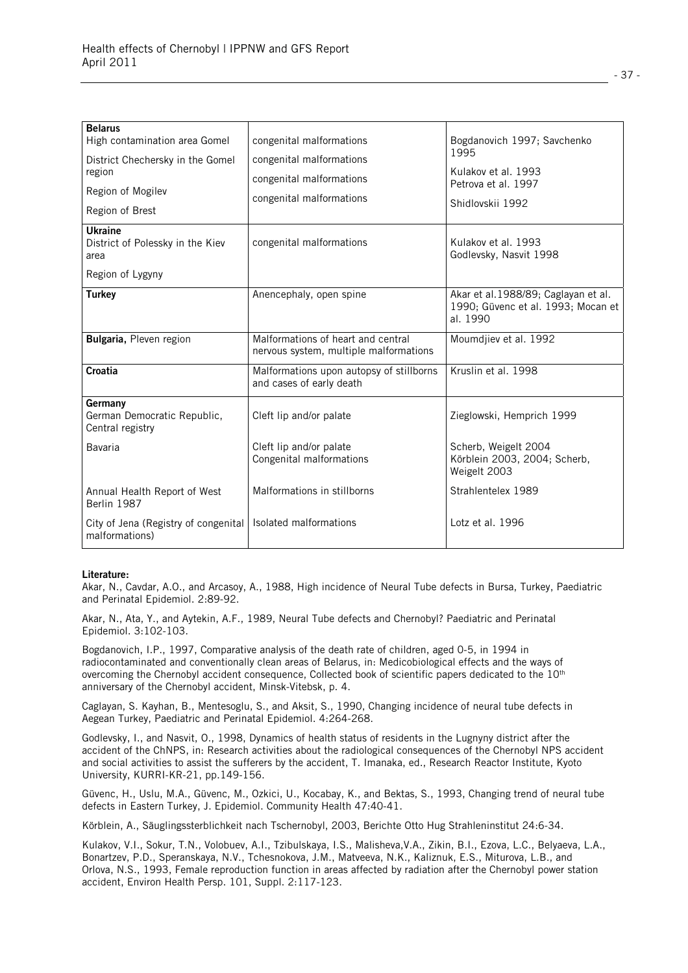| <b>Belarus</b><br>High contamination area Gomel<br>District Chechersky in the Gomel<br>region<br>Region of Mogilev<br>Region of Brest | congenital malformations<br>congenital malformations<br>congenital malformations<br>congenital malformations | Bogdanovich 1997; Savchenko<br>1995<br>Kulakov et al. 1993<br>Petrova et al. 1997<br>Shidlovskii 1992 |
|---------------------------------------------------------------------------------------------------------------------------------------|--------------------------------------------------------------------------------------------------------------|-------------------------------------------------------------------------------------------------------|
| <b>Ukraine</b><br>District of Polessky in the Kiev<br>area                                                                            | congenital malformations                                                                                     | Kulakov et al. 1993<br>Godlevsky, Nasvit 1998                                                         |
| Region of Lygyny                                                                                                                      |                                                                                                              |                                                                                                       |
| <b>Turkey</b>                                                                                                                         | Anencephaly, open spine                                                                                      | Akar et al.1988/89; Caglayan et al.<br>1990; Güvenc et al. 1993; Mocan et<br>al. 1990                 |
| Bulgaria, Pleven region                                                                                                               | Malformations of heart and central<br>nervous system, multiple malformations                                 | Moumdjiev et al. 1992                                                                                 |
| Croatia                                                                                                                               | Malformations upon autopsy of stillborns<br>and cases of early death                                         | Kruslin et al. 1998                                                                                   |
| Germany<br>German Democratic Republic,<br>Central registry                                                                            | Cleft lip and/or palate                                                                                      | Zieglowski, Hemprich 1999                                                                             |
| Bavaria                                                                                                                               | Cleft lip and/or palate<br>Congenital malformations                                                          | Scherb, Weigelt 2004<br>Körblein 2003, 2004; Scherb,<br>Weigelt 2003                                  |
| Annual Health Report of West<br>Berlin 1987                                                                                           | Malformations in stillborns                                                                                  | Strahlentelex 1989                                                                                    |
| City of Jena (Registry of congenital<br>malformations)                                                                                | Isolated malformations                                                                                       | Lotz et al. 1996                                                                                      |

#### **Literature:**

Akar, N., Cavdar, A.O., and Arcasoy, A., 1988, High incidence of Neural Tube defects in Bursa, Turkey, Paediatric and Perinatal Epidemiol. 2:89-92.

Akar, N., Ata, Y., and Aytekin, A.F., 1989, Neural Tube defects and Chernobyl? Paediatric and Perinatal Epidemiol. 3:102-103.

Bogdanovich, I.P., 1997, Comparative analysis of the death rate of children, aged 0-5, in 1994 in radiocontaminated and conventionally clean areas of Belarus, in: Medicobiological effects and the ways of overcoming the Chernobyl accident consequence, Collected book of scientific papers dedicated to the 10<sup>th</sup> anniversary of the Chernobyl accident, Minsk-Vitebsk, p. 4.

Caglayan, S. Kayhan, B., Mentesoglu, S., and Aksit, S., 1990, Changing incidence of neural tube defects in Aegean Turkey, Paediatric and Perinatal Epidemiol. 4:264-268.

Godlevsky, I., and Nasvit, O., 1998, Dynamics of health status of residents in the Lugnyny district after the accident of the ChNPS, in: Research activities about the radiological consequences of the Chernobyl NPS accident and social activities to assist the sufferers by the accident, T. Imanaka, ed., Research Reactor Institute, Kyoto University, KURRI-KR-21, pp.149-156.

Güvenc, H., Uslu, M.A., Güvenc, M., Ozkici, U., Kocabay, K., and Bektas, S., 1993, Changing trend of neural tube defects in Eastern Turkey, J. Epidemiol. Community Health 47:40-41.

Körblein, A., Säuglingssterblichkeit nach Tschernobyl, 2003, Berichte Otto Hug Strahleninstitut 24:6-34.

Kulakov, V.I., Sokur, T.N., Volobuev, A.I., Tzibulskaya, I.S., Malisheva,V.A., Zikin, B.I., Ezova, L.C., Belyaeva, L.A., Bonartzev, P.D., Speranskaya, N.V., Tchesnokova, J.M., Matveeva, N.K., Kaliznuk, E.S., Miturova, L.B., and Orlova, N.S., 1993, Female reproduction function in areas affected by radiation after the Chernobyl power station accident, Environ Health Persp. 101, Suppl. 2:117-123.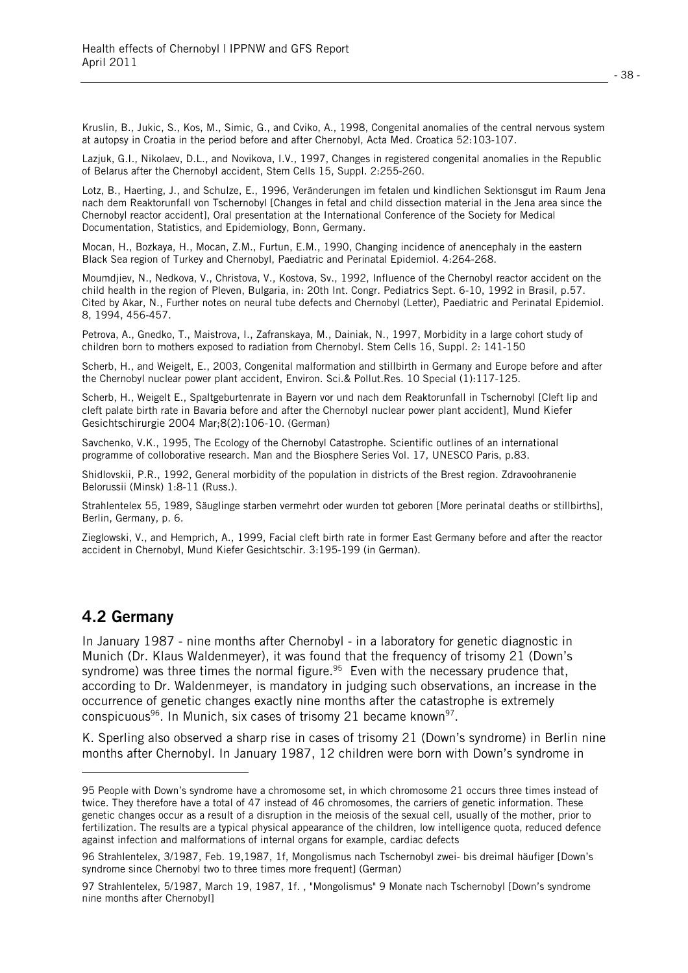Kruslin, B., Jukic, S., Kos, M., Simic, G., and Cviko, A., 1998, Congenital anomalies of the central nervous system at autopsy in Croatia in the period before and after Chernobyl, Acta Med. Croatica 52:103-107.

Lazjuk, G.I., Nikolaev, D.L., and Novikova, I.V., 1997, Changes in registered congenital anomalies in the Republic of Belarus after the Chernobyl accident, Stem Cells 15, Suppl. 2:255-260.

Lotz, B., Haerting, J., and Schulze, E., 1996, Veränderungen im fetalen und kindlichen Sektionsgut im Raum Jena nach dem Reaktorunfall von Tschernobyl [Changes in fetal and child dissection material in the Jena area since the Chernobyl reactor accident], Oral presentation at the International Conference of the Society for Medical Documentation, Statistics, and Epidemiology, Bonn, Germany.

Mocan, H., Bozkaya, H., Mocan, Z.M., Furtun, E.M., 1990, Changing incidence of anencephaly in the eastern Black Sea region of Turkey and Chernobyl, Paediatric and Perinatal Epidemiol. 4:264-268.

Moumdjiev, N., Nedkova, V., Christova, V., Kostova, Sv., 1992, Influence of the Chernobyl reactor accident on the child health in the region of Pleven, Bulgaria, in: 20th Int. Congr. Pediatrics Sept. 6-10, 1992 in Brasil, p.57. Cited by Akar, N., Further notes on neural tube defects and Chernobyl (Letter), Paediatric and Perinatal Epidemiol. 8, 1994, 456-457.

Petrova, A., Gnedko, T., Maistrova, I., Zafranskaya, M., Dainiak, N., 1997, Morbidity in a large cohort study of children born to mothers exposed to radiation from Chernobyl. Stem Cells 16, Suppl. 2: 141-150

Scherb, H., and Weigelt, E., 2003, Congenital malformation and stillbirth in Germany and Europe before and after the Chernobyl nuclear power plant accident, Environ. Sci.& Pollut.Res. 10 Special (1):117-125.

Scherb, H., Weigelt E., Spaltgeburtenrate in Bayern vor und nach dem Reaktorunfall in Tschernobyl [Cleft lip and cleft palate birth rate in Bavaria before and after the Chernobyl nuclear power plant accident], Mund Kiefer Gesichtschirurgie 2004 Mar;8(2):106-10. (German)

Savchenko, V.K., 1995, The Ecology of the Chernobyl Catastrophe. Scientific outlines of an international programme of colloborative research. Man and the Biosphere Series Vol. 17, UNESCO Paris, p.83.

Shidlovskii, P.R., 1992, General morbidity of the population in districts of the Brest region. Zdravoohranenie Belorussii (Minsk) 1:8-11 (Russ.).

Strahlentelex 55, 1989, Säuglinge starben vermehrt oder wurden tot geboren [More perinatal deaths or stillbirths], Berlin, Germany, p. 6.

Zieglowski, V., and Hemprich, A., 1999, Facial cleft birth rate in former East Germany before and after the reactor accident in Chernobyl, Mund Kiefer Gesichtschir. 3:195-199 (in German).

#### **4.2 Germany**

l

In January 1987 - nine months after Chernobyl - in a laboratory for genetic diagnostic in Munich (Dr. Klaus Waldenmeyer), it was found that the frequency of trisomy 21 (Down's syndrome) was three times the normal figure.<sup>95</sup> Even with the necessary prudence that, according to Dr. Waldenmeyer, is mandatory in judging such observations, an increase in the occurrence of genetic changes exactly nine months after the catastrophe is extremely conspicuous<sup>96</sup>. In Munich, six cases of trisomy 21 became known<sup>97</sup>.

K. Sperling also observed a sharp rise in cases of trisomy 21 (Down's syndrome) in Berlin nine months after Chernobyl. In January 1987, 12 children were born with Down's syndrome in

<sup>95</sup> People with Down's syndrome have a chromosome set, in which chromosome 21 occurs three times instead of twice. They therefore have a total of 47 instead of 46 chromosomes, the carriers of genetic information. These genetic changes occur as a result of a disruption in the meiosis of the sexual cell, usually of the mother, prior to fertilization. The results are a typical physical appearance of the children, low intelligence quota, reduced defence against infection and malformations of internal organs for example, cardiac defects

<sup>96</sup> Strahlentelex, 3/1987, Feb. 19,1987, 1f, Mongolismus nach Tschernobyl zwei- bis dreimal häufiger [Down's syndrome since Chernobyl two to three times more frequent] (German)

<sup>97</sup> Strahlentelex, 5/1987, March 19, 1987, 1f. , "Mongolismus" 9 Monate nach Tschernobyl [Down's syndrome nine months after Chernobyl]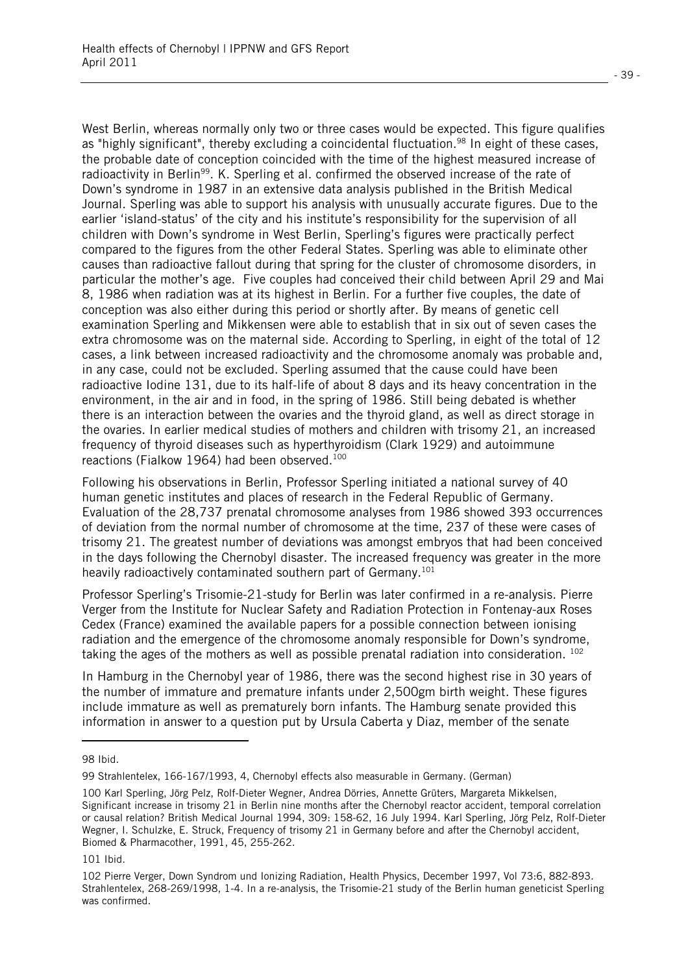West Berlin, whereas normally only two or three cases would be expected. This figure qualifies as "highly significant", thereby excluding a coincidental fluctuation.<sup>98</sup> In eight of these cases, the probable date of conception coincided with the time of the highest measured increase of radioactivity in Berlin<sup>99</sup>. K. Sperling et al. confirmed the observed increase of the rate of Down's syndrome in 1987 in an extensive data analysis published in the British Medical Journal. Sperling was able to support his analysis with unusually accurate figures. Due to the earlier 'island-status' of the city and his institute's responsibility for the supervision of all children with Down's syndrome in West Berlin, Sperling's figures were practically perfect compared to the figures from the other Federal States. Sperling was able to eliminate other causes than radioactive fallout during that spring for the cluster of chromosome disorders, in particular the mother's age. Five couples had conceived their child between April 29 and Mai 8, 1986 when radiation was at its highest in Berlin. For a further five couples, the date of conception was also either during this period or shortly after. By means of genetic cell examination Sperling and Mikkensen were able to establish that in six out of seven cases the extra chromosome was on the maternal side. According to Sperling, in eight of the total of 12 cases, a link between increased radioactivity and the chromosome anomaly was probable and, in any case, could not be excluded. Sperling assumed that the cause could have been radioactive Iodine 131, due to its half-life of about 8 days and its heavy concentration in the environment, in the air and in food, in the spring of 1986. Still being debated is whether there is an interaction between the ovaries and the thyroid gland, as well as direct storage in the ovaries. In earlier medical studies of mothers and children with trisomy 21, an increased frequency of thyroid diseases such as hyperthyroidism (Clark 1929) and autoimmune reactions (Fialkow 1964) had been observed.<sup>100</sup>

Following his observations in Berlin, Professor Sperling initiated a national survey of 40 human genetic institutes and places of research in the Federal Republic of Germany. Evaluation of the 28,737 prenatal chromosome analyses from 1986 showed 393 occurrences of deviation from the normal number of chromosome at the time, 237 of these were cases of trisomy 21. The greatest number of deviations was amongst embryos that had been conceived in the days following the Chernobyl disaster. The increased frequency was greater in the more heavily radioactively contaminated southern part of Germany.<sup>101</sup>

Professor Sperling's Trisomie-21-study for Berlin was later confirmed in a re-analysis. Pierre Verger from the Institute for Nuclear Safety and Radiation Protection in Fontenay-aux Roses Cedex (France) examined the available papers for a possible connection between ionising radiation and the emergence of the chromosome anomaly responsible for Down's syndrome, taking the ages of the mothers as well as possible prenatal radiation into consideration. 102

In Hamburg in the Chernobyl year of 1986, there was the second highest rise in 30 years of the number of immature and premature infants under 2,500gm birth weight. These figures include immature as well as prematurely born infants. The Hamburg senate provided this information in answer to a question put by Ursula Caberta y Diaz, member of the senate

l.

<sup>98</sup> Ibid.

<sup>99</sup> Strahlentelex, 166-167/1993, 4, Chernobyl effects also measurable in Germany. (German)

<sup>100</sup> Karl Sperling, Jörg Pelz, Rolf-Dieter Wegner, Andrea Dörries, Annette Grüters, Margareta Mikkelsen, Significant increase in trisomy 21 in Berlin nine months after the Chernobyl reactor accident, temporal correlation or causal relation? British Medical Journal 1994, 309: 158-62, 16 July 1994. Karl Sperling, Jörg Pelz, Rolf-Dieter Wegner, I. Schulzke, E. Struck, Frequency of trisomy 21 in Germany before and after the Chernobyl accident, Biomed & Pharmacother, 1991, 45, 255-262.

<sup>101</sup> Ibid.

<sup>102</sup> Pierre Verger, Down Syndrom und Ionizing Radiation, Health Physics, December 1997, Vol 73:6, 882-893. Strahlentelex, 268-269/1998, 1-4. In a re-analysis, the Trisomie-21 study of the Berlin human geneticist Sperling was confirmed.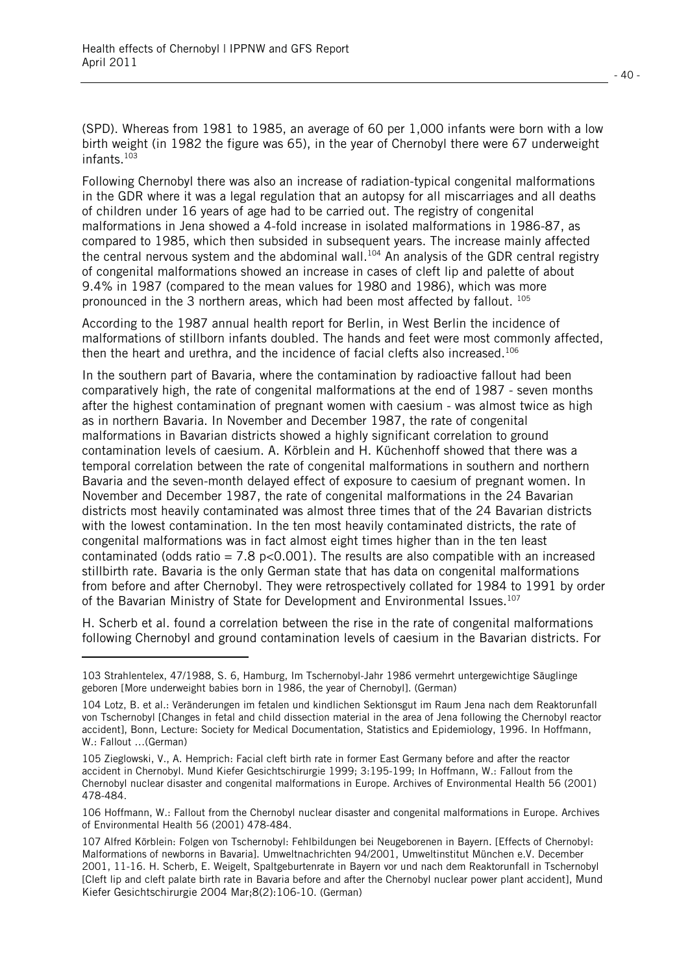l.

(SPD). Whereas from 1981 to 1985, an average of 60 per 1,000 infants were born with a low birth weight (in 1982 the figure was 65), in the year of Chernobyl there were 67 underweight infants.103

Following Chernobyl there was also an increase of radiation-typical congenital malformations in the GDR where it was a legal regulation that an autopsy for all miscarriages and all deaths of children under 16 years of age had to be carried out. The registry of congenital malformations in Jena showed a 4-fold increase in isolated malformations in 1986-87, as compared to 1985, which then subsided in subsequent years. The increase mainly affected the central nervous system and the abdominal wall.<sup>104</sup> An analysis of the GDR central registry of congenital malformations showed an increase in cases of cleft lip and palette of about 9.4% in 1987 (compared to the mean values for 1980 and 1986), which was more pronounced in the 3 northern areas, which had been most affected by fallout. 105

According to the 1987 annual health report for Berlin, in West Berlin the incidence of malformations of stillborn infants doubled. The hands and feet were most commonly affected, then the heart and urethra, and the incidence of facial clefts also increased.<sup>106</sup>

In the southern part of Bavaria, where the contamination by radioactive fallout had been comparatively high, the rate of congenital malformations at the end of 1987 - seven months after the highest contamination of pregnant women with caesium - was almost twice as high as in northern Bavaria. In November and December 1987, the rate of congenital malformations in Bavarian districts showed a highly significant correlation to ground contamination levels of caesium. A. Körblein and H. Küchenhoff showed that there was a temporal correlation between the rate of congenital malformations in southern and northern Bavaria and the seven-month delayed effect of exposure to caesium of pregnant women. In November and December 1987, the rate of congenital malformations in the 24 Bavarian districts most heavily contaminated was almost three times that of the 24 Bavarian districts with the lowest contamination. In the ten most heavily contaminated districts, the rate of congenital malformations was in fact almost eight times higher than in the ten least contaminated (odds ratio =  $7.8$  p<0.001). The results are also compatible with an increased stillbirth rate. Bavaria is the only German state that has data on congenital malformations from before and after Chernobyl. They were retrospectively collated for 1984 to 1991 by order of the Bavarian Ministry of State for Development and Environmental Issues.<sup>107</sup>

H. Scherb et al. found a correlation between the rise in the rate of congenital malformations following Chernobyl and ground contamination levels of caesium in the Bavarian districts. For

<sup>103</sup> Strahlentelex, 47/1988, S. 6, Hamburg, Im Tschernobyl-Jahr 1986 vermehrt untergewichtige Säuglinge geboren [More underweight babies born in 1986, the year of Chernobyl]. (German)

<sup>104</sup> Lotz, B. et al.: Veränderungen im fetalen und kindlichen Sektionsgut im Raum Jena nach dem Reaktorunfall von Tschernobyl [Changes in fetal and child dissection material in the area of Jena following the Chernobyl reactor accident], Bonn, Lecture: Society for Medical Documentation, Statistics and Epidemiology, 1996. In Hoffmann, W.: Fallout …(German)

<sup>105</sup> Zieglowski, V., A. Hemprich: Facial cleft birth rate in former East Germany before and after the reactor accident in Chernobyl. Mund Kiefer Gesichtschirurgie 1999; 3:195-199; In Hoffmann, W.: Fallout from the Chernobyl nuclear disaster and congenital malformations in Europe. Archives of Environmental Health 56 (2001) 478-484.

<sup>106</sup> Hoffmann, W.: Fallout from the Chernobyl nuclear disaster and congenital malformations in Europe. Archives of Environmental Health 56 (2001) 478-484.

<sup>107</sup> Alfred Körblein: Folgen von Tschernobyl: Fehlbildungen bei Neugeborenen in Bayern. [Effects of Chernobyl: Malformations of newborns in Bavaria]. Umweltnachrichten 94/2001, Umweltinstitut München e.V. December 2001, 11-16. H. Scherb, E. Weigelt, Spaltgeburtenrate in Bayern vor und nach dem Reaktorunfall in Tschernobyl [Cleft lip and cleft palate birth rate in Bavaria before and after the Chernobyl nuclear power plant accident], Mund Kiefer Gesichtschirurgie 2004 Mar;8(2):106-10. (German)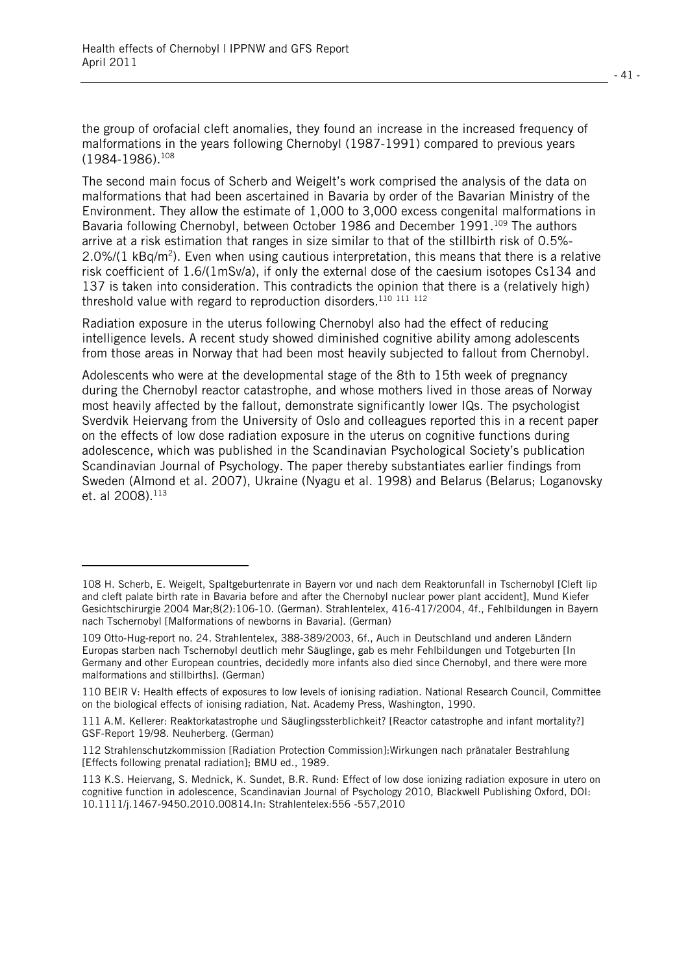l

the group of orofacial cleft anomalies, they found an increase in the increased frequency of malformations in the years following Chernobyl (1987-1991) compared to previous years (1984-1986).108

The second main focus of Scherb and Weigelt's work comprised the analysis of the data on malformations that had been ascertained in Bavaria by order of the Bavarian Ministry of the Environment. They allow the estimate of 1,000 to 3,000 excess congenital malformations in Bavaria following Chernobyl, between October 1986 and December 1991.<sup>109</sup> The authors arrive at a risk estimation that ranges in size similar to that of the stillbirth risk of 0.5%- 2.0%/(1 kBq/m<sup>2</sup>). Even when using cautious interpretation, this means that there is a relative risk coefficient of 1.6/(1mSv/a), if only the external dose of the caesium isotopes Cs134 and 137 is taken into consideration. This contradicts the opinion that there is a (relatively high) threshold value with regard to reproduction disorders.<sup>110</sup> <sup>111</sup> <sup>112</sup>

Radiation exposure in the uterus following Chernobyl also had the effect of reducing intelligence levels. A recent study showed diminished cognitive ability among adolescents from those areas in Norway that had been most heavily subjected to fallout from Chernobyl.

Adolescents who were at the developmental stage of the 8th to 15th week of pregnancy during the Chernobyl reactor catastrophe, and whose mothers lived in those areas of Norway most heavily affected by the fallout, demonstrate significantly lower IQs. The psychologist Sverdvik Heiervang from the University of Oslo and colleagues reported this in a recent paper on the effects of low dose radiation exposure in the uterus on cognitive functions during adolescence, which was published in the Scandinavian Psychological Society's publication Scandinavian Journal of Psychology. The paper thereby substantiates earlier findings from Sweden (Almond et al. 2007), Ukraine (Nyagu et al. 1998) and Belarus (Belarus; Loganovsky et. al 2008).<sup>113</sup>

<sup>108</sup> H. Scherb, E. Weigelt, Spaltgeburtenrate in Bayern vor und nach dem Reaktorunfall in Tschernobyl [Cleft lip and cleft palate birth rate in Bavaria before and after the Chernobyl nuclear power plant accident], Mund Kiefer Gesichtschirurgie 2004 Mar;8(2):106-10. (German). Strahlentelex, 416-417/2004, 4f., Fehlbildungen in Bayern nach Tschernobyl [Malformations of newborns in Bavaria]. (German)

<sup>109</sup> Otto-Hug-report no. 24. Strahlentelex, 388-389/2003, 6f., Auch in Deutschland und anderen Ländern Europas starben nach Tschernobyl deutlich mehr Säuglinge, gab es mehr Fehlbildungen und Totgeburten [In Germany and other European countries, decidedly more infants also died since Chernobyl, and there were more malformations and stillbirths]. (German)

<sup>110</sup> BEIR V: Health effects of exposures to low levels of ionising radiation. National Research Council, Committee on the biological effects of ionising radiation, Nat. Academy Press, Washington, 1990.

<sup>111</sup> A.M. Kellerer: Reaktorkatastrophe und Säuglingssterblichkeit? [Reactor catastrophe and infant mortality?] GSF-Report 19/98. Neuherberg. (German)

<sup>112</sup> Strahlenschutzkommission [Radiation Protection Commission]:Wirkungen nach pränataler Bestrahlung [Effects following prenatal radiation]; BMU ed., 1989.

<sup>113</sup> K.S. Heiervang, S. Mednick, K. Sundet, B.R. Rund: Effect of low dose ionizing radiation exposure in utero on cognitive function in adolescence, Scandinavian Journal of Psychology 2010, Blackwell Publishing Oxford, DOI: 10.1111/j.1467-9450.2010.00814.In: Strahlentelex:556 -557,2010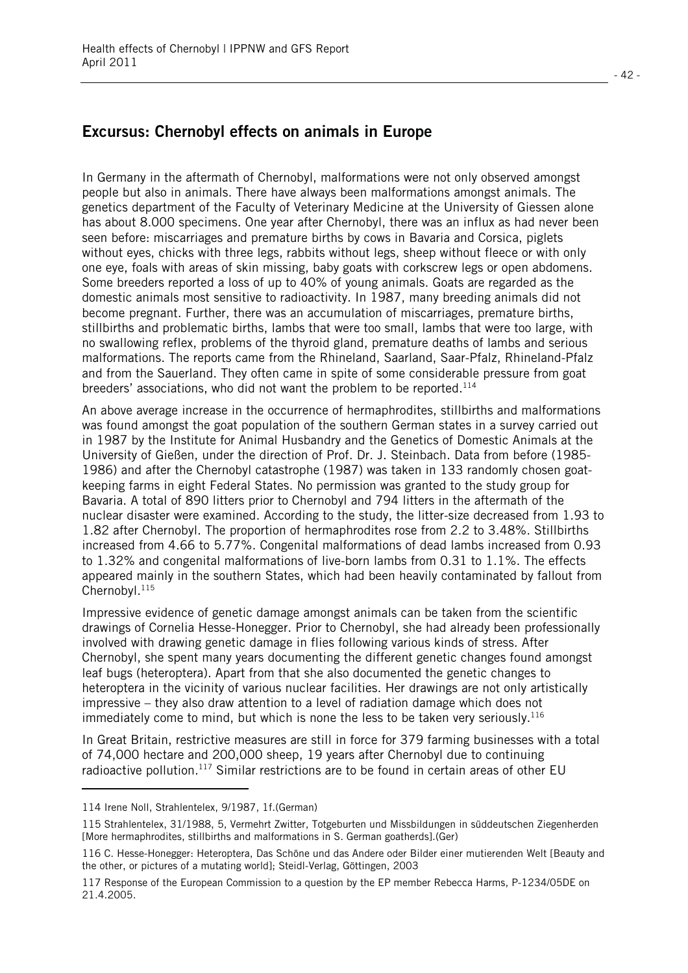### **Excursus: Chernobyl effects on animals in Europe**

In Germany in the aftermath of Chernobyl, malformations were not only observed amongst people but also in animals. There have always been malformations amongst animals. The genetics department of the Faculty of Veterinary Medicine at the University of Giessen alone has about 8.000 specimens. One year after Chernobyl, there was an influx as had never been seen before: miscarriages and premature births by cows in Bavaria and Corsica, piglets without eyes, chicks with three legs, rabbits without legs, sheep without fleece or with only one eye, foals with areas of skin missing, baby goats with corkscrew legs or open abdomens. Some breeders reported a loss of up to 40% of young animals. Goats are regarded as the domestic animals most sensitive to radioactivity. In 1987, many breeding animals did not become pregnant. Further, there was an accumulation of miscarriages, premature births, stillbirths and problematic births, lambs that were too small, lambs that were too large, with no swallowing reflex, problems of the thyroid gland, premature deaths of lambs and serious malformations. The reports came from the Rhineland, Saarland, Saar-Pfalz, Rhineland-Pfalz and from the Sauerland. They often came in spite of some considerable pressure from goat breeders' associations, who did not want the problem to be reported.<sup>114</sup>

An above average increase in the occurrence of hermaphrodites, stillbirths and malformations was found amongst the goat population of the southern German states in a survey carried out in 1987 by the Institute for Animal Husbandry and the Genetics of Domestic Animals at the University of Gießen, under the direction of Prof. Dr. J. Steinbach. Data from before (1985- 1986) and after the Chernobyl catastrophe (1987) was taken in 133 randomly chosen goatkeeping farms in eight Federal States. No permission was granted to the study group for Bavaria. A total of 890 litters prior to Chernobyl and 794 litters in the aftermath of the nuclear disaster were examined. According to the study, the litter-size decreased from 1.93 to 1.82 after Chernobyl. The proportion of hermaphrodites rose from 2.2 to 3.48%. Stillbirths increased from 4.66 to 5.77%. Congenital malformations of dead lambs increased from 0.93 to 1.32% and congenital malformations of live-born lambs from 0.31 to 1.1%. The effects appeared mainly in the southern States, which had been heavily contaminated by fallout from Chernobyl.<sup>115</sup>

Impressive evidence of genetic damage amongst animals can be taken from the scientific drawings of Cornelia Hesse-Honegger. Prior to Chernobyl, she had already been professionally involved with drawing genetic damage in flies following various kinds of stress. After Chernobyl, she spent many years documenting the different genetic changes found amongst leaf bugs (heteroptera). Apart from that she also documented the genetic changes to heteroptera in the vicinity of various nuclear facilities. Her drawings are not only artistically impressive – they also draw attention to a level of radiation damage which does not immediately come to mind, but which is none the less to be taken very seriously.<sup>116</sup>

In Great Britain, restrictive measures are still in force for 379 farming businesses with a total of 74,000 hectare and 200,000 sheep, 19 years after Chernobyl due to continuing radioactive pollution.<sup>117</sup> Similar restrictions are to be found in certain areas of other EU

l.

<sup>114</sup> Irene Noll, Strahlentelex, 9/1987, 1f.(German)

<sup>115</sup> Strahlentelex, 31/1988, 5, Vermehrt Zwitter, Totgeburten und Missbildungen in süddeutschen Ziegenherden [More hermaphrodites, stillbirths and malformations in S. German goatherds].(Ger)

<sup>116</sup> C. Hesse-Honegger: Heteroptera, Das Schöne und das Andere oder Bilder einer mutierenden Welt [Beauty and the other, or pictures of a mutating world]; Steidl-Verlag, Göttingen, 2003

<sup>117</sup> Response of the European Commission to a question by the EP member Rebecca Harms, P-1234/05DE on 21.4.2005.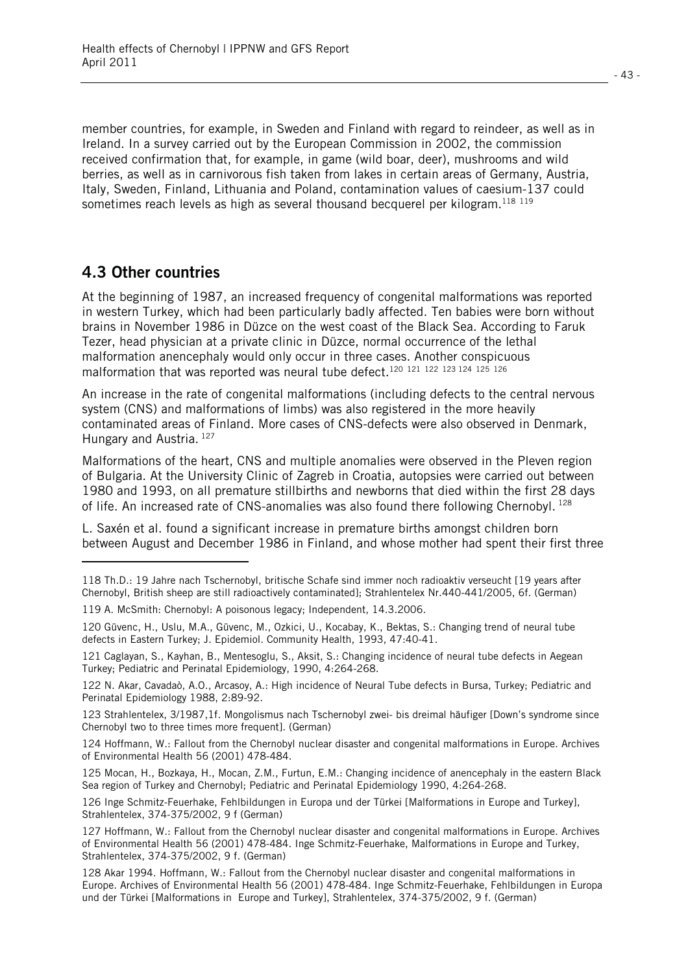member countries, for example, in Sweden and Finland with regard to reindeer, as well as in Ireland. In a survey carried out by the European Commission in 2002, the commission received confirmation that, for example, in game (wild boar, deer), mushrooms and wild berries, as well as in carnivorous fish taken from lakes in certain areas of Germany, Austria, Italy, Sweden, Finland, Lithuania and Poland, contamination values of caesium-137 could sometimes reach levels as high as several thousand becquerel per kilogram.<sup>118 119</sup>

#### **4.3 Other countries**

l.

At the beginning of 1987, an increased frequency of congenital malformations was reported in western Turkey, which had been particularly badly affected. Ten babies were born without brains in November 1986 in Düzce on the west coast of the Black Sea. According to Faruk Tezer, head physician at a private clinic in Düzce, normal occurrence of the lethal malformation anencephaly would only occur in three cases. Another conspicuous malformation that was reported was neural tube defect.<sup>120 121 122 123 124 125</sup> 126

An increase in the rate of congenital malformations (including defects to the central nervous system (CNS) and malformations of limbs) was also registered in the more heavily contaminated areas of Finland. More cases of CNS-defects were also observed in Denmark, Hungary and Austria. 127

Malformations of the heart, CNS and multiple anomalies were observed in the Pleven region of Bulgaria. At the University Clinic of Zagreb in Croatia, autopsies were carried out between 1980 and 1993, on all premature stillbirths and newborns that died within the first 28 days of life. An increased rate of CNS-anomalies was also found there following Chernobyl.  $^{128}$ 

L. Saxén et al. found a significant increase in premature births amongst children born between August and December 1986 in Finland, and whose mother had spent their first three

<sup>118</sup> Th.D.: 19 Jahre nach Tschernobyl, britische Schafe sind immer noch radioaktiv verseucht [19 years after Chernobyl, British sheep are still radioactively contaminated]; Strahlentelex Nr.440-441/2005, 6f. (German)

<sup>119</sup> A. McSmith: Chernobyl: A poisonous legacy; Independent, 14.3.2006.

<sup>120</sup> Güvenc, H., Uslu, M.A., Güvenc, M., Ozkici, U., Kocabay, K., Bektas, S.: Changing trend of neural tube defects in Eastern Turkey; J. Epidemiol. Community Health, 1993, 47:40-41.

<sup>121</sup> Caglayan, S., Kayhan, B., Mentesoglu, S., Aksit, S.: Changing incidence of neural tube defects in Aegean Turkey; Pediatric and Perinatal Epidemiology, 1990, 4:264-268.

<sup>122</sup> N. Akar, Cavadaò, A.O., Arcasoy, A.: High incidence of Neural Tube defects in Bursa, Turkey; Pediatric and Perinatal Epidemiology 1988, 2:89-92.

<sup>123</sup> Strahlentelex, 3/1987,1f. Mongolismus nach Tschernobyl zwei- bis dreimal häufiger [Down's syndrome since Chernobyl two to three times more frequent]. (German)

<sup>124</sup> Hoffmann, W.: Fallout from the Chernobyl nuclear disaster and congenital malformations in Europe. Archives of Environmental Health 56 (2001) 478-484.

<sup>125</sup> Mocan, H., Bozkaya, H., Mocan, Z.M., Furtun, E.M.: Changing incidence of anencephaly in the eastern Black Sea region of Turkey and Chernobyl; Pediatric and Perinatal Epidemiology 1990, 4:264-268.

<sup>126</sup> Inge Schmitz-Feuerhake, Fehlbildungen in Europa und der Türkei [Malformations in Europe and Turkey], Strahlentelex, 374-375/2002, 9 f (German)

<sup>127</sup> Hoffmann, W.: Fallout from the Chernobyl nuclear disaster and congenital malformations in Europe. Archives of Environmental Health 56 (2001) 478-484. Inge Schmitz-Feuerhake, Malformations in Europe and Turkey, Strahlentelex, 374-375/2002, 9 f. (German)

<sup>128</sup> Akar 1994. Hoffmann, W.: Fallout from the Chernobyl nuclear disaster and congenital malformations in Europe. Archives of Environmental Health 56 (2001) 478-484. Inge Schmitz-Feuerhake, Fehlbildungen in Europa und der Türkei [Malformations in Europe and Turkey], Strahlentelex, 374-375/2002, 9 f. (German)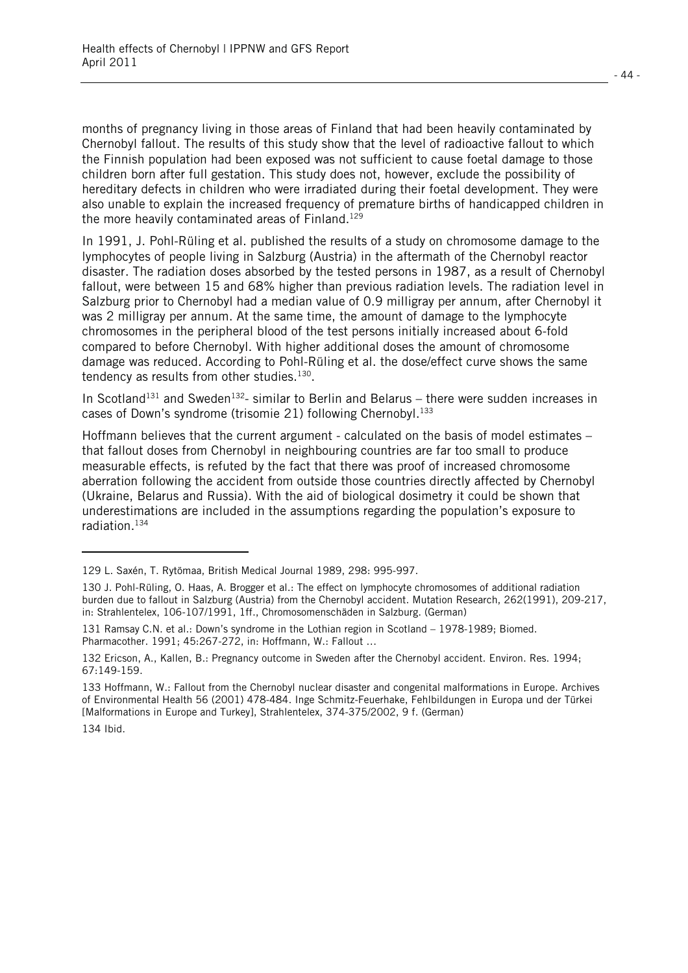months of pregnancy living in those areas of Finland that had been heavily contaminated by Chernobyl fallout. The results of this study show that the level of radioactive fallout to which the Finnish population had been exposed was not sufficient to cause foetal damage to those children born after full gestation. This study does not, however, exclude the possibility of hereditary defects in children who were irradiated during their foetal development. They were also unable to explain the increased frequency of premature births of handicapped children in the more heavily contaminated areas of Finland.<sup>129</sup>

In 1991, J. Pohl-Rüling et al. published the results of a study on chromosome damage to the lymphocytes of people living in Salzburg (Austria) in the aftermath of the Chernobyl reactor disaster. The radiation doses absorbed by the tested persons in 1987, as a result of Chernobyl fallout, were between 15 and 68% higher than previous radiation levels. The radiation level in Salzburg prior to Chernobyl had a median value of 0.9 milligray per annum, after Chernobyl it was 2 milligray per annum. At the same time, the amount of damage to the lymphocyte chromosomes in the peripheral blood of the test persons initially increased about 6-fold compared to before Chernobyl. With higher additional doses the amount of chromosome damage was reduced. According to Pohl-Rüling et al. the dose/effect curve shows the same tendency as results from other studies. $130$ .

In Scotland<sup>131</sup> and Sweden<sup>132</sup>- similar to Berlin and Belarus – there were sudden increases in cases of Down's syndrome (trisomie 21) following Chernobyl.<sup>133</sup>

Hoffmann believes that the current argument - calculated on the basis of model estimates – that fallout doses from Chernobyl in neighbouring countries are far too small to produce measurable effects, is refuted by the fact that there was proof of increased chromosome aberration following the accident from outside those countries directly affected by Chernobyl (Ukraine, Belarus and Russia). With the aid of biological dosimetry it could be shown that underestimations are included in the assumptions regarding the population's exposure to radiation.134

134 Ibid.

l

<sup>129</sup> L. Saxén, T. Rytömaa, British Medical Journal 1989, 298: 995-997.

<sup>130</sup> J. Pohl-Rüling, O. Haas, A. Brogger et al.: The effect on lymphocyte chromosomes of additional radiation burden due to fallout in Salzburg (Austria) from the Chernobyl accident. Mutation Research, 262(1991), 209-217, in: Strahlentelex, 106-107/1991, 1ff., Chromosomenschäden in Salzburg. (German)

<sup>131</sup> Ramsay C.N. et al.: Down's syndrome in the Lothian region in Scotland – 1978-1989; Biomed. Pharmacother. 1991; 45:267-272, in: Hoffmann, W.: Fallout …

<sup>132</sup> Ericson, A., Kallen, B.: Pregnancy outcome in Sweden after the Chernobyl accident. Environ. Res. 1994; 67:149-159.

<sup>133</sup> Hoffmann, W.: Fallout from the Chernobyl nuclear disaster and congenital malformations in Europe. Archives of Environmental Health 56 (2001) 478-484. Inge Schmitz-Feuerhake, Fehlbildungen in Europa und der Türkei [Malformations in Europe and Turkey], Strahlentelex, 374-375/2002, 9 f. (German)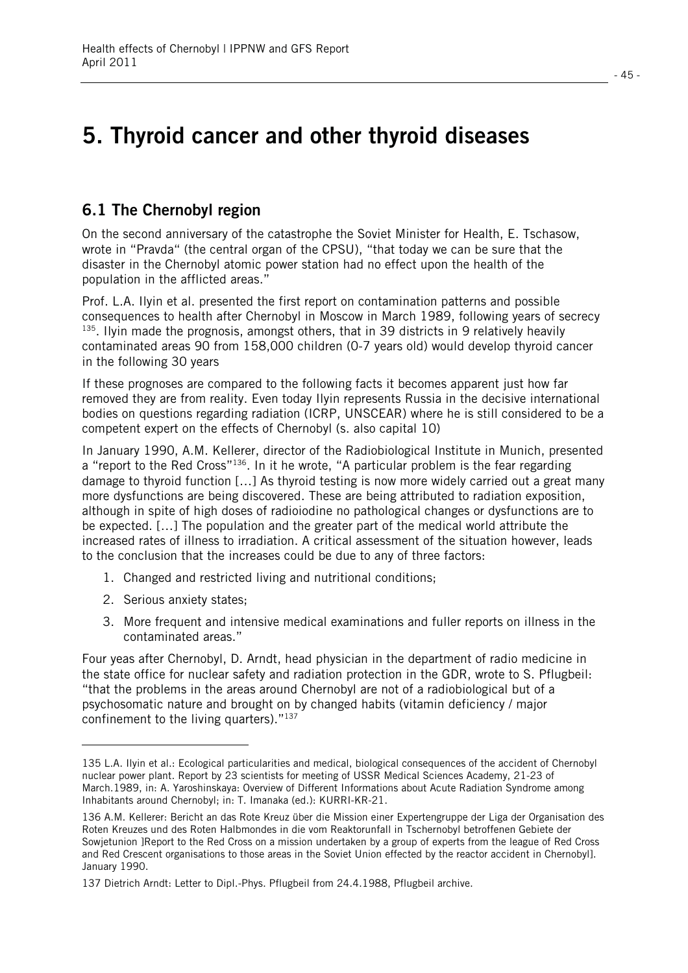## **5. Thyroid cancer and other thyroid diseases**

## **6.1 The Chernobyl region**

On the second anniversary of the catastrophe the Soviet Minister for Health, E. Tschasow, wrote in "Pravda" (the central organ of the CPSU), "that today we can be sure that the disaster in the Chernobyl atomic power station had no effect upon the health of the population in the afflicted areas."

Prof. L.A. Ilyin et al. presented the first report on contamination patterns and possible consequences to health after Chernobyl in Moscow in March 1989, following years of secrecy <sup>135</sup>. Ilyin made the prognosis, amongst others, that in 39 districts in 9 relatively heavily contaminated areas 90 from 158,000 children (0-7 years old) would develop thyroid cancer in the following 30 years

If these prognoses are compared to the following facts it becomes apparent just how far removed they are from reality. Even today Ilyin represents Russia in the decisive international bodies on questions regarding radiation (ICRP, UNSCEAR) where he is still considered to be a competent expert on the effects of Chernobyl (s. also capital 10)

In January 1990, A.M. Kellerer, director of the Radiobiological Institute in Munich, presented a "report to the Red Cross"136. In it he wrote, "A particular problem is the fear regarding damage to thyroid function […] As thyroid testing is now more widely carried out a great many more dysfunctions are being discovered. These are being attributed to radiation exposition, although in spite of high doses of radioiodine no pathological changes or dysfunctions are to be expected. […] The population and the greater part of the medical world attribute the increased rates of illness to irradiation. A critical assessment of the situation however, leads to the conclusion that the increases could be due to any of three factors:

- 1. Changed and restricted living and nutritional conditions;
- 2. Serious anxiety states;

l

3. More frequent and intensive medical examinations and fuller reports on illness in the contaminated areas."

Four yeas after Chernobyl, D. Arndt, head physician in the department of radio medicine in the state office for nuclear safety and radiation protection in the GDR, wrote to S. Pflugbeil: "that the problems in the areas around Chernobyl are not of a radiobiological but of a psychosomatic nature and brought on by changed habits (vitamin deficiency / major confinement to the living quarters)."137

<sup>135</sup> L.A. Ilyin et al.: Ecological particularities and medical, biological consequences of the accident of Chernobyl nuclear power plant. Report by 23 scientists for meeting of USSR Medical Sciences Academy, 21-23 of March.1989, in: A. Yaroshinskaya: Overview of Different Informations about Acute Radiation Syndrome among Inhabitants around Chernobyl; in: T. Imanaka (ed.): KURRI-KR-21.

<sup>136</sup> A.M. Kellerer: Bericht an das Rote Kreuz über die Mission einer Expertengruppe der Liga der Organisation des Roten Kreuzes und des Roten Halbmondes in die vom Reaktorunfall in Tschernobyl betroffenen Gebiete der Sowjetunion ]Report to the Red Cross on a mission undertaken by a group of experts from the league of Red Cross and Red Crescent organisations to those areas in the Soviet Union effected by the reactor accident in Chernobyl]. January 1990.

<sup>137</sup> Dietrich Arndt: Letter to Dipl.-Phys. Pflugbeil from 24.4.1988, Pflugbeil archive.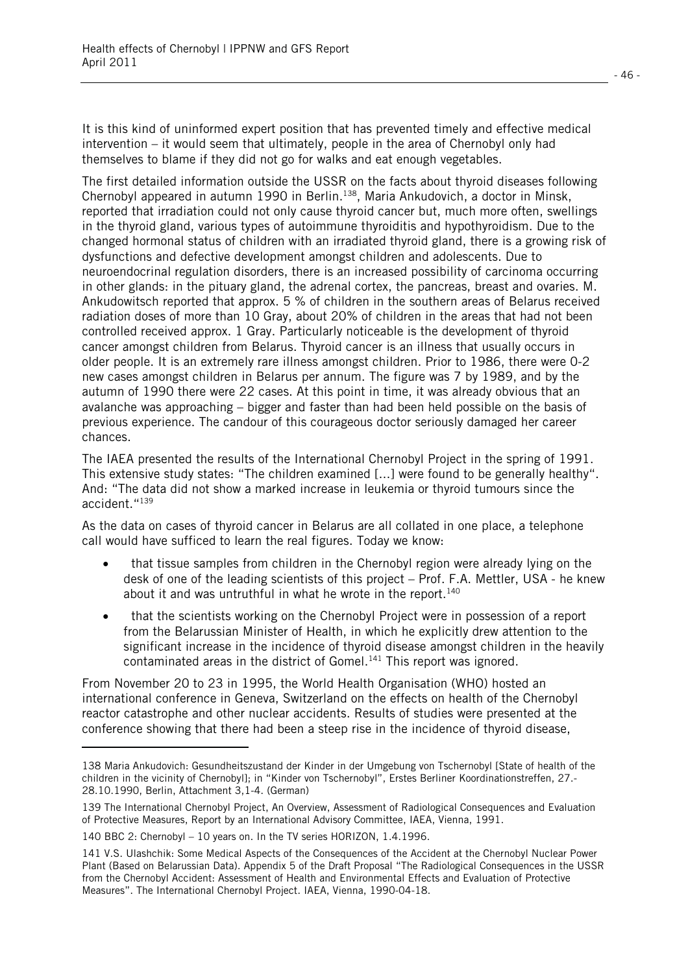It is this kind of uninformed expert position that has prevented timely and effective medical intervention – it would seem that ultimately, people in the area of Chernobyl only had themselves to blame if they did not go for walks and eat enough vegetables.

The first detailed information outside the USSR on the facts about thyroid diseases following Chernobyl appeared in autumn 1990 in Berlin.138, Maria Ankudovich, a doctor in Minsk, reported that irradiation could not only cause thyroid cancer but, much more often, swellings in the thyroid gland, various types of autoimmune thyroiditis and hypothyroidism. Due to the changed hormonal status of children with an irradiated thyroid gland, there is a growing risk of dysfunctions and defective development amongst children and adolescents. Due to neuroendocrinal regulation disorders, there is an increased possibility of carcinoma occurring in other glands: in the pituary gland, the adrenal cortex, the pancreas, breast and ovaries. M. Ankudowitsch reported that approx. 5 % of children in the southern areas of Belarus received radiation doses of more than 10 Gray, about 20% of children in the areas that had not been controlled received approx. 1 Gray. Particularly noticeable is the development of thyroid cancer amongst children from Belarus. Thyroid cancer is an illness that usually occurs in older people. It is an extremely rare illness amongst children. Prior to 1986, there were 0-2 new cases amongst children in Belarus per annum. The figure was 7 by 1989, and by the autumn of 1990 there were 22 cases. At this point in time, it was already obvious that an avalanche was approaching – bigger and faster than had been held possible on the basis of previous experience. The candour of this courageous doctor seriously damaged her career chances.

The IAEA presented the results of the International Chernobyl Project in the spring of 1991. This extensive study states: "The children examined [...] were found to be generally healthy". And: "The data did not show a marked increase in leukemia or thyroid tumours since the accident."139

As the data on cases of thyroid cancer in Belarus are all collated in one place, a telephone call would have sufficed to learn the real figures. Today we know:

- $\bullet$  that tissue samples from children in the Chernobyl region were already lying on the desk of one of the leading scientists of this project – Prof. F.A. Mettler, USA - he knew about it and was untruthful in what he wrote in the report. $140$
- $\bullet$  that the scientists working on the Chernobyl Project were in possession of a report from the Belarussian Minister of Health, in which he explicitly drew attention to the significant increase in the incidence of thyroid disease amongst children in the heavily contaminated areas in the district of Gomel.<sup>141</sup> This report was ignored.

From November 20 to 23 in 1995, the World Health Organisation (WHO) hosted an international conference in Geneva, Switzerland on the effects on health of the Chernobyl reactor catastrophe and other nuclear accidents. Results of studies were presented at the conference showing that there had been a steep rise in the incidence of thyroid disease,

l.

<sup>138</sup> Maria Ankudovich: Gesundheitszustand der Kinder in der Umgebung von Tschernobyl [State of health of the children in the vicinity of Chernobyl]; in "Kinder von Tschernobyl", Erstes Berliner Koordinationstreffen, 27.- 28.10.1990, Berlin, Attachment 3,1-4. (German)

<sup>139</sup> The International Chernobyl Project, An Overview, Assessment of Radiological Consequences and Evaluation of Protective Measures, Report by an International Advisory Committee, IAEA, Vienna, 1991.

<sup>140</sup> BBC 2: Chernobyl – 10 years on. In the TV series HORIZON, 1.4.1996.

<sup>141</sup> V.S. Ulashchik: Some Medical Aspects of the Consequences of the Accident at the Chernobyl Nuclear Power Plant (Based on Belarussian Data). Appendix 5 of the Draft Proposal "The Radiological Consequences in the USSR from the Chernobyl Accident: Assessment of Health and Environmental Effects and Evaluation of Protective Measures". The International Chernobyl Project. IAEA, Vienna, 1990-04-18.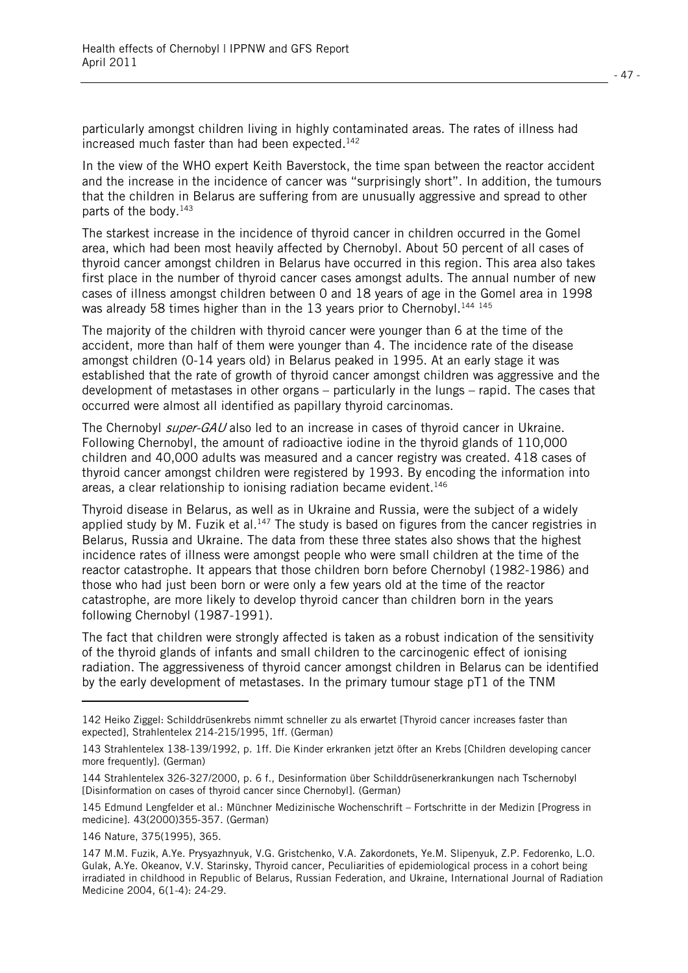particularly amongst children living in highly contaminated areas. The rates of illness had increased much faster than had been expected.<sup>142</sup>

In the view of the WHO expert Keith Baverstock, the time span between the reactor accident and the increase in the incidence of cancer was "surprisingly short". In addition, the tumours that the children in Belarus are suffering from are unusually aggressive and spread to other parts of the body.<sup>143</sup>

The starkest increase in the incidence of thyroid cancer in children occurred in the Gomel area, which had been most heavily affected by Chernobyl. About 50 percent of all cases of thyroid cancer amongst children in Belarus have occurred in this region. This area also takes first place in the number of thyroid cancer cases amongst adults. The annual number of new cases of illness amongst children between 0 and 18 years of age in the Gomel area in 1998 was already 58 times higher than in the 13 years prior to Chernobyl.<sup>144 145</sup>

The majority of the children with thyroid cancer were younger than 6 at the time of the accident, more than half of them were younger than 4. The incidence rate of the disease amongst children (0-14 years old) in Belarus peaked in 1995. At an early stage it was established that the rate of growth of thyroid cancer amongst children was aggressive and the development of metastases in other organs – particularly in the lungs – rapid. The cases that occurred were almost all identified as papillary thyroid carcinomas.

The Chernobyl *super-GAU* also led to an increase in cases of thyroid cancer in Ukraine. Following Chernobyl, the amount of radioactive iodine in the thyroid glands of 110,000 children and 40,000 adults was measured and a cancer registry was created. 418 cases of thyroid cancer amongst children were registered by 1993. By encoding the information into areas, a clear relationship to ionising radiation became evident.<sup>146</sup>

Thyroid disease in Belarus, as well as in Ukraine and Russia, were the subject of a widely applied study by M. Fuzik et al.<sup>147</sup> The study is based on figures from the cancer registries in Belarus, Russia and Ukraine. The data from these three states also shows that the highest incidence rates of illness were amongst people who were small children at the time of the reactor catastrophe. It appears that those children born before Chernobyl (1982-1986) and those who had just been born or were only a few years old at the time of the reactor catastrophe, are more likely to develop thyroid cancer than children born in the years following Chernobyl (1987-1991).

The fact that children were strongly affected is taken as a robust indication of the sensitivity of the thyroid glands of infants and small children to the carcinogenic effect of ionising radiation. The aggressiveness of thyroid cancer amongst children in Belarus can be identified by the early development of metastases. In the primary tumour stage pT1 of the TNM

l

<sup>142</sup> Heiko Ziggel: Schilddrüsenkrebs nimmt schneller zu als erwartet [Thyroid cancer increases faster than expected], Strahlentelex 214-215/1995, 1ff. (German)

<sup>143</sup> Strahlentelex 138-139/1992, p. 1ff. Die Kinder erkranken jetzt öfter an Krebs [Children developing cancer more frequently]. (German)

<sup>144</sup> Strahlentelex 326-327/2000, p. 6 f., Desinformation über Schilddrüsenerkrankungen nach Tschernobyl [Disinformation on cases of thyroid cancer since Chernobyl]. (German)

<sup>145</sup> Edmund Lengfelder et al.: Münchner Medizinische Wochenschrift – Fortschritte in der Medizin [Progress in medicine]. 43(2000)355-357. (German)

<sup>146</sup> Nature, 375(1995), 365.

<sup>147</sup> M.M. Fuzik, A.Ye. Prysyazhnyuk, V.G. Gristchenko, V.A. Zakordonets, Ye.M. Slipenyuk, Z.P. Fedorenko, L.O. Gulak, A.Ye. Okeanov, V.V. Starinsky, Thyroid cancer, Peculiarities of epidemiological process in a cohort being irradiated in childhood in Republic of Belarus, Russian Federation, and Ukraine, International Journal of Radiation Medicine 2004, 6(1-4): 24-29.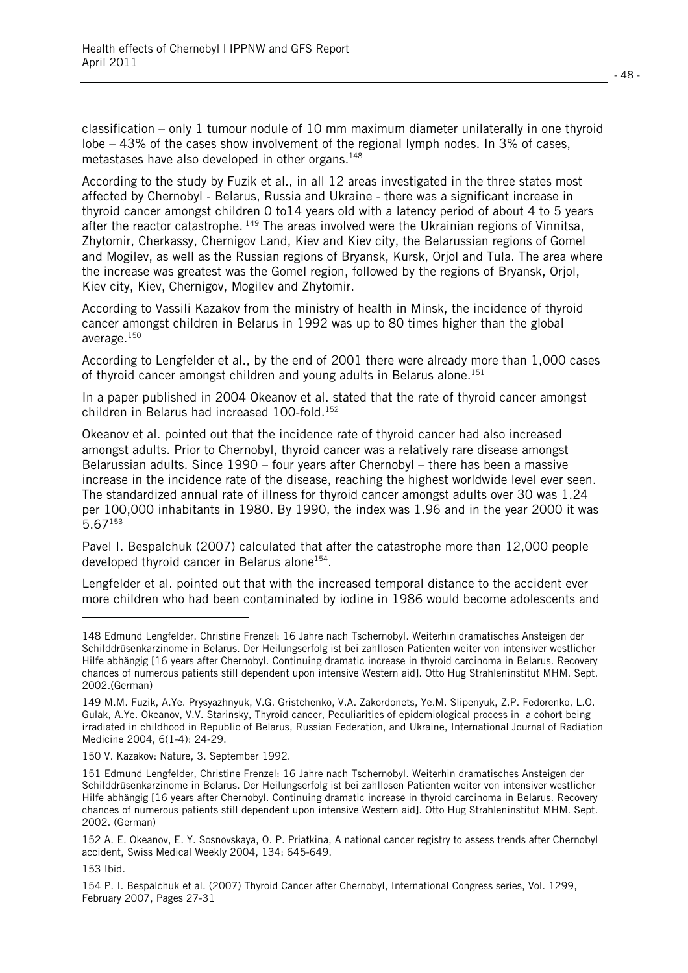classification – only 1 tumour nodule of 10 mm maximum diameter unilaterally in one thyroid lobe – 43% of the cases show involvement of the regional lymph nodes. In 3% of cases, metastases have also developed in other organs.148

According to the study by Fuzik et al., in all 12 areas investigated in the three states most affected by Chernobyl - Belarus, Russia and Ukraine - there was a significant increase in thyroid cancer amongst children 0 to14 years old with a latency period of about 4 to 5 years after the reactor catastrophe. 149 The areas involved were the Ukrainian regions of Vinnitsa, Zhytomir, Cherkassy, Chernigov Land, Kiev and Kiev city, the Belarussian regions of Gomel and Mogilev, as well as the Russian regions of Bryansk, Kursk, Orjol and Tula. The area where the increase was greatest was the Gomel region, followed by the regions of Bryansk, Orjol, Kiev city, Kiev, Chernigov, Mogilev and Zhytomir.

According to Vassili Kazakov from the ministry of health in Minsk, the incidence of thyroid cancer amongst children in Belarus in 1992 was up to 80 times higher than the global average.150

According to Lengfelder et al., by the end of 2001 there were already more than 1,000 cases of thyroid cancer amongst children and young adults in Belarus alone.<sup>151</sup>

In a paper published in 2004 Okeanov et al. stated that the rate of thyroid cancer amongst children in Belarus had increased 100-fold.152

Okeanov et al. pointed out that the incidence rate of thyroid cancer had also increased amongst adults. Prior to Chernobyl, thyroid cancer was a relatively rare disease amongst Belarussian adults. Since 1990 – four years after Chernobyl – there has been a massive increase in the incidence rate of the disease, reaching the highest worldwide level ever seen. The standardized annual rate of illness for thyroid cancer amongst adults over 30 was 1.24 per 100,000 inhabitants in 1980. By 1990, the index was 1.96 and in the year 2000 it was  $5.67$ <sup>153</sup>

Pavel I. Bespalchuk (2007) calculated that after the catastrophe more than 12,000 people developed thyroid cancer in Belarus alone<sup>154</sup>.

Lengfelder et al. pointed out that with the increased temporal distance to the accident ever more children who had been contaminated by iodine in 1986 would become adolescents and

l

<sup>148</sup> Edmund Lengfelder, Christine Frenzel: 16 Jahre nach Tschernobyl. Weiterhin dramatisches Ansteigen der Schilddrüsenkarzinome in Belarus. Der Heilungserfolg ist bei zahllosen Patienten weiter von intensiver westlicher Hilfe abhängig [16 years after Chernobyl. Continuing dramatic increase in thyroid carcinoma in Belarus. Recovery chances of numerous patients still dependent upon intensive Western aid]. Otto Hug Strahleninstitut MHM. Sept. 2002.(German)

<sup>149</sup> M.M. Fuzik, A.Ye. Prysyazhnyuk, V.G. Gristchenko, V.A. Zakordonets, Ye.M. Slipenyuk, Z.P. Fedorenko, L.O. Gulak, A.Ye. Okeanov, V.V. Starinsky, Thyroid cancer, Peculiarities of epidemiological process in a cohort being irradiated in childhood in Republic of Belarus, Russian Federation, and Ukraine, International Journal of Radiation Medicine 2004, 6(1-4): 24-29.

<sup>150</sup> V. Kazakov: Nature, 3. September 1992.

<sup>151</sup> Edmund Lengfelder, Christine Frenzel: 16 Jahre nach Tschernobyl. Weiterhin dramatisches Ansteigen der Schilddrüsenkarzinome in Belarus. Der Heilungserfolg ist bei zahllosen Patienten weiter von intensiver westlicher Hilfe abhängig [16 years after Chernobyl. Continuing dramatic increase in thyroid carcinoma in Belarus. Recovery chances of numerous patients still dependent upon intensive Western aid]. Otto Hug Strahleninstitut MHM. Sept. 2002. (German)

<sup>152</sup> A. E. Okeanov, E. Y. Sosnovskaya, O. P. Priatkina, A national cancer registry to assess trends after Chernobyl accident, Swiss Medical Weekly 2004, 134: 645-649.

<sup>153</sup> Ibid.

<sup>154</sup> P. I. Bespalchuk et al. (2007) Thyroid Cancer after Chernobyl, International Congress series, Vol. 1299, February 2007, Pages 27-31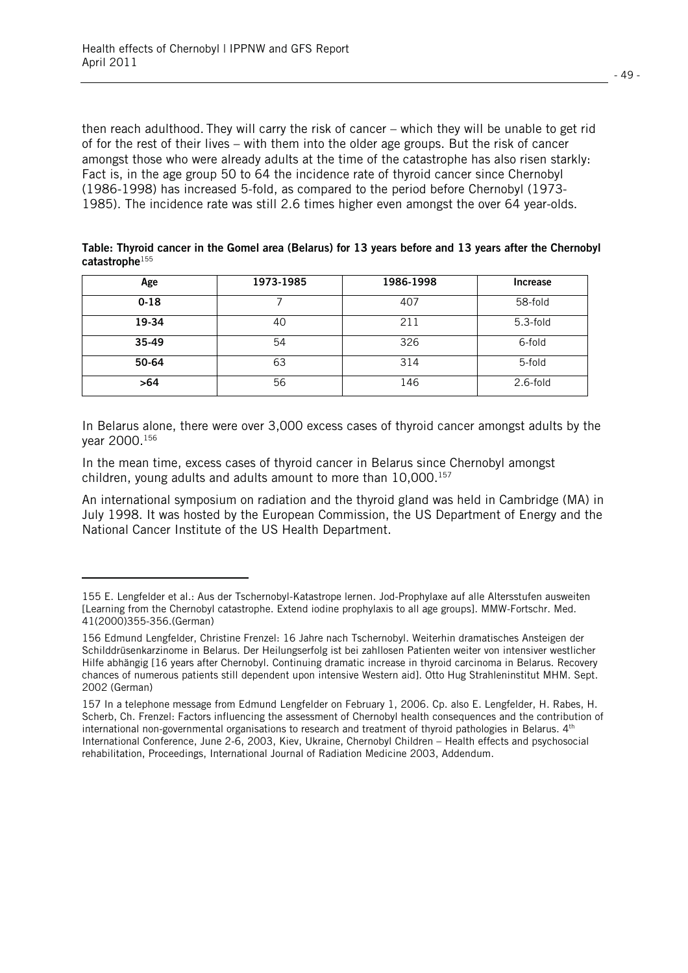l

then reach adulthood. They will carry the risk of cancer – which they will be unable to get rid of for the rest of their lives – with them into the older age groups. But the risk of cancer amongst those who were already adults at the time of the catastrophe has also risen starkly: Fact is, in the age group 50 to 64 the incidence rate of thyroid cancer since Chernobyl (1986-1998) has increased 5-fold, as compared to the period before Chernobyl (1973- 1985). The incidence rate was still 2.6 times higher even amongst the over 64 year-olds.

| Table: Thyroid cancer in the Gomel area (Belarus) for 13 years before and 13 years after the Chernobyl |  |  |  |
|--------------------------------------------------------------------------------------------------------|--|--|--|
| $\textsf{catastrophe}^{155}$                                                                           |  |  |  |

| Age      | 1973-1985 | 1986-1998 | <b>Increase</b> |  |
|----------|-----------|-----------|-----------------|--|
| $0 - 18$ |           | 407       | 58-fold         |  |
| 19-34    | 40        | 211       | 5.3-fold        |  |
| 35-49    | 54        | 326       | 6-fold          |  |
| 50-64    | 63        | 314       | 5-fold          |  |
| >64      | 56        | 146       | $2.6$ -fold     |  |

In Belarus alone, there were over 3,000 excess cases of thyroid cancer amongst adults by the year 2000.156

In the mean time, excess cases of thyroid cancer in Belarus since Chernobyl amongst children, young adults and adults amount to more than  $10,000$ .<sup>157</sup>

An international symposium on radiation and the thyroid gland was held in Cambridge (MA) in July 1998. It was hosted by the European Commission, the US Department of Energy and the National Cancer Institute of the US Health Department.

<sup>155</sup> E. Lengfelder et al.: Aus der Tschernobyl-Katastrope lernen. Jod-Prophylaxe auf alle Altersstufen ausweiten [Learning from the Chernobyl catastrophe. Extend iodine prophylaxis to all age groups]. MMW-Fortschr. Med. 41(2000)355-356.(German)

<sup>156</sup> Edmund Lengfelder, Christine Frenzel: 16 Jahre nach Tschernobyl. Weiterhin dramatisches Ansteigen der Schilddrüsenkarzinome in Belarus. Der Heilungserfolg ist bei zahllosen Patienten weiter von intensiver westlicher Hilfe abhängig [16 years after Chernobyl. Continuing dramatic increase in thyroid carcinoma in Belarus. Recovery chances of numerous patients still dependent upon intensive Western aid]. Otto Hug Strahleninstitut MHM. Sept. 2002 (German)

<sup>157</sup> In a telephone message from Edmund Lengfelder on February 1, 2006. Cp. also E. Lengfelder, H. Rabes, H. Scherb, Ch. Frenzel: Factors influencing the assessment of Chernobyl health consequences and the contribution of international non-governmental organisations to research and treatment of thyroid pathologies in Belarus.  $4<sup>th</sup>$ International Conference, June 2-6, 2003, Kiev, Ukraine, Chernobyl Children – Health effects and psychosocial rehabilitation, Proceedings, International Journal of Radiation Medicine 2003, Addendum.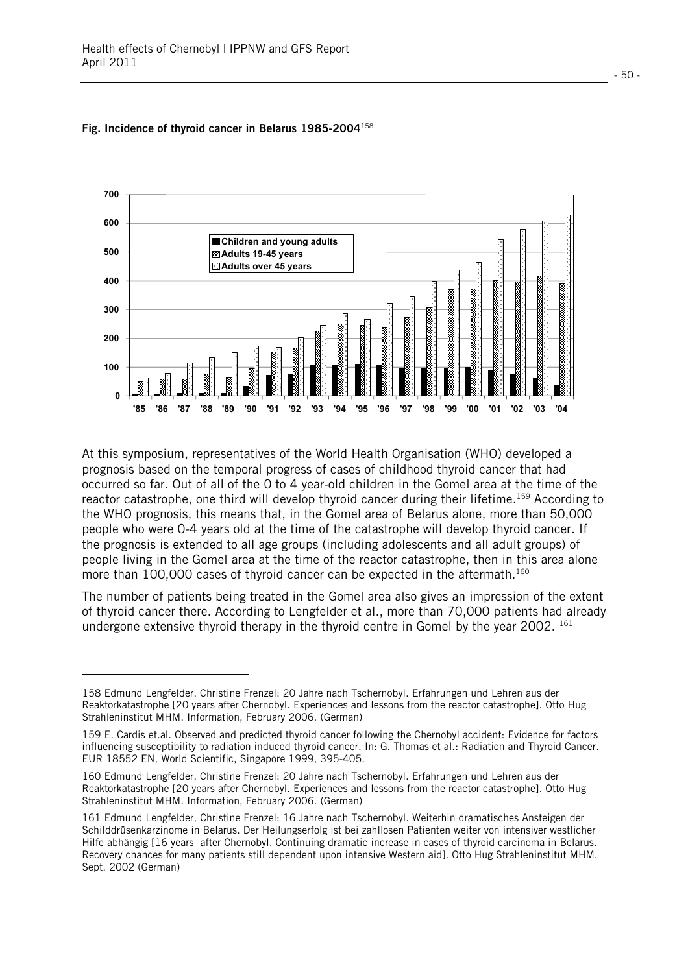l



#### **Fig. Incidence of thyroid cancer in Belarus 1985-2004**<sup>158</sup>

At this symposium, representatives of the World Health Organisation (WHO) developed a prognosis based on the temporal progress of cases of childhood thyroid cancer that had occurred so far. Out of all of the 0 to 4 year-old children in the Gomel area at the time of the reactor catastrophe, one third will develop thyroid cancer during their lifetime.159 According to the WHO prognosis, this means that, in the Gomel area of Belarus alone, more than 50,000 people who were 0-4 years old at the time of the catastrophe will develop thyroid cancer. If the prognosis is extended to all age groups (including adolescents and all adult groups) of people living in the Gomel area at the time of the reactor catastrophe, then in this area alone more than 100,000 cases of thyroid cancer can be expected in the aftermath.<sup>160</sup>

The number of patients being treated in the Gomel area also gives an impression of the extent of thyroid cancer there. According to Lengfelder et al., more than 70,000 patients had already undergone extensive thyroid therapy in the thyroid centre in Gomel by the year 2002.  $^{161}$ 

<sup>158</sup> Edmund Lengfelder, Christine Frenzel: 20 Jahre nach Tschernobyl. Erfahrungen und Lehren aus der Reaktorkatastrophe [20 years after Chernobyl. Experiences and lessons from the reactor catastrophe]. Otto Hug Strahleninstitut MHM. Information, February 2006. (German)

<sup>159</sup> E. Cardis et.al. Observed and predicted thyroid cancer following the Chernobyl accident: Evidence for factors influencing susceptibility to radiation induced thyroid cancer. In: G. Thomas et al.: Radiation and Thyroid Cancer. EUR 18552 EN, World Scientific, Singapore 1999, 395-405.

<sup>160</sup> Edmund Lengfelder, Christine Frenzel: 20 Jahre nach Tschernobyl. Erfahrungen und Lehren aus der Reaktorkatastrophe [20 years after Chernobyl. Experiences and lessons from the reactor catastrophe]. Otto Hug Strahleninstitut MHM. Information, February 2006. (German)

<sup>161</sup> Edmund Lengfelder, Christine Frenzel: 16 Jahre nach Tschernobyl. Weiterhin dramatisches Ansteigen der Schilddrüsenkarzinome in Belarus. Der Heilungserfolg ist bei zahllosen Patienten weiter von intensiver westlicher Hilfe abhängig [16 years after Chernobyl. Continuing dramatic increase in cases of thyroid carcinoma in Belarus. Recovery chances for many patients still dependent upon intensive Western aid]. Otto Hug Strahleninstitut MHM. Sept. 2002 (German)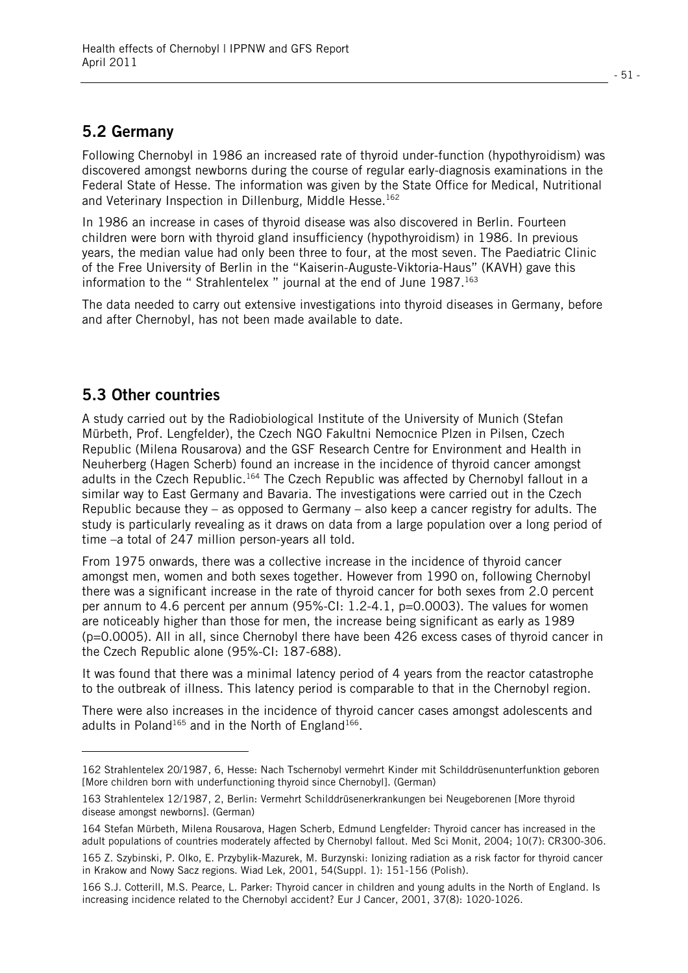### **5.2 Germany**

Following Chernobyl in 1986 an increased rate of thyroid under-function (hypothyroidism) was discovered amongst newborns during the course of regular early-diagnosis examinations in the Federal State of Hesse. The information was given by the State Office for Medical, Nutritional and Veterinary Inspection in Dillenburg, Middle Hesse.<sup>162</sup>

In 1986 an increase in cases of thyroid disease was also discovered in Berlin. Fourteen children were born with thyroid gland insufficiency (hypothyroidism) in 1986. In previous years, the median value had only been three to four, at the most seven. The Paediatric Clinic of the Free University of Berlin in the "Kaiserin-Auguste-Viktoria-Haus" (KAVH) gave this information to the "Strahlentelex" journal at the end of June 1987.<sup>163</sup>

The data needed to carry out extensive investigations into thyroid diseases in Germany, before and after Chernobyl, has not been made available to date.

### **5.3 Other countries**

l

A study carried out by the Radiobiological Institute of the University of Munich (Stefan Mürbeth, Prof. Lengfelder), the Czech NGO Fakultni Nemocnice Plzen in Pilsen, Czech Republic (Milena Rousarova) and the GSF Research Centre for Environment and Health in Neuherberg (Hagen Scherb) found an increase in the incidence of thyroid cancer amongst adults in the Czech Republic.164 The Czech Republic was affected by Chernobyl fallout in a similar way to East Germany and Bavaria. The investigations were carried out in the Czech Republic because they – as opposed to Germany – also keep a cancer registry for adults. The study is particularly revealing as it draws on data from a large population over a long period of time –a total of 247 million person-years all told.

From 1975 onwards, there was a collective increase in the incidence of thyroid cancer amongst men, women and both sexes together. However from 1990 on, following Chernobyl there was a significant increase in the rate of thyroid cancer for both sexes from 2.0 percent per annum to 4.6 percent per annum (95%-CI: 1.2-4.1, p=0.0003). The values for women are noticeably higher than those for men, the increase being significant as early as 1989 (p=0.0005). All in all, since Chernobyl there have been 426 excess cases of thyroid cancer in the Czech Republic alone (95%-CI: 187-688).

It was found that there was a minimal latency period of 4 years from the reactor catastrophe to the outbreak of illness. This latency period is comparable to that in the Chernobyl region.

There were also increases in the incidence of thyroid cancer cases amongst adolescents and adults in Poland<sup>165</sup> and in the North of England<sup>166</sup>.

<sup>162</sup> Strahlentelex 20/1987, 6, Hesse: Nach Tschernobyl vermehrt Kinder mit Schilddrüsenunterfunktion geboren [More children born with underfunctioning thyroid since Chernobyl]. (German)

<sup>163</sup> Strahlentelex 12/1987, 2, Berlin: Vermehrt Schilddrüsenerkrankungen bei Neugeborenen [More thyroid disease amongst newborns]. (German)

<sup>164</sup> Stefan Mürbeth, Milena Rousarova, Hagen Scherb, Edmund Lengfelder: Thyroid cancer has increased in the adult populations of countries moderately affected by Chernobyl fallout. Med Sci Monit, 2004; 10(7): CR300-306.

<sup>165</sup> Z. Szybinski, P. Olko, E. Przybylik-Mazurek, M. Burzynski: Ionizing radiation as a risk factor for thyroid cancer in Krakow and Nowy Sacz regions. Wiad Lek, 2001, 54(Suppl. 1): 151-156 (Polish).

<sup>166</sup> S.J. Cotterill, M.S. Pearce, L. Parker: Thyroid cancer in children and young adults in the North of England. Is increasing incidence related to the Chernobyl accident? Eur J Cancer, 2001, 37(8): 1020-1026.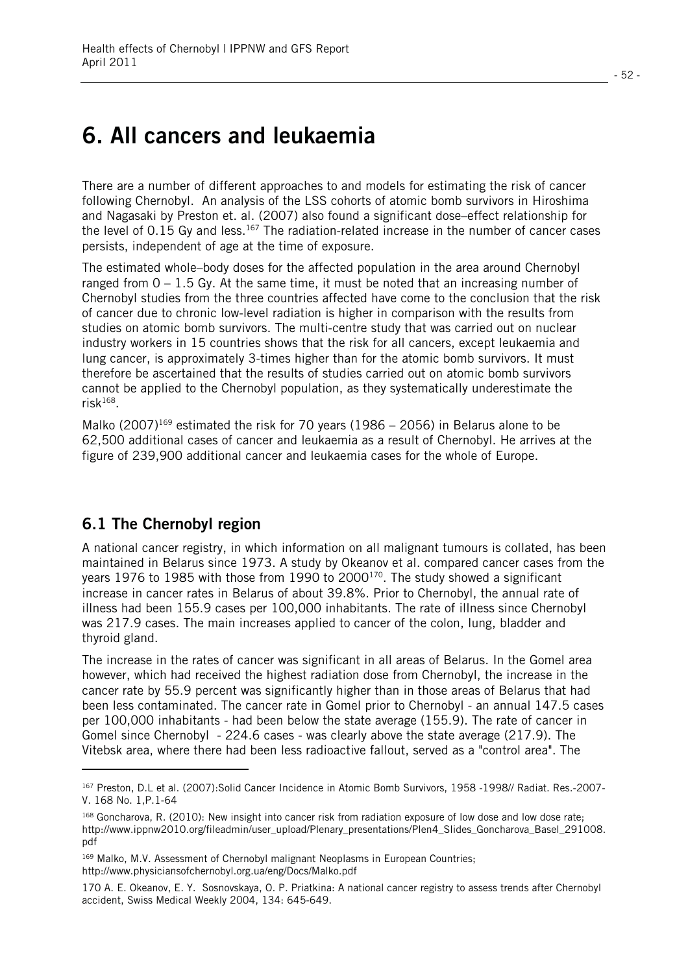## **6. All cancers and leukaemia**

There are a number of different approaches to and models for estimating the risk of cancer following Chernobyl. An analysis of the LSS cohorts of atomic bomb survivors in Hiroshima and Nagasaki by Preston et. al. (2007) also found a significant dose–effect relationship for the level of 0.15 Gy and less.<sup>167</sup> The radiation-related increase in the number of cancer cases persists, independent of age at the time of exposure.

The estimated whole–body doses for the affected population in the area around Chernobyl ranged from  $0 - 1.5$  Gy. At the same time, it must be noted that an increasing number of Chernobyl studies from the three countries affected have come to the conclusion that the risk of cancer due to chronic low-level radiation is higher in comparison with the results from studies on atomic bomb survivors. The multi-centre study that was carried out on nuclear industry workers in 15 countries shows that the risk for all cancers, except leukaemia and lung cancer, is approximately 3-times higher than for the atomic bomb survivors. It must therefore be ascertained that the results of studies carried out on atomic bomb survivors cannot be applied to the Chernobyl population, as they systematically underestimate the risk $168$ .

Malko (2007)<sup>169</sup> estimated the risk for 70 years (1986 – 2056) in Belarus alone to be 62,500 additional cases of cancer and leukaemia as a result of Chernobyl. He arrives at the figure of 239,900 additional cancer and leukaemia cases for the whole of Europe.

#### **6.1 The Chernobyl region**

l

A national cancer registry, in which information on all malignant tumours is collated, has been maintained in Belarus since 1973. A study by Okeanov et al. compared cancer cases from the years 1976 to 1985 with those from 1990 to 2000<sup>170</sup>. The study showed a significant increase in cancer rates in Belarus of about 39.8%. Prior to Chernobyl, the annual rate of illness had been 155.9 cases per 100,000 inhabitants. The rate of illness since Chernobyl was 217.9 cases. The main increases applied to cancer of the colon, lung, bladder and thyroid gland.

The increase in the rates of cancer was significant in all areas of Belarus. In the Gomel area however, which had received the highest radiation dose from Chernobyl, the increase in the cancer rate by 55.9 percent was significantly higher than in those areas of Belarus that had been less contaminated. The cancer rate in Gomel prior to Chernobyl - an annual 147.5 cases per 100,000 inhabitants - had been below the state average (155.9). The rate of cancer in Gomel since Chernobyl - 224.6 cases - was clearly above the state average (217.9). The Vitebsk area, where there had been less radioactive fallout, served as a "control area". The

<sup>167</sup> Preston, D.L et al. (2007):Solid Cancer Incidence in Atomic Bomb Survivors, 1958 -1998// Radiat. Res.-2007- V. 168 No. 1,P.1-64

<sup>168</sup> Goncharova, R. (2010): New insight into cancer risk from radiation exposure of low dose and low dose rate; http://www.ippnw2010.org/fileadmin/user\_upload/Plenary\_presentations/Plen4\_Slides\_Goncharova\_Basel\_291008. pdf

<sup>&</sup>lt;sup>169</sup> Malko, M.V. Assessment of Chernobyl malignant Neoplasms in European Countries; http://www.physiciansofchernobyl.org.ua/eng/Docs/Malko.pdf

<sup>170</sup> A. E. Okeanov, E. Y. Sosnovskaya, O. P. Priatkina: A national cancer registry to assess trends after Chernobyl accident, Swiss Medical Weekly 2004, 134: 645-649.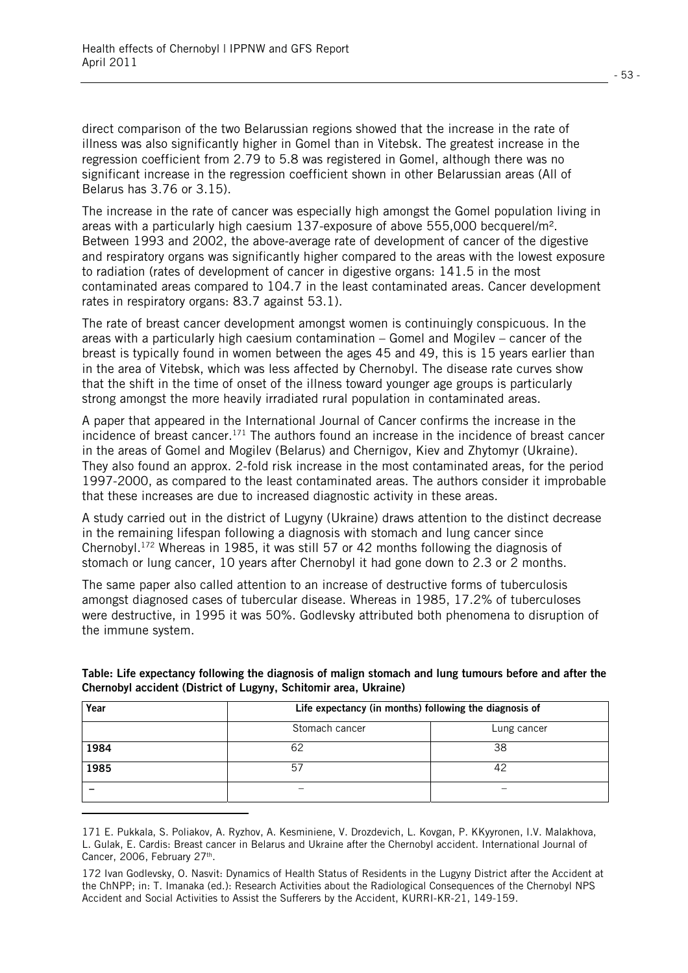direct comparison of the two Belarussian regions showed that the increase in the rate of illness was also significantly higher in Gomel than in Vitebsk. The greatest increase in the regression coefficient from 2.79 to 5.8 was registered in Gomel, although there was no significant increase in the regression coefficient shown in other Belarussian areas (All of Belarus has 3.76 or 3.15).

The increase in the rate of cancer was especially high amongst the Gomel population living in areas with a particularly high caesium 137-exposure of above 555,000 becquerel/m². Between 1993 and 2002, the above-average rate of development of cancer of the digestive and respiratory organs was significantly higher compared to the areas with the lowest exposure to radiation (rates of development of cancer in digestive organs: 141.5 in the most contaminated areas compared to 104.7 in the least contaminated areas. Cancer development rates in respiratory organs: 83.7 against 53.1).

The rate of breast cancer development amongst women is continuingly conspicuous. In the areas with a particularly high caesium contamination – Gomel and Mogilev – cancer of the breast is typically found in women between the ages 45 and 49, this is 15 years earlier than in the area of Vitebsk, which was less affected by Chernobyl. The disease rate curves show that the shift in the time of onset of the illness toward younger age groups is particularly strong amongst the more heavily irradiated rural population in contaminated areas.

A paper that appeared in the International Journal of Cancer confirms the increase in the incidence of breast cancer.<sup>171</sup> The authors found an increase in the incidence of breast cancer in the areas of Gomel and Mogilev (Belarus) and Chernigov, Kiev and Zhytomyr (Ukraine). They also found an approx. 2-fold risk increase in the most contaminated areas, for the period 1997-2000, as compared to the least contaminated areas. The authors consider it improbable that these increases are due to increased diagnostic activity in these areas.

A study carried out in the district of Lugyny (Ukraine) draws attention to the distinct decrease in the remaining lifespan following a diagnosis with stomach and lung cancer since Chernobyl.172 Whereas in 1985, it was still 57 or 42 months following the diagnosis of stomach or lung cancer, 10 years after Chernobyl it had gone down to 2.3 or 2 months.

The same paper also called attention to an increase of destructive forms of tuberculosis amongst diagnosed cases of tubercular disease. Whereas in 1985, 17.2% of tuberculoses were destructive, in 1995 it was 50%. Godlevsky attributed both phenomena to disruption of the immune system.

| Year | Life expectancy (in months) following the diagnosis of |             |  |  |  |
|------|--------------------------------------------------------|-------------|--|--|--|
|      | Stomach cancer                                         | Lung cancer |  |  |  |
| 1984 | 62                                                     | 38          |  |  |  |
| 1985 | -57                                                    | 42          |  |  |  |
|      | -                                                      |             |  |  |  |

#### **Table: Life expectancy following the diagnosis of malign stomach and lung tumours before and after the Chernobyl accident (District of Lugyny, Schitomir area, Ukraine)**

l.

<sup>171</sup> E. Pukkala, S. Poliakov, A. Ryzhov, A. Kesminiene, V. Drozdevich, L. Kovgan, P. KKyyronen, I.V. Malakhova, L. Gulak, E. Cardis: Breast cancer in Belarus and Ukraine after the Chernobyl accident. International Journal of Cancer, 2006, February 27th.

<sup>172</sup> Ivan Godlevsky, O. Nasvit: Dynamics of Health Status of Residents in the Lugyny District after the Accident at the ChNPP; in: T. Imanaka (ed.): Research Activities about the Radiological Consequences of the Chernobyl NPS Accident and Social Activities to Assist the Sufferers by the Accident, KURRI-KR-21, 149-159.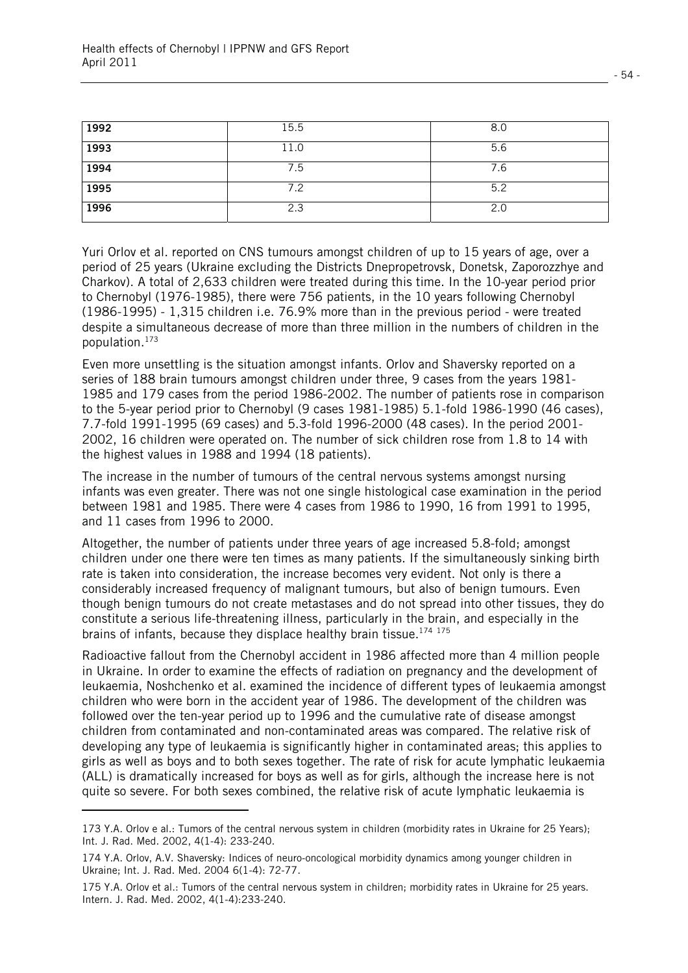| 1992 | 15.5 | 8.0 |
|------|------|-----|
| 1993 | 11.0 | 5.6 |
| 1994 | 7.5  | 7.6 |
| 1995 | 7.2  | 5.2 |
| 1996 | 2.3  | 2.0 |

Yuri Orlov et al. reported on CNS tumours amongst children of up to 15 years of age, over a period of 25 years (Ukraine excluding the Districts Dnepropetrovsk, Donetsk, Zaporozzhye and Charkov). A total of 2,633 children were treated during this time. In the 10-year period prior to Chernobyl (1976-1985), there were 756 patients, in the 10 years following Chernobyl (1986-1995) - 1,315 children i.e. 76.9% more than in the previous period - were treated despite a simultaneous decrease of more than three million in the numbers of children in the population.173

Even more unsettling is the situation amongst infants. Orlov and Shaversky reported on a series of 188 brain tumours amongst children under three, 9 cases from the years 1981- 1985 and 179 cases from the period 1986-2002. The number of patients rose in comparison to the 5-year period prior to Chernobyl (9 cases 1981-1985) 5.1-fold 1986-1990 (46 cases), 7.7-fold 1991-1995 (69 cases) and 5.3-fold 1996-2000 (48 cases). In the period 2001- 2002, 16 children were operated on. The number of sick children rose from 1.8 to 14 with the highest values in 1988 and 1994 (18 patients).

The increase in the number of tumours of the central nervous systems amongst nursing infants was even greater. There was not one single histological case examination in the period between 1981 and 1985. There were 4 cases from 1986 to 1990, 16 from 1991 to 1995, and 11 cases from 1996 to 2000.

Altogether, the number of patients under three years of age increased 5.8-fold; amongst children under one there were ten times as many patients. If the simultaneously sinking birth rate is taken into consideration, the increase becomes very evident. Not only is there a considerably increased frequency of malignant tumours, but also of benign tumours. Even though benign tumours do not create metastases and do not spread into other tissues, they do constitute a serious life-threatening illness, particularly in the brain, and especially in the brains of infants, because they displace healthy brain tissue.<sup>174 175</sup>

Radioactive fallout from the Chernobyl accident in 1986 affected more than 4 million people in Ukraine. In order to examine the effects of radiation on pregnancy and the development of leukaemia, Noshchenko et al. examined the incidence of different types of leukaemia amongst children who were born in the accident year of 1986. The development of the children was followed over the ten-year period up to 1996 and the cumulative rate of disease amongst children from contaminated and non-contaminated areas was compared. The relative risk of developing any type of leukaemia is significantly higher in contaminated areas; this applies to girls as well as boys and to both sexes together. The rate of risk for acute lymphatic leukaemia (ALL) is dramatically increased for boys as well as for girls, although the increase here is not quite so severe. For both sexes combined, the relative risk of acute lymphatic leukaemia is

l

<sup>173</sup> Y.A. Orlov e al.: Tumors of the central nervous system in children (morbidity rates in Ukraine for 25 Years); Int. J. Rad. Med. 2002, 4(1-4): 233-240.

<sup>174</sup> Y.A. Orlov, A.V. Shaversky: Indices of neuro-oncological morbidity dynamics among younger children in Ukraine; Int. J. Rad. Med. 2004 6(1-4): 72-77.

<sup>175</sup> Y.A. Orlov et al.: Tumors of the central nervous system in children; morbidity rates in Ukraine for 25 years. Intern. J. Rad. Med. 2002, 4(1-4):233-240.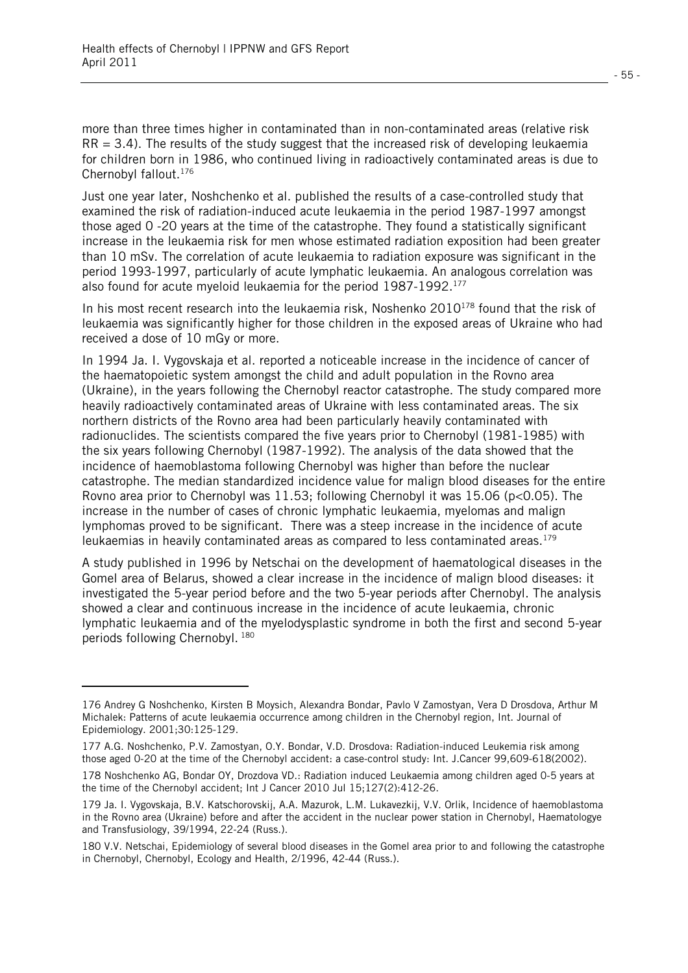l

more than three times higher in contaminated than in non-contaminated areas (relative risk  $RR = 3.4$ ). The results of the study suggest that the increased risk of developing leukaemia for children born in 1986, who continued living in radioactively contaminated areas is due to Chernobyl fallout.<sup>176</sup>

Just one year later, Noshchenko et al. published the results of a case-controlled study that examined the risk of radiation-induced acute leukaemia in the period 1987-1997 amongst those aged 0 -20 years at the time of the catastrophe. They found a statistically significant increase in the leukaemia risk for men whose estimated radiation exposition had been greater than 10 mSv. The correlation of acute leukaemia to radiation exposure was significant in the period 1993-1997, particularly of acute lymphatic leukaemia. An analogous correlation was also found for acute myeloid leukaemia for the period 1987-1992.<sup>177</sup>

In his most recent research into the leukaemia risk, Noshenko  $2010^{178}$  found that the risk of leukaemia was significantly higher for those children in the exposed areas of Ukraine who had received a dose of 10 mGy or more.

In 1994 Ja. I. Vygovskaja et al. reported a noticeable increase in the incidence of cancer of the haematopoietic system amongst the child and adult population in the Rovno area (Ukraine), in the years following the Chernobyl reactor catastrophe. The study compared more heavily radioactively contaminated areas of Ukraine with less contaminated areas. The six northern districts of the Rovno area had been particularly heavily contaminated with radionuclides. The scientists compared the five years prior to Chernobyl (1981-1985) with the six years following Chernobyl (1987-1992). The analysis of the data showed that the incidence of haemoblastoma following Chernobyl was higher than before the nuclear catastrophe. The median standardized incidence value for malign blood diseases for the entire Rovno area prior to Chernobyl was 11.53; following Chernobyl it was 15.06 (p<0.05). The increase in the number of cases of chronic lymphatic leukaemia, myelomas and malign lymphomas proved to be significant. There was a steep increase in the incidence of acute leukaemias in heavily contaminated areas as compared to less contaminated areas.179

A study published in 1996 by Netschai on the development of haematological diseases in the Gomel area of Belarus, showed a clear increase in the incidence of malign blood diseases: it investigated the 5-year period before and the two 5-year periods after Chernobyl. The analysis showed a clear and continuous increase in the incidence of acute leukaemia, chronic lymphatic leukaemia and of the myelodysplastic syndrome in both the first and second 5-year periods following Chernobyl. 180

<sup>176</sup> Andrey G Noshchenko, Kirsten B Moysich, Alexandra Bondar, Pavlo V Zamostyan, Vera D Drosdova, Arthur M Michalek: Patterns of acute leukaemia occurrence among children in the Chernobyl region, Int. Journal of Epidemiology. 2001;30:125-129.

<sup>177</sup> A.G. Noshchenko, P.V. Zamostyan, O.Y. Bondar, V.D. Drosdova: Radiation-induced Leukemia risk among those aged 0-20 at the time of the Chernobyl accident: a case-control study: Int. J.Cancer 99,609-618(2002).

<sup>178</sup> Noshchenko AG, Bondar OY, Drozdova VD.: Radiation induced Leukaemia among children aged 0-5 years at the time of the Chernobyl accident; Int J Cancer 2010 Jul 15;127(2):412-26.

<sup>179</sup> Ja. I. Vygovskaja, B.V. Katschorovskij, A.A. Mazurok, L.M. Lukavezkij, V.V. Orlik, Incidence of haemoblastoma in the Rovno area (Ukraine) before and after the accident in the nuclear power station in Chernobyl, Haematologye and Transfusiology, 39/1994, 22-24 (Russ.).

<sup>180</sup> V.V. Netschai, Epidemiology of several blood diseases in the Gomel area prior to and following the catastrophe in Chernobyl, Chernobyl, Ecology and Health, 2/1996, 42-44 (Russ.).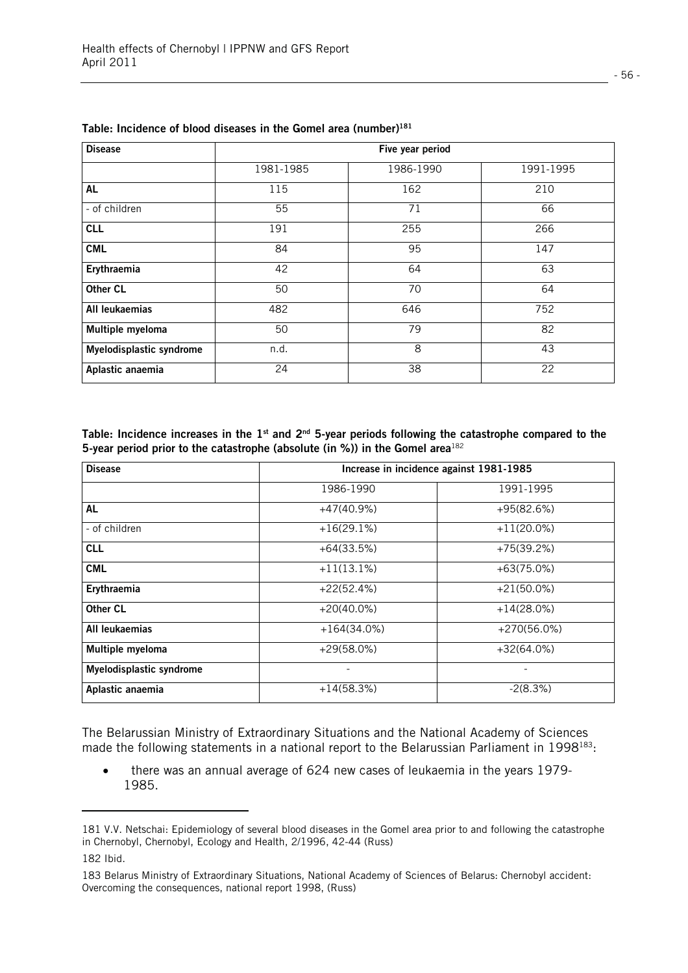| <b>Disease</b>           |           | Five year period |           |
|--------------------------|-----------|------------------|-----------|
|                          | 1981-1985 | 1986-1990        | 1991-1995 |
| AL                       | 115       | 162              | 210       |
| - of children            | 55        | 71               | 66        |
| <b>CLL</b>               | 191       | 255              | 266       |
| <b>CML</b>               | 84        | 95               | 147       |
| Erythraemia              | 42        | 64               | 63        |
| <b>Other CL</b>          | 50        | 70               | 64        |
| All leukaemias           | 482       | 646              | 752       |
| Multiple myeloma         | 50        | 79               | 82        |
| Myelodisplastic syndrome | n.d.      | 8                | 43        |
| Aplastic anaemia         | 24        | 38               | 22        |

|  | Table: Incidence of blood diseases in the Gomel area (number) <sup>181</sup> |
|--|------------------------------------------------------------------------------|
|--|------------------------------------------------------------------------------|

Table: Incidence increases in the 1<sup>st</sup> and 2<sup>nd</sup> 5-year periods following the catastrophe compared to the **5-year period prior to the catastrophe (absolute (in %)) in the Gomel area**<sup>182</sup>

| <b>Disease</b>           | Increase in incidence against 1981-1985 |               |  |  |  |
|--------------------------|-----------------------------------------|---------------|--|--|--|
|                          | 1986-1990                               | 1991-1995     |  |  |  |
| <b>AL</b>                | $+47(40.9%)$                            | $+95(82.6%)$  |  |  |  |
| - of children            | $+16(29.1%)$                            | $+11(20.0\%)$ |  |  |  |
| <b>CLL</b>               | $+64(33.5%)$                            | $+75(39.2%)$  |  |  |  |
| <b>CML</b>               | $+11(13.1%)$                            | $+63(75.0%)$  |  |  |  |
| Erythraemia              | $+22(52.4%)$                            | $+21(50.0\%)$ |  |  |  |
| Other CL                 | $+20(40.0\%)$                           | $+14(28.0%)$  |  |  |  |
| All leukaemias           | $+164(34.0%)$                           | $+270(56.0%)$ |  |  |  |
| Multiple myeloma         | $+29(58.0%)$                            | $+32(64.0%)$  |  |  |  |
| Myelodisplastic syndrome |                                         |               |  |  |  |
| Aplastic anaemia         | $+14(58.3%)$                            | $-2(8.3%)$    |  |  |  |

The Belarussian Ministry of Extraordinary Situations and the National Academy of Sciences made the following statements in a national report to the Belarussian Parliament in 1998<sup>183</sup>:

 $\bullet$  there was an annual average of 624 new cases of leukaemia in the years 1979- 1985.

l.

<sup>181</sup> V.V. Netschai: Epidemiology of several blood diseases in the Gomel area prior to and following the catastrophe in Chernobyl, Chernobyl, Ecology and Health, 2/1996, 42-44 (Russ)

<sup>182</sup> Ibid.

<sup>183</sup> Belarus Ministry of Extraordinary Situations, National Academy of Sciences of Belarus: Chernobyl accident: Overcoming the consequences, national report 1998, (Russ)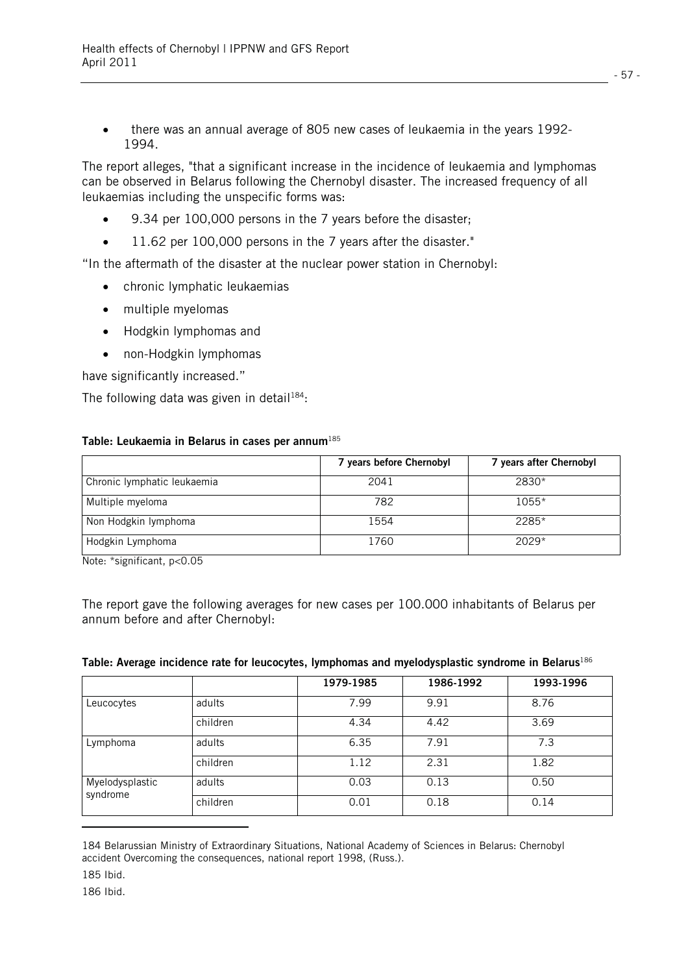$\bullet$  there was an annual average of 805 new cases of leukaemia in the years 1992- 1994.

The report alleges, "that a significant increase in the incidence of leukaemia and lymphomas can be observed in Belarus following the Chernobyl disaster. The increased frequency of all leukaemias including the unspecific forms was:

- $\bullet$ 9.34 per 100,000 persons in the 7 years before the disaster;
- $\bullet$ 11.62 per 100,000 persons in the 7 years after the disaster."

"In the aftermath of the disaster at the nuclear power station in Chernobyl:

- chronic lymphatic leukaemias
- multiple myelomas
- Hodgkin lymphomas and
- non-Hodgkin lymphomas

have significantly increased."

The following data was given in detail<sup>184</sup>:

#### **Table: Leukaemia in Belarus in cases per annum**<sup>185</sup>

|                             | 7 years before Chernobyl | 7 years after Chernobyl |
|-----------------------------|--------------------------|-------------------------|
| Chronic lymphatic leukaemia | 2041                     | 2830*                   |
| Multiple myeloma            | 782                      | 1055*                   |
| Non Hodgkin lymphoma        | 1554                     | 2285*                   |
| Hodgkin Lymphoma            | 1760                     | $2029*$                 |

Note: \*significant, p<0.05

The report gave the following averages for new cases per 100.000 inhabitants of Belarus per annum before and after Chernobyl:

#### **Table: Average incidence rate for leucocytes, lymphomas and myelodysplastic syndrome in Belarus**<sup>186</sup>

|                 |          | 1979-1985 | 1986-1992 | 1993-1996 |
|-----------------|----------|-----------|-----------|-----------|
| Leucocytes      | adults   | 7.99      | 9.91      | 8.76      |
|                 | children | 4.34      | 4.42      | 3.69      |
| Lymphoma        | adults   | 6.35      | 7.91      | 7.3       |
|                 | children | 1.12      | 2.31      | 1.82      |
| Myelodysplastic | adults   | 0.03      | 0.13      | 0.50      |
| syndrome        | children | 0.01      | 0.18      | 0.14      |
|                 |          |           |           |           |

<sup>184</sup> Belarussian Ministry of Extraordinary Situations, National Academy of Sciences in Belarus: Chernobyl accident Overcoming the consequences, national report 1998, (Russ.).

<sup>185</sup> Ibid.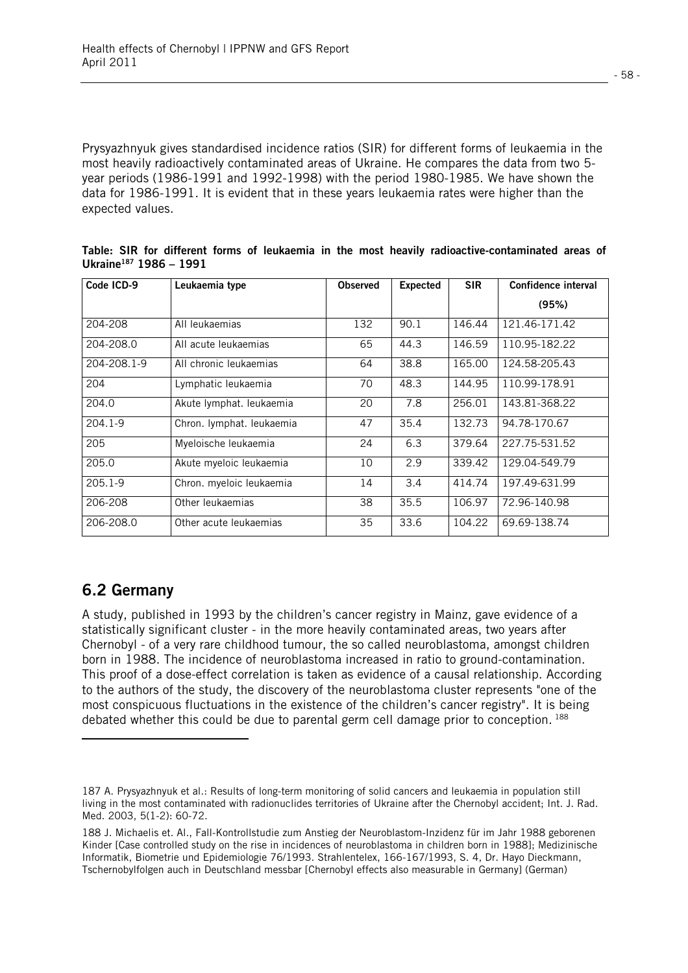Prysyazhnyuk gives standardised incidence ratios (SIR) for different forms of leukaemia in the most heavily radioactively contaminated areas of Ukraine. He compares the data from two 5 year periods (1986-1991 and 1992-1998) with the period 1980-1985. We have shown the data for 1986-1991. It is evident that in these years leukaemia rates were higher than the expected values.

| Code ICD-9  | Leukaemia type            | <b>Observed</b> | <b>Expected</b> | <b>SIR</b> | Confidence interval |
|-------------|---------------------------|-----------------|-----------------|------------|---------------------|
|             |                           |                 |                 |            | (95%)               |
| 204-208     | All leukaemias            | 132             | 90.1            | 146.44     | 121.46-171.42       |
| 204-208.0   | All acute leukaemias      | 65              | 44.3            | 146.59     | 110.95-182.22       |
| 204-208.1-9 | All chronic leukaemias    | 64              | 38.8            | 165.00     | 124.58-205.43       |
| 204         | Lymphatic leukaemia       | 70              | 48.3            | 144.95     | 110.99-178.91       |
| 204.0       | Akute lymphat. leukaemia  | 20              | 7.8             | 256.01     | 143.81-368.22       |
| 204.1-9     | Chron. lymphat. leukaemia | 47              | 35.4            | 132.73     | 94.78-170.67        |
| 205         | Myeloische leukaemia      | 24              | 6.3             | 379.64     | 227.75-531.52       |
| 205.0       | Akute myeloic leukaemia   | 10              | 2.9             | 339.42     | 129.04-549.79       |
| 205.1-9     | Chron. myeloic leukaemia  | 14              | 3.4             | 414.74     | 197.49-631.99       |
| 206-208     | Other leukaemias          | 38              | 35.5            | 106.97     | 72.96-140.98        |
| 206-208.0   | Other acute leukaemias    | 35              | 33.6            | 104.22     | 69.69-138.74        |

**Table: SIR for different forms of leukaemia in the most heavily radioactive-contaminated areas of Ukraine187 1986 – 1991** 

## **6.2 Germany**

l

A study, published in 1993 by the children's cancer registry in Mainz, gave evidence of a statistically significant cluster - in the more heavily contaminated areas, two years after Chernobyl - of a very rare childhood tumour, the so called neuroblastoma, amongst children born in 1988. The incidence of neuroblastoma increased in ratio to ground-contamination. This proof of a dose-effect correlation is taken as evidence of a causal relationship. According to the authors of the study, the discovery of the neuroblastoma cluster represents "one of the most conspicuous fluctuations in the existence of the children's cancer registry". It is being debated whether this could be due to parental germ cell damage prior to conception. 188

<sup>187</sup> A. Prysyazhnyuk et al.: Results of long-term monitoring of solid cancers and leukaemia in population still living in the most contaminated with radionuclides territories of Ukraine after the Chernobyl accident; Int. J. Rad. Med. 2003, 5(1-2): 60-72.

<sup>188</sup> J. Michaelis et. Al., Fall-Kontrollstudie zum Anstieg der Neuroblastom-Inzidenz für im Jahr 1988 geborenen Kinder [Case controlled study on the rise in incidences of neuroblastoma in children born in 1988]; Medizinische Informatik, Biometrie und Epidemiologie 76/1993. Strahlentelex, 166-167/1993, S. 4, Dr. Hayo Dieckmann, Tschernobylfolgen auch in Deutschland messbar [Chernobyl effects also measurable in Germany] (German)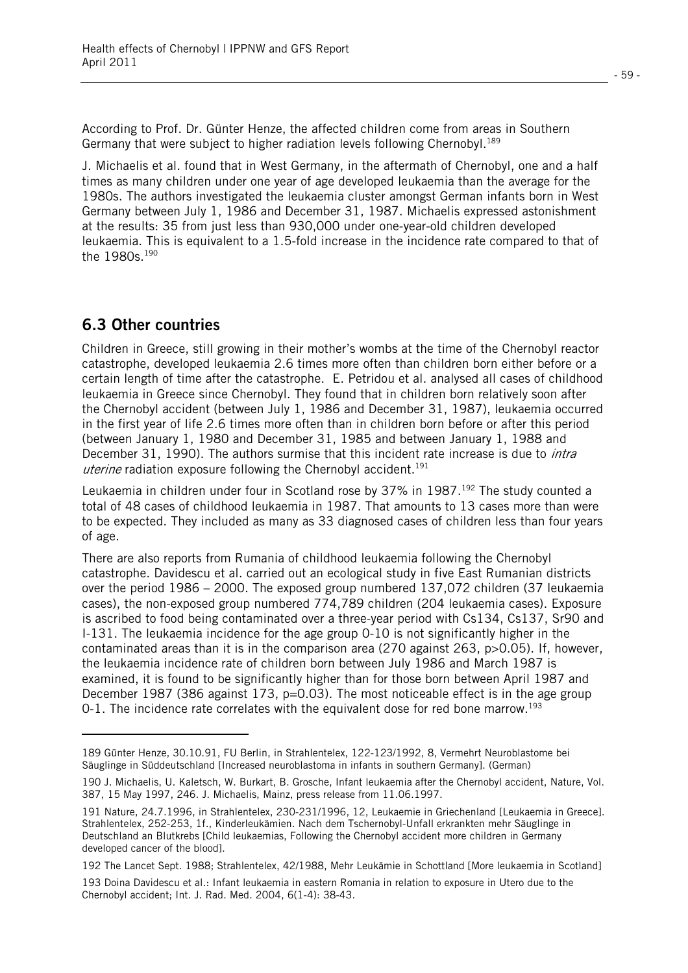$-59$  -

According to Prof. Dr. Günter Henze, the affected children come from areas in Southern Germany that were subject to higher radiation levels following Chernobyl.<sup>189</sup>

J. Michaelis et al. found that in West Germany, in the aftermath of Chernobyl, one and a half times as many children under one year of age developed leukaemia than the average for the 1980s. The authors investigated the leukaemia cluster amongst German infants born in West Germany between July 1, 1986 and December 31, 1987. Michaelis expressed astonishment at the results: 35 from just less than 930,000 under one-year-old children developed leukaemia. This is equivalent to a 1.5-fold increase in the incidence rate compared to that of the 1980s.190

### **6.3 Other countries**

l

Children in Greece, still growing in their mother's wombs at the time of the Chernobyl reactor catastrophe, developed leukaemia 2.6 times more often than children born either before or a certain length of time after the catastrophe. E. Petridou et al. analysed all cases of childhood leukaemia in Greece since Chernobyl. They found that in children born relatively soon after the Chernobyl accident (between July 1, 1986 and December 31, 1987), leukaemia occurred in the first year of life 2.6 times more often than in children born before or after this period (between January 1, 1980 and December 31, 1985 and between January 1, 1988 and December 31, 1990). The authors surmise that this incident rate increase is due to *intra* uterine radiation exposure following the Chernobyl accident.<sup>191</sup>

Leukaemia in children under four in Scotland rose by 37% in 1987.<sup>192</sup> The study counted a total of 48 cases of childhood leukaemia in 1987. That amounts to 13 cases more than were to be expected. They included as many as 33 diagnosed cases of children less than four years of age.

There are also reports from Rumania of childhood leukaemia following the Chernobyl catastrophe. Davidescu et al. carried out an ecological study in five East Rumanian districts over the period 1986 – 2000. The exposed group numbered 137,072 children (37 leukaemia cases), the non-exposed group numbered 774,789 children (204 leukaemia cases). Exposure is ascribed to food being contaminated over a three-year period with Cs134, Cs137, Sr90 and I-131. The leukaemia incidence for the age group 0-10 is not significantly higher in the contaminated areas than it is in the comparison area (270 against 263, p>0.05). If, however, the leukaemia incidence rate of children born between July 1986 and March 1987 is examined, it is found to be significantly higher than for those born between April 1987 and December 1987 (386 against 173,  $p=0.03$ ). The most noticeable effect is in the age group 0-1. The incidence rate correlates with the equivalent dose for red bone marrow.<sup>193</sup>

<sup>189</sup> Günter Henze, 30.10.91, FU Berlin, in Strahlentelex, 122-123/1992, 8, Vermehrt Neuroblastome bei Säuglinge in Süddeutschland [Increased neuroblastoma in infants in southern Germany]. (German)

<sup>190</sup> J. Michaelis, U. Kaletsch, W. Burkart, B. Grosche, Infant leukaemia after the Chernobyl accident, Nature, Vol. 387, 15 May 1997, 246. J. Michaelis, Mainz, press release from 11.06.1997.

<sup>191</sup> Nature, 24.7.1996, in Strahlentelex, 230-231/1996, 12, Leukaemie in Griechenland [Leukaemia in Greece]. Strahlentelex, 252-253, 1f., Kinderleukämien. Nach dem Tschernobyl-Unfall erkrankten mehr Säuglinge in Deutschland an Blutkrebs [Child leukaemias, Following the Chernobyl accident more children in Germany developed cancer of the blood].

<sup>192</sup> The Lancet Sept. 1988; Strahlentelex, 42/1988, Mehr Leukämie in Schottland [More leukaemia in Scotland]

<sup>193</sup> Doina Davidescu et al.: Infant leukaemia in eastern Romania in relation to exposure in Utero due to the Chernobyl accident; Int. J. Rad. Med. 2004, 6(1-4): 38-43.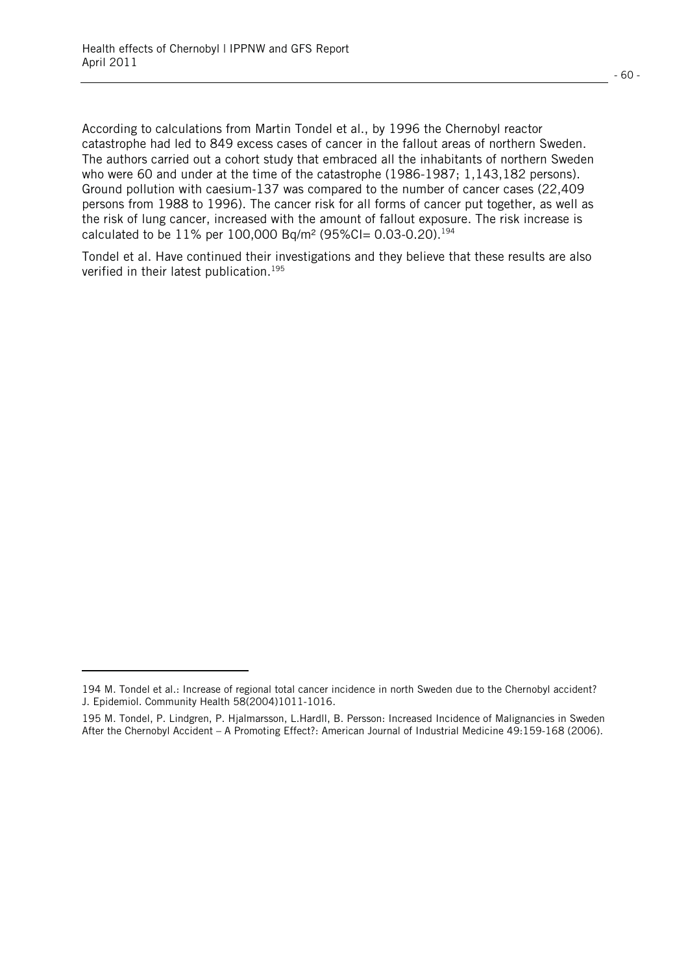l

According to calculations from Martin Tondel et al., by 1996 the Chernobyl reactor catastrophe had led to 849 excess cases of cancer in the fallout areas of northern Sweden. The authors carried out a cohort study that embraced all the inhabitants of northern Sweden who were 60 and under at the time of the catastrophe (1986-1987; 1,143,182 persons). Ground pollution with caesium-137 was compared to the number of cancer cases (22,409 persons from 1988 to 1996). The cancer risk for all forms of cancer put together, as well as the risk of lung cancer, increased with the amount of fallout exposure. The risk increase is calculated to be 11% per 100,000 Bq/m<sup>2</sup> (95%CI= 0.03-0.20).<sup>194</sup>

Tondel et al. Have continued their investigations and they believe that these results are also verified in their latest publication.<sup>195</sup>

<sup>194</sup> M. Tondel et al.: Increase of regional total cancer incidence in north Sweden due to the Chernobyl accident? J. Epidemiol. Community Health 58(2004)1011-1016.

<sup>195</sup> M. Tondel, P. Lindgren, P. Hjalmarsson, L.Hardll, B. Persson: Increased Incidence of Malignancies in Sweden After the Chernobyl Accident – A Promoting Effect?: American Journal of Industrial Medicine 49:159-168 (2006).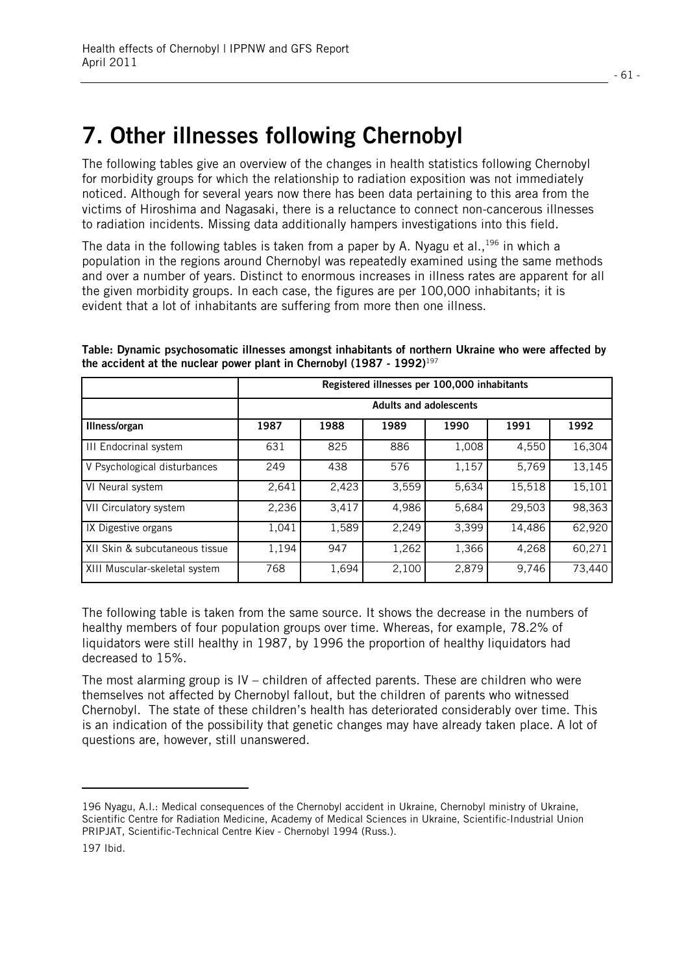# **7. Other illnesses following Chernobyl**

The following tables give an overview of the changes in health statistics following Chernobyl for morbidity groups for which the relationship to radiation exposition was not immediately noticed. Although for several years now there has been data pertaining to this area from the victims of Hiroshima and Nagasaki, there is a reluctance to connect non-cancerous illnesses to radiation incidents. Missing data additionally hampers investigations into this field.

The data in the following tables is taken from a paper by A. Nyagu et al.,  $196$  in which a population in the regions around Chernobyl was repeatedly examined using the same methods and over a number of years. Distinct to enormous increases in illness rates are apparent for all the given morbidity groups. In each case, the figures are per 100,000 inhabitants; it is evident that a lot of inhabitants are suffering from more then one illness.

|                                | Registered illnesses per 100,000 inhabitants |                               |       |       |        |        |  |  |  |  |
|--------------------------------|----------------------------------------------|-------------------------------|-------|-------|--------|--------|--|--|--|--|
|                                |                                              | <b>Adults and adolescents</b> |       |       |        |        |  |  |  |  |
| Illness/organ                  | 1987                                         | 1988                          | 1989  | 1990  | 1991   | 1992   |  |  |  |  |
| <b>III Endocrinal system</b>   | 631                                          | 825                           | 886   | 1,008 | 4,550  | 16,304 |  |  |  |  |
| V Psychological disturbances   | 249                                          | 438                           | 576   | 1,157 | 5,769  | 13,145 |  |  |  |  |
| VI Neural system               | 2,641                                        | 2,423                         | 3,559 | 5,634 | 15,518 | 15,101 |  |  |  |  |
| VII Circulatory system         | 2,236                                        | 3,417                         | 4,986 | 5,684 | 29,503 | 98,363 |  |  |  |  |
| IX Digestive organs            | 1,041                                        | 1,589                         | 2,249 | 3,399 | 14.486 | 62,920 |  |  |  |  |
| XII Skin & subcutaneous tissue | 1,194                                        | 947                           | 1,262 | 1,366 | 4,268  | 60,271 |  |  |  |  |
| XIII Muscular-skeletal system  | 768                                          | 1,694                         | 2,100 | 2,879 | 9,746  | 73,440 |  |  |  |  |

**Table: Dynamic psychosomatic illnesses amongst inhabitants of northern Ukraine who were affected by the accident at the nuclear power plant in Chernobyl (1987 - 1992)**<sup>197</sup>

The following table is taken from the same source. It shows the decrease in the numbers of healthy members of four population groups over time. Whereas, for example, 78.2% of liquidators were still healthy in 1987, by 1996 the proportion of healthy liquidators had decreased to 15%.

The most alarming group is  $IV -$  children of affected parents. These are children who were themselves not affected by Chernobyl fallout, but the children of parents who witnessed Chernobyl. The state of these children's health has deteriorated considerably over time. This is an indication of the possibility that genetic changes may have already taken place. A lot of questions are, however, still unanswered.

l

<sup>196</sup> Nyagu, A.I.: Medical consequences of the Chernobyl accident in Ukraine, Chernobyl ministry of Ukraine, Scientific Centre for Radiation Medicine, Academy of Medical Sciences in Ukraine, Scientific-Industrial Union PRIPJAT, Scientific-Technical Centre Kiev - Chernobyl 1994 (Russ.).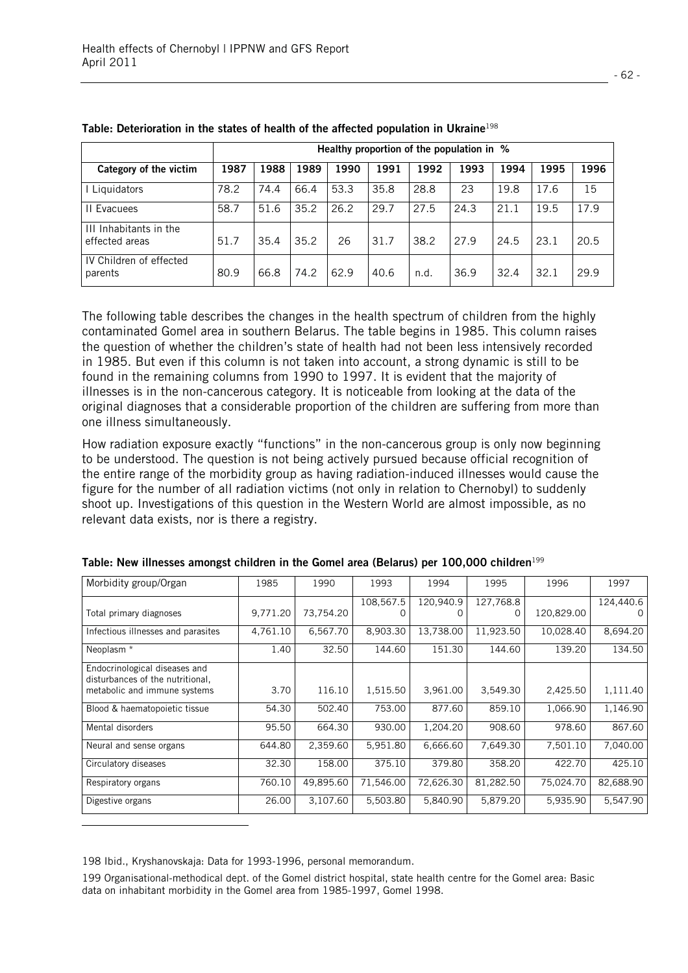|                                          |      | Healthy proportion of the population in % |      |      |      |      |      |      |      |      |
|------------------------------------------|------|-------------------------------------------|------|------|------|------|------|------|------|------|
| Category of the victim                   | 1987 | 1988                                      | 1989 | 1990 | 1991 | 1992 | 1993 | 1994 | 1995 | 1996 |
| Liquidators                              | 78.2 | 74.4                                      | 66.4 | 53.3 | 35.8 | 28.8 | 23   | 19.8 | 17.6 | 15   |
| II Evacuees                              | 58.7 | 51.6                                      | 35.2 | 26.2 | 29.7 | 27.5 | 24.3 | 21.1 | 19.5 | 17.9 |
| III Inhabitants in the<br>effected areas | 51.7 | 35.4                                      | 35.2 | 26   | 31.7 | 38.2 | 27.9 | 24.5 | 23.1 | 20.5 |
| IV Children of effected<br>parents       | 80.9 | 66.8                                      | 74.2 | 62.9 | 40.6 | n.d. | 36.9 | 32.4 | 32.1 | 29.9 |

|  | Table: Deterioration in the states of health of the affected population in Ukraine <sup>198</sup> |  |  |  |  |  |  |  |
|--|---------------------------------------------------------------------------------------------------|--|--|--|--|--|--|--|
|--|---------------------------------------------------------------------------------------------------|--|--|--|--|--|--|--|

The following table describes the changes in the health spectrum of children from the highly contaminated Gomel area in southern Belarus. The table begins in 1985. This column raises the question of whether the children's state of health had not been less intensively recorded in 1985. But even if this column is not taken into account, a strong dynamic is still to be found in the remaining columns from 1990 to 1997. It is evident that the majority of illnesses is in the non-cancerous category. It is noticeable from looking at the data of the original diagnoses that a considerable proportion of the children are suffering from more than one illness simultaneously.

How radiation exposure exactly "functions" in the non-cancerous group is only now beginning to be understood. The question is not being actively pursued because official recognition of the entire range of the morbidity group as having radiation-induced illnesses would cause the figure for the number of all radiation victims (not only in relation to Chernobyl) to suddenly shoot up. Investigations of this question in the Western World are almost impossible, as no relevant data exists, nor is there a registry.

| Morbidity group/Organ                                             | 1985     | 1990      | 1993      | 1994      | 1995      | 1996       | 1997      |
|-------------------------------------------------------------------|----------|-----------|-----------|-----------|-----------|------------|-----------|
|                                                                   |          |           | 108,567.5 | 120,940.9 | 127,768.8 |            | 124,440.6 |
| Total primary diagnoses                                           | 9,771.20 | 73,754.20 | U         |           | O         | 120,829.00 | U         |
| Infectious illnesses and parasites                                | 4,761.10 | 6,567.70  | 8,903.30  | 13,738.00 | 11,923.50 | 10,028.40  | 8,694.20  |
| Neoplasm *                                                        | 1.40     | 32.50     | 144.60    | 151.30    | 144.60    | 139.20     | 134.50    |
| Endocrinological diseases and<br>disturbances of the nutritional, |          |           |           |           |           |            |           |
| metabolic and immune systems                                      | 3.70     | 116.10    | 1,515.50  | 3,961.00  | 3,549.30  | 2,425.50   | 1,111.40  |
| Blood & haematopoietic tissue                                     | 54.30    | 502.40    | 753.00    | 877.60    | 859.10    | 1,066.90   | 1,146.90  |
| Mental disorders                                                  | 95.50    | 664.30    | 930.00    | 1,204.20  | 908.60    | 978.60     | 867.60    |
| Neural and sense organs                                           | 644.80   | 2,359.60  | 5,951.80  | 6,666.60  | 7,649.30  | 7,501.10   | 7,040.00  |
| Circulatory diseases                                              | 32.30    | 158.00    | 375.10    | 379.80    | 358.20    | 422.70     | 425.10    |
| Respiratory organs                                                | 760.10   | 49,895.60 | 71,546.00 | 72,626.30 | 81,282.50 | 75,024.70  | 82,688.90 |
| Digestive organs                                                  | 26.00    | 3,107.60  | 5,503.80  | 5,840.90  | 5,879.20  | 5,935.90   | 5,547.90  |
|                                                                   |          |           |           |           |           |            |           |

| Table: New illnesses amongst children in the Gomel area (Belarus) per 100,000 children <sup>199</sup> |
|-------------------------------------------------------------------------------------------------------|
|-------------------------------------------------------------------------------------------------------|

198 Ibid., Kryshanovskaja: Data for 1993-1996, personal memorandum.

199 Organisational-methodical dept. of the Gomel district hospital, state health centre for the Gomel area: Basic data on inhabitant morbidity in the Gomel area from 1985-1997, Gomel 1998.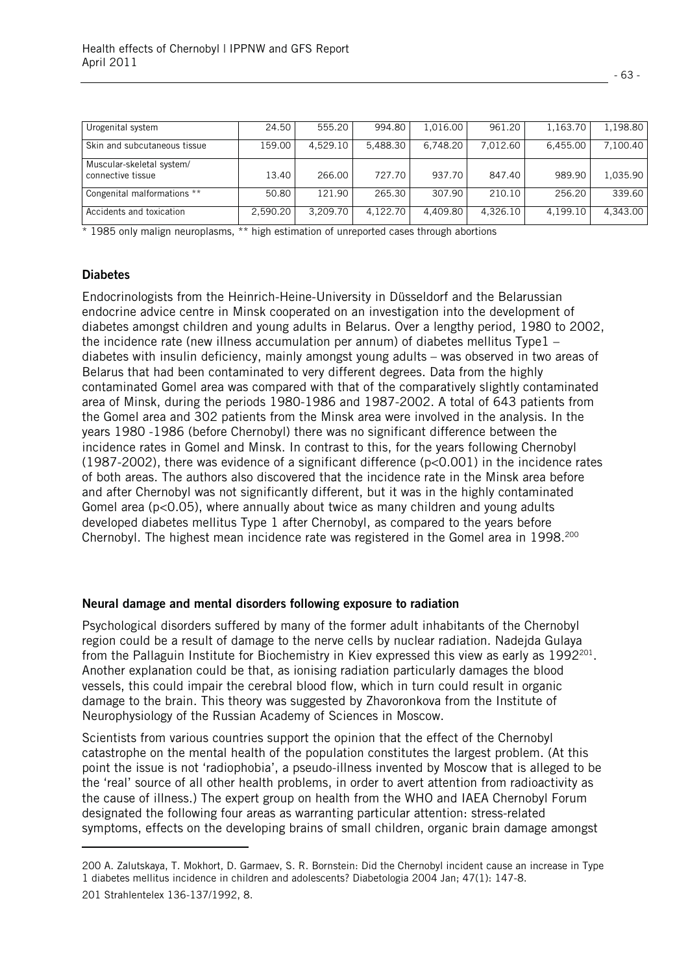| Urogenital system                              | 24.50    | 555.20   | 994.80   | 1,016.00 | 961.20   | 1,163.70 | 1,198.80 |
|------------------------------------------------|----------|----------|----------|----------|----------|----------|----------|
| Skin and subcutaneous tissue                   | 159.00   | 4.529.10 | 5.488.30 | 6.748.20 | 7.012.60 | 6,455.00 | 7,100.40 |
| Muscular-skeletal system/<br>connective tissue | 13.40    | 266.00   | 727.70   | 937.70   | 847.40   | 989.90   | 1,035.90 |
| Congenital malformations **                    | 50.80    | 121.90   | 265.30   | 307.90   | 210.10   | 256.20   | 339.60   |
| Accidents and toxication                       | 2,590.20 | 3.209.70 | 4.122.70 | 4.409.80 | 4.326.10 | 4,199.10 | 4,343.00 |

\* 1985 only malign neuroplasms, \*\* high estimation of unreported cases through abortions

#### **Diabetes**

l.

Endocrinologists from the Heinrich-Heine-University in Düsseldorf and the Belarussian endocrine advice centre in Minsk cooperated on an investigation into the development of diabetes amongst children and young adults in Belarus. Over a lengthy period, 1980 to 2002, the incidence rate (new illness accumulation per annum) of diabetes mellitus Type1 – diabetes with insulin deficiency, mainly amongst young adults – was observed in two areas of Belarus that had been contaminated to very different degrees. Data from the highly contaminated Gomel area was compared with that of the comparatively slightly contaminated area of Minsk, during the periods 1980-1986 and 1987-2002. A total of 643 patients from the Gomel area and 302 patients from the Minsk area were involved in the analysis. In the years 1980 -1986 (before Chernobyl) there was no significant difference between the incidence rates in Gomel and Minsk. In contrast to this, for the years following Chernobyl (1987-2002), there was evidence of a significant difference (p<0.001) in the incidence rates of both areas. The authors also discovered that the incidence rate in the Minsk area before and after Chernobyl was not significantly different, but it was in the highly contaminated Gomel area ( $p<0.05$ ), where annually about twice as many children and young adults developed diabetes mellitus Type 1 after Chernobyl, as compared to the years before Chernobyl. The highest mean incidence rate was registered in the Gomel area in 1998.<sup>200</sup>

#### **Neural damage and mental disorders following exposure to radiation**

Psychological disorders suffered by many of the former adult inhabitants of the Chernobyl region could be a result of damage to the nerve cells by nuclear radiation. Nadejda Gulaya from the Pallaguin Institute for Biochemistry in Kiev expressed this view as early as 1992<sup>201</sup>. Another explanation could be that, as ionising radiation particularly damages the blood vessels, this could impair the cerebral blood flow, which in turn could result in organic damage to the brain. This theory was suggested by Zhavoronkova from the Institute of Neurophysiology of the Russian Academy of Sciences in Moscow.

Scientists from various countries support the opinion that the effect of the Chernobyl catastrophe on the mental health of the population constitutes the largest problem. (At this point the issue is not 'radiophobia', a pseudo-illness invented by Moscow that is alleged to be the 'real' source of all other health problems, in order to avert attention from radioactivity as the cause of illness.) The expert group on health from the WHO and IAEA Chernobyl Forum designated the following four areas as warranting particular attention: stress-related symptoms, effects on the developing brains of small children, organic brain damage amongst

<sup>200</sup> A. Zalutskaya, T. Mokhort, D. Garmaev, S. R. Bornstein: Did the Chernobyl incident cause an increase in Type 1 diabetes mellitus incidence in children and adolescents? Diabetologia 2004 Jan; 47(1): 147-8. 201 Strahlentelex 136-137/1992, 8.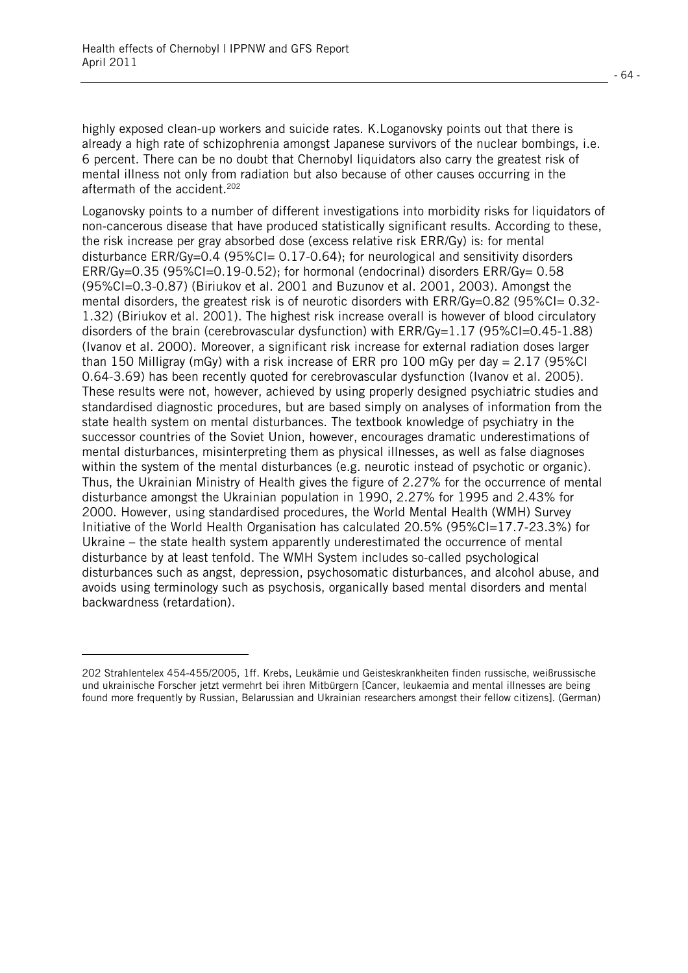l.

highly exposed clean-up workers and suicide rates. K.Loganovsky points out that there is already a high rate of schizophrenia amongst Japanese survivors of the nuclear bombings, i.e. 6 percent. There can be no doubt that Chernobyl liquidators also carry the greatest risk of mental illness not only from radiation but also because of other causes occurring in the aftermath of the accident.<sup>202</sup>

Loganovsky points to a number of different investigations into morbidity risks for liquidators of non-cancerous disease that have produced statistically significant results. According to these, the risk increase per gray absorbed dose (excess relative risk ERR/Gy) is: for mental disturbance  $ERR/Gv=0.4$  (95%CI= 0.17-0.64); for neurological and sensitivity disorders  $ERR/Gy=0.35$  (95%CI=0.19-0.52); for hormonal (endocrinal) disorders  $ERR/Gy=0.58$ (95%CI=0.3-0.87) (Biriukov et al. 2001 and Buzunov et al. 2001, 2003). Amongst the mental disorders, the greatest risk is of neurotic disorders with ERR/Gy=0.82 (95%CI= 0.32- 1.32) (Biriukov et al. 2001). The highest risk increase overall is however of blood circulatory disorders of the brain (cerebrovascular dysfunction) with ERR/Gy=1.17 (95%Cl=0.45-1.88) (Ivanov et al. 2000). Moreover, a significant risk increase for external radiation doses larger than 150 Milligray (mGy) with a risk increase of ERR pro 100 mGy per day  $= 2.17$  (95%Cl) 0.64-3.69) has been recently quoted for cerebrovascular dysfunction (Ivanov et al. 2005). These results were not, however, achieved by using properly designed psychiatric studies and standardised diagnostic procedures, but are based simply on analyses of information from the state health system on mental disturbances. The textbook knowledge of psychiatry in the successor countries of the Soviet Union, however, encourages dramatic underestimations of mental disturbances, misinterpreting them as physical illnesses, as well as false diagnoses within the system of the mental disturbances (e.g. neurotic instead of psychotic or organic). Thus, the Ukrainian Ministry of Health gives the figure of 2.27% for the occurrence of mental disturbance amongst the Ukrainian population in 1990, 2.27% for 1995 and 2.43% for 2000. However, using standardised procedures, the World Mental Health (WMH) Survey Initiative of the World Health Organisation has calculated 20.5% (95%CI=17.7-23.3%) for Ukraine – the state health system apparently underestimated the occurrence of mental disturbance by at least tenfold. The WMH System includes so-called psychological disturbances such as angst, depression, psychosomatic disturbances, and alcohol abuse, and avoids using terminology such as psychosis, organically based mental disorders and mental backwardness (retardation).

<sup>202</sup> Strahlentelex 454-455/2005, 1ff. Krebs, Leukämie und Geisteskrankheiten finden russische, weißrussische und ukrainische Forscher jetzt vermehrt bei ihren Mitbürgern [Cancer, leukaemia and mental illnesses are being found more frequently by Russian, Belarussian and Ukrainian researchers amongst their fellow citizens]. (German)